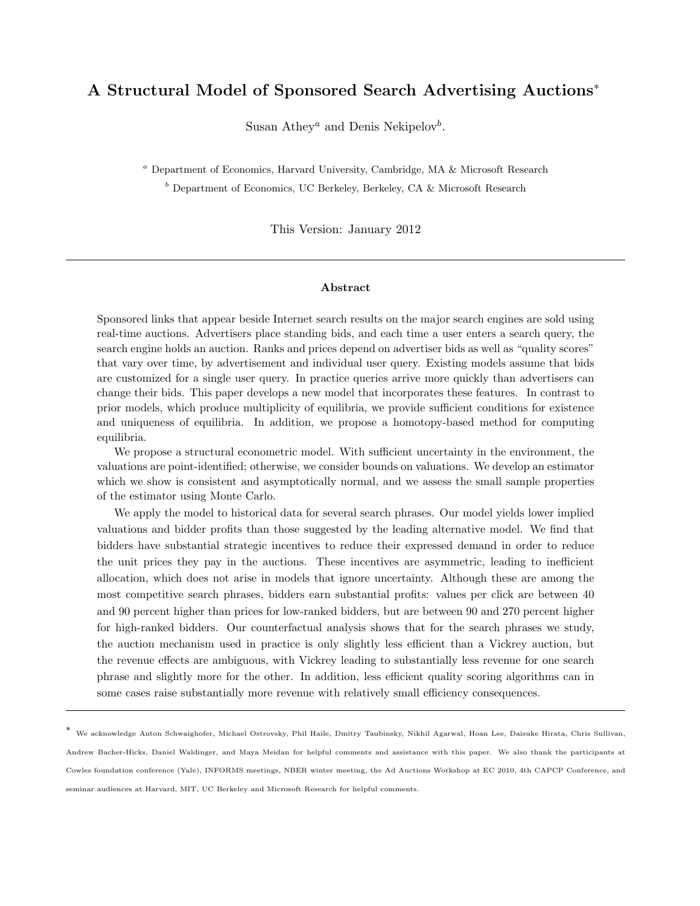## A Structural Model of Sponsored Search Advertising Auctions<sup>∗</sup>

Susan Athey<sup>*a*</sup> and Denis Nekipelov<sup>*b*</sup>.

<sup>a</sup> Department of Economics, Harvard University, Cambridge, MA & Microsoft Research  $b$  Department of Economics, UC Berkeley, Berkeley, CA & Microsoft Research

This Version: January 2012

## Abstract

Sponsored links that appear beside Internet search results on the major search engines are sold using real-time auctions. Advertisers place standing bids, and each time a user enters a search query, the search engine holds an auction. Ranks and prices depend on advertiser bids as well as "quality scores" that vary over time, by advertisement and individual user query. Existing models assume that bids are customized for a single user query. In practice queries arrive more quickly than advertisers can change their bids. This paper develops a new model that incorporates these features. In contrast to prior models, which produce multiplicity of equilibria, we provide sufficient conditions for existence and uniqueness of equilibria. In addition, we propose a homotopy-based method for computing equilibria.

We propose a structural econometric model. With sufficient uncertainty in the environment, the valuations are point-identified; otherwise, we consider bounds on valuations. We develop an estimator which we show is consistent and asymptotically normal, and we assess the small sample properties of the estimator using Monte Carlo.

We apply the model to historical data for several search phrases. Our model yields lower implied valuations and bidder profits than those suggested by the leading alternative model. We find that bidders have substantial strategic incentives to reduce their expressed demand in order to reduce the unit prices they pay in the auctions. These incentives are asymmetric, leading to inefficient allocation, which does not arise in models that ignore uncertainty. Although these are among the most competitive search phrases, bidders earn substantial profits: values per click are between 40 and 90 percent higher than prices for low-ranked bidders, but are between 90 and 270 percent higher for high-ranked bidders. Our counterfactual analysis shows that for the search phrases we study, the auction mechanism used in practice is only slightly less efficient than a Vickrey auction, but the revenue effects are ambiguous, with Vickrey leading to substantially less revenue for one search phrase and slightly more for the other. In addition, less efficient quality scoring algorithms can in some cases raise substantially more revenue with relatively small efficiency consequences.

<sup>∗</sup> We acknowledge Anton Schwaighofer, Michael Ostrovsky, Phil Haile, Dmitry Taubinsky, Nikhil Agarwal, Hoan Lee, Daisuke Hirata, Chris Sullivan, Andrew Bacher-Hicks, Daniel Waldinger, and Maya Meidan for helpful comments and assistance with this paper. We also thank the participants at Cowles foundation conference (Yale), INFORMS meetings, NBER winter meeting, the Ad Auctions Workshop at EC 2010, 4th CAPCP Conference, and seminar audiences at Harvard, MIT, UC Berkeley and Microsoft Research for helpful comments.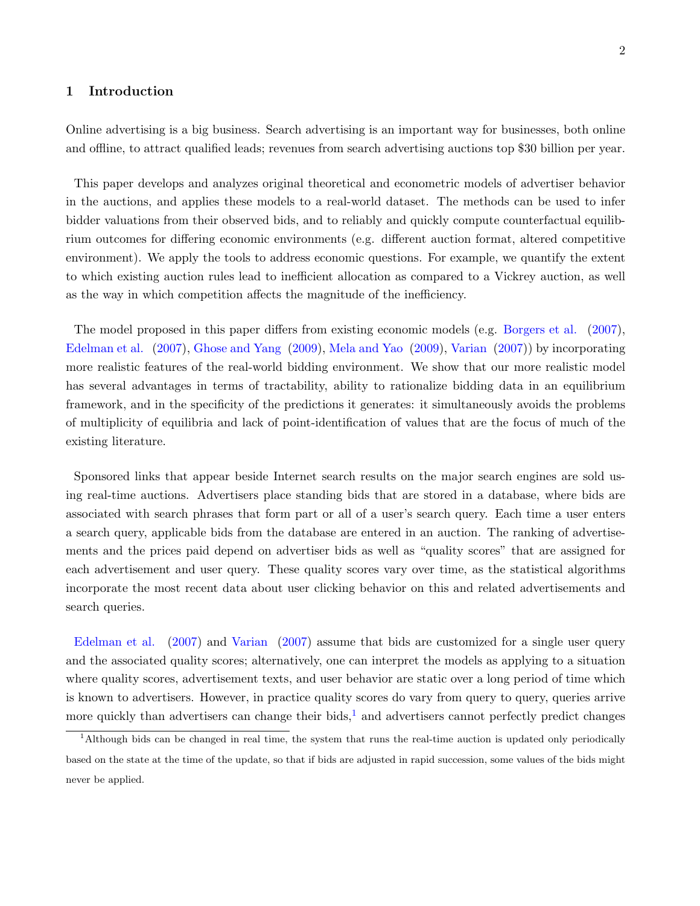## 1 Introduction

Online advertising is a big business. Search advertising is an important way for businesses, both online and offline, to attract qualified leads; revenues from search advertising auctions top \$30 billion per year.

This paper develops and analyzes original theoretical and econometric models of advertiser behavior in the auctions, and applies these models to a real-world dataset. The methods can be used to infer bidder valuations from their observed bids, and to reliably and quickly compute counterfactual equilibrium outcomes for differing economic environments (e.g. different auction format, altered competitive environment). We apply the tools to address economic questions. For example, we quantify the extent to which existing auction rules lead to inefficient allocation as compared to a Vickrey auction, as well as the way in which competition affects the magnitude of the inefficiency.

The model proposed in this paper differs from existing economic models (e.g. [Borgers et al.](#page-42-0) [\(2007\)](#page-42-0), [Edelman et al.](#page-43-0) [\(2007\)](#page-43-0), [Ghose and Yang](#page-43-1) [\(2009\)](#page-43-1), [Mela and Yao](#page-43-2) [\(2009\)](#page-43-2), [Varian](#page-44-0) [\(2007\)](#page-44-0)) by incorporating more realistic features of the real-world bidding environment. We show that our more realistic model has several advantages in terms of tractability, ability to rationalize bidding data in an equilibrium framework, and in the specificity of the predictions it generates: it simultaneously avoids the problems of multiplicity of equilibria and lack of point-identification of values that are the focus of much of the existing literature.

Sponsored links that appear beside Internet search results on the major search engines are sold using real-time auctions. Advertisers place standing bids that are stored in a database, where bids are associated with search phrases that form part or all of a user's search query. Each time a user enters a search query, applicable bids from the database are entered in an auction. The ranking of advertisements and the prices paid depend on advertiser bids as well as "quality scores" that are assigned for each advertisement and user query. These quality scores vary over time, as the statistical algorithms incorporate the most recent data about user clicking behavior on this and related advertisements and search queries.

[Edelman et al.](#page-43-0) [\(2007\)](#page-43-0) and [Varian](#page-44-0) [\(2007\)](#page-44-0) assume that bids are customized for a single user query and the associated quality scores; alternatively, one can interpret the models as applying to a situation where quality scores, advertisement texts, and user behavior are static over a long period of time which is known to advertisers. However, in practice quality scores do vary from query to query, queries arrive more quickly than advertisers can change their bids, $<sup>1</sup>$  $<sup>1</sup>$  $<sup>1</sup>$  and advertisers cannot perfectly predict changes</sup>

<span id="page-1-0"></span><sup>1</sup>Although bids can be changed in real time, the system that runs the real-time auction is updated only periodically based on the state at the time of the update, so that if bids are adjusted in rapid succession, some values of the bids might never be applied.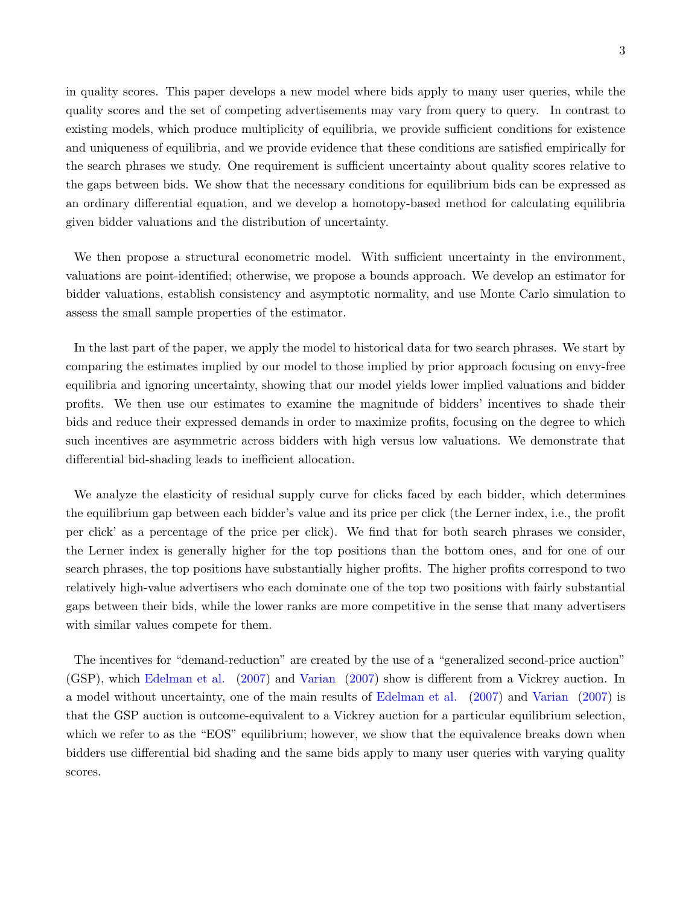in quality scores. This paper develops a new model where bids apply to many user queries, while the quality scores and the set of competing advertisements may vary from query to query. In contrast to existing models, which produce multiplicity of equilibria, we provide sufficient conditions for existence and uniqueness of equilibria, and we provide evidence that these conditions are satisfied empirically for the search phrases we study. One requirement is sufficient uncertainty about quality scores relative to the gaps between bids. We show that the necessary conditions for equilibrium bids can be expressed as an ordinary differential equation, and we develop a homotopy-based method for calculating equilibria given bidder valuations and the distribution of uncertainty.

We then propose a structural econometric model. With sufficient uncertainty in the environment, valuations are point-identified; otherwise, we propose a bounds approach. We develop an estimator for bidder valuations, establish consistency and asymptotic normality, and use Monte Carlo simulation to assess the small sample properties of the estimator.

In the last part of the paper, we apply the model to historical data for two search phrases. We start by comparing the estimates implied by our model to those implied by prior approach focusing on envy-free equilibria and ignoring uncertainty, showing that our model yields lower implied valuations and bidder profits. We then use our estimates to examine the magnitude of bidders' incentives to shade their bids and reduce their expressed demands in order to maximize profits, focusing on the degree to which such incentives are asymmetric across bidders with high versus low valuations. We demonstrate that differential bid-shading leads to inefficient allocation.

We analyze the elasticity of residual supply curve for clicks faced by each bidder, which determines the equilibrium gap between each bidder's value and its price per click (the Lerner index, i.e., the profit per click' as a percentage of the price per click). We find that for both search phrases we consider, the Lerner index is generally higher for the top positions than the bottom ones, and for one of our search phrases, the top positions have substantially higher profits. The higher profits correspond to two relatively high-value advertisers who each dominate one of the top two positions with fairly substantial gaps between their bids, while the lower ranks are more competitive in the sense that many advertisers with similar values compete for them.

The incentives for "demand-reduction" are created by the use of a "generalized second-price auction" (GSP), which [Edelman et al.](#page-43-0) [\(2007\)](#page-43-0) and [Varian](#page-44-0) [\(2007\)](#page-44-0) show is different from a Vickrey auction. In a model without uncertainty, one of the main results of [Edelman et al.](#page-43-0) [\(2007\)](#page-43-0) and [Varian](#page-44-0) [\(2007\)](#page-44-0) is that the GSP auction is outcome-equivalent to a Vickrey auction for a particular equilibrium selection, which we refer to as the "EOS" equilibrium; however, we show that the equivalence breaks down when bidders use differential bid shading and the same bids apply to many user queries with varying quality scores.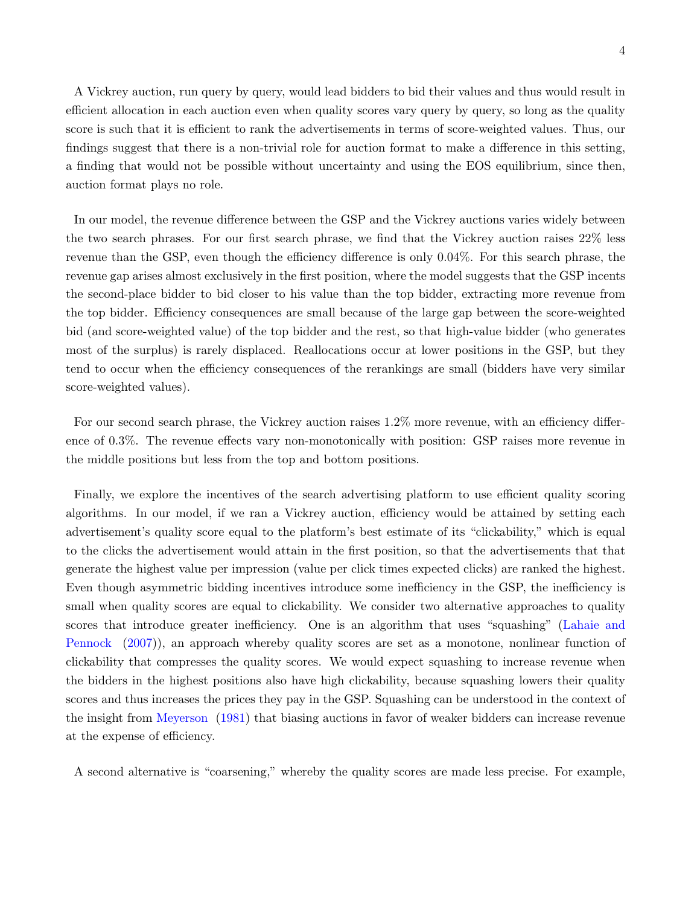A Vickrey auction, run query by query, would lead bidders to bid their values and thus would result in efficient allocation in each auction even when quality scores vary query by query, so long as the quality score is such that it is efficient to rank the advertisements in terms of score-weighted values. Thus, our findings suggest that there is a non-trivial role for auction format to make a difference in this setting, a finding that would not be possible without uncertainty and using the EOS equilibrium, since then, auction format plays no role.

In our model, the revenue difference between the GSP and the Vickrey auctions varies widely between the two search phrases. For our first search phrase, we find that the Vickrey auction raises 22% less revenue than the GSP, even though the efficiency difference is only 0.04%. For this search phrase, the revenue gap arises almost exclusively in the first position, where the model suggests that the GSP incents the second-place bidder to bid closer to his value than the top bidder, extracting more revenue from the top bidder. Efficiency consequences are small because of the large gap between the score-weighted bid (and score-weighted value) of the top bidder and the rest, so that high-value bidder (who generates most of the surplus) is rarely displaced. Reallocations occur at lower positions in the GSP, but they tend to occur when the efficiency consequences of the rerankings are small (bidders have very similar score-weighted values).

For our second search phrase, the Vickrey auction raises 1.2% more revenue, with an efficiency difference of 0.3%. The revenue effects vary non-monotonically with position: GSP raises more revenue in the middle positions but less from the top and bottom positions.

Finally, we explore the incentives of the search advertising platform to use efficient quality scoring algorithms. In our model, if we ran a Vickrey auction, efficiency would be attained by setting each advertisement's quality score equal to the platform's best estimate of its "clickability," which is equal to the clicks the advertisement would attain in the first position, so that the advertisements that that generate the highest value per impression (value per click times expected clicks) are ranked the highest. Even though asymmetric bidding incentives introduce some inefficiency in the GSP, the inefficiency is small when quality scores are equal to clickability. We consider two alternative approaches to quality scores that introduce greater inefficiency. One is an algorithm that uses "squashing" [\(Lahaie and](#page-43-3) [Pennock](#page-43-3) [\(2007\)](#page-43-3)), an approach whereby quality scores are set as a monotone, nonlinear function of clickability that compresses the quality scores. We would expect squashing to increase revenue when the bidders in the highest positions also have high clickability, because squashing lowers their quality scores and thus increases the prices they pay in the GSP. Squashing can be understood in the context of the insight from [Meyerson](#page-43-4) [\(1981\)](#page-43-4) that biasing auctions in favor of weaker bidders can increase revenue at the expense of efficiency.

A second alternative is "coarsening," whereby the quality scores are made less precise. For example,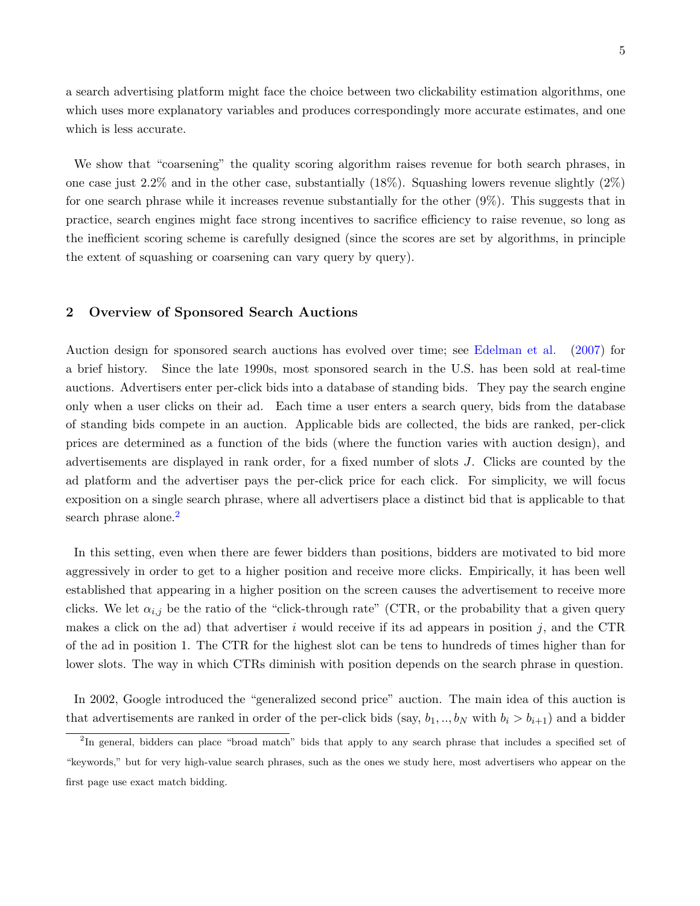a search advertising platform might face the choice between two clickability estimation algorithms, one which uses more explanatory variables and produces correspondingly more accurate estimates, and one which is less accurate.

We show that "coarsening" the quality scoring algorithm raises revenue for both search phrases, in one case just 2.2% and in the other case, substantially  $(18\%)$ . Squashing lowers revenue slightly  $(2\%)$ for one search phrase while it increases revenue substantially for the other (9%). This suggests that in practice, search engines might face strong incentives to sacrifice efficiency to raise revenue, so long as the inefficient scoring scheme is carefully designed (since the scores are set by algorithms, in principle the extent of squashing or coarsening can vary query by query).

## 2 Overview of Sponsored Search Auctions

Auction design for sponsored search auctions has evolved over time; see [Edelman et al.](#page-43-0) [\(2007\)](#page-43-0) for a brief history. Since the late 1990s, most sponsored search in the U.S. has been sold at real-time auctions. Advertisers enter per-click bids into a database of standing bids. They pay the search engine only when a user clicks on their ad. Each time a user enters a search query, bids from the database of standing bids compete in an auction. Applicable bids are collected, the bids are ranked, per-click prices are determined as a function of the bids (where the function varies with auction design), and advertisements are displayed in rank order, for a fixed number of slots J. Clicks are counted by the ad platform and the advertiser pays the per-click price for each click. For simplicity, we will focus exposition on a single search phrase, where all advertisers place a distinct bid that is applicable to that search phrase alone.<sup>[2](#page-4-0)</sup>

In this setting, even when there are fewer bidders than positions, bidders are motivated to bid more aggressively in order to get to a higher position and receive more clicks. Empirically, it has been well established that appearing in a higher position on the screen causes the advertisement to receive more clicks. We let  $\alpha_{i,j}$  be the ratio of the "click-through rate" (CTR, or the probability that a given query makes a click on the ad) that advertiser i would receive if its ad appears in position j, and the CTR of the ad in position 1. The CTR for the highest slot can be tens to hundreds of times higher than for lower slots. The way in which CTRs diminish with position depends on the search phrase in question.

In 2002, Google introduced the "generalized second price" auction. The main idea of this auction is that advertisements are ranked in order of the per-click bids (say,  $b_1, ..., b_N$  with  $b_i > b_{i+1}$ ) and a bidder

<span id="page-4-0"></span><sup>&</sup>lt;sup>2</sup>In general, bidders can place "broad match" bids that apply to any search phrase that includes a specified set of "keywords," but for very high-value search phrases, such as the ones we study here, most advertisers who appear on the first page use exact match bidding.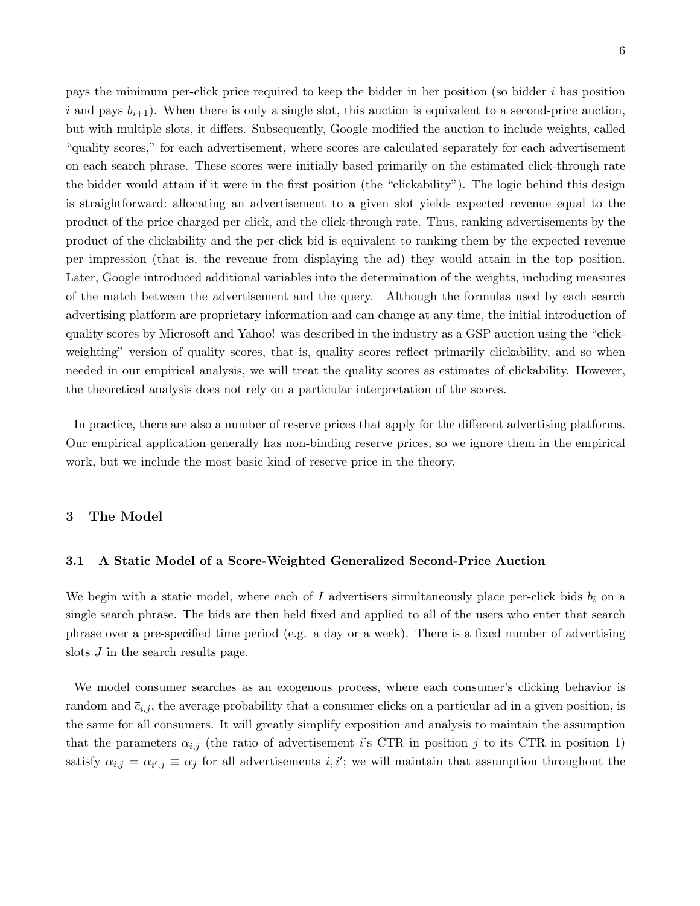pays the minimum per-click price required to keep the bidder in her position (so bidder i has position i and pays  $b_{i+1}$ . When there is only a single slot, this auction is equivalent to a second-price auction, but with multiple slots, it differs. Subsequently, Google modified the auction to include weights, called "quality scores," for each advertisement, where scores are calculated separately for each advertisement on each search phrase. These scores were initially based primarily on the estimated click-through rate the bidder would attain if it were in the first position (the "clickability"). The logic behind this design is straightforward: allocating an advertisement to a given slot yields expected revenue equal to the product of the price charged per click, and the click-through rate. Thus, ranking advertisements by the product of the clickability and the per-click bid is equivalent to ranking them by the expected revenue per impression (that is, the revenue from displaying the ad) they would attain in the top position. Later, Google introduced additional variables into the determination of the weights, including measures of the match between the advertisement and the query. Although the formulas used by each search advertising platform are proprietary information and can change at any time, the initial introduction of quality scores by Microsoft and Yahoo! was described in the industry as a GSP auction using the "clickweighting" version of quality scores, that is, quality scores reflect primarily clickability, and so when needed in our empirical analysis, we will treat the quality scores as estimates of clickability. However, the theoretical analysis does not rely on a particular interpretation of the scores.

In practice, there are also a number of reserve prices that apply for the different advertising platforms. Our empirical application generally has non-binding reserve prices, so we ignore them in the empirical work, but we include the most basic kind of reserve price in the theory.

## 3 The Model

#### 3.1 A Static Model of a Score-Weighted Generalized Second-Price Auction

We begin with a static model, where each of I advertisers simultaneously place per-click bids  $b_i$  on a single search phrase. The bids are then held fixed and applied to all of the users who enter that search phrase over a pre-specified time period (e.g. a day or a week). There is a fixed number of advertising slots *J* in the search results page.

We model consumer searches as an exogenous process, where each consumer's clicking behavior is random and  $\bar{c}_{i,j}$ , the average probability that a consumer clicks on a particular ad in a given position, is the same for all consumers. It will greatly simplify exposition and analysis to maintain the assumption that the parameters  $\alpha_{i,j}$  (the ratio of advertisement i's CTR in position j to its CTR in position 1) satisfy  $\alpha_{i,j} = \alpha_{i',j} \equiv \alpha_j$  for all advertisements i, i'; we will maintain that assumption throughout the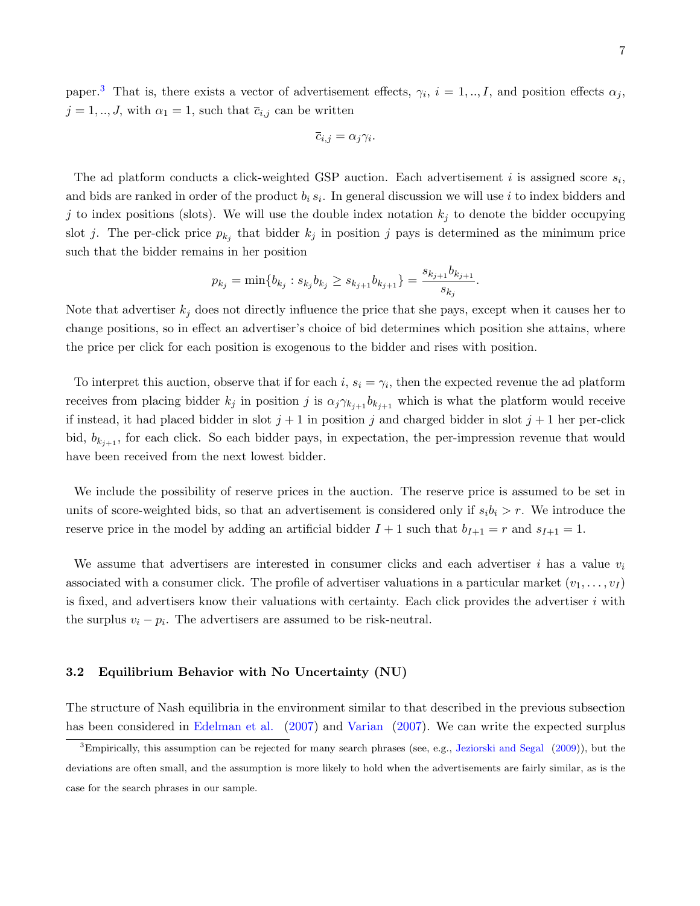paper.<sup>[3](#page-6-0)</sup> That is, there exists a vector of advertisement effects,  $\gamma_i$ ,  $i = 1, ..., I$ , and position effects  $\alpha_j$ ,  $j = 1, ..., J$ , with  $\alpha_1 = 1$ , such that  $\bar{c}_{i,j}$  can be written

$$
\overline{c}_{i,j} = \alpha_j \gamma_i.
$$

The ad platform conducts a click-weighted GSP auction. Each advertisement i is assigned score  $s_i$ , and bids are ranked in order of the product  $b_i s_i$ . In general discussion we will use i to index bidders and j to index positions (slots). We will use the double index notation  $k_j$  to denote the bidder occupying slot j. The per-click price  $p_{k_j}$  that bidder  $k_j$  in position j pays is determined as the minimum price such that the bidder remains in her position

$$
p_{k_j}=\min\{b_{k_j}: s_{k_j}b_{k_j}\geq s_{k_{j+1}}b_{k_{j+1}}\}=\frac{s_{k_{j+1}}b_{k_{j+1}}}{s_{k_j}}.
$$

Note that advertiser  $k_j$  does not directly influence the price that she pays, except when it causes her to change positions, so in effect an advertiser's choice of bid determines which position she attains, where the price per click for each position is exogenous to the bidder and rises with position.

To interpret this auction, observe that if for each i,  $s_i = \gamma_i$ , then the expected revenue the ad platform receives from placing bidder  $k_j$  in position j is  $\alpha_j \gamma_{k_{j+1}} b_{k_{j+1}}$  which is what the platform would receive if instead, it had placed bidder in slot  $j + 1$  in position j and charged bidder in slot  $j + 1$  her per-click bid,  $b_{k_{j+1}}$ , for each click. So each bidder pays, in expectation, the per-impression revenue that would have been received from the next lowest bidder.

We include the possibility of reserve prices in the auction. The reserve price is assumed to be set in units of score-weighted bids, so that an advertisement is considered only if  $s_i b_i > r$ . We introduce the reserve price in the model by adding an artificial bidder  $I + 1$  such that  $b_{I+1} = r$  and  $s_{I+1} = 1$ .

We assume that advertisers are interested in consumer clicks and each advertiser i has a value  $v_i$ associated with a consumer click. The profile of advertiser valuations in a particular market  $(v_1, \ldots, v_I)$ is fixed, and advertisers know their valuations with certainty. Each click provides the advertiser i with the surplus  $v_i - p_i$ . The advertisers are assumed to be risk-neutral.

## 3.2 Equilibrium Behavior with No Uncertainty (NU)

The structure of Nash equilibria in the environment similar to that described in the previous subsection has been considered in [Edelman et al.](#page-43-0) [\(2007\)](#page-44-0) and [Varian](#page-44-0) (2007). We can write the expected surplus

<span id="page-6-0"></span> $3$ Empirically, this assumption can be rejected for many search phrases (see, e.g., [Jeziorski and Segal](#page-43-5)  $(2009)$ ), but the deviations are often small, and the assumption is more likely to hold when the advertisements are fairly similar, as is the case for the search phrases in our sample.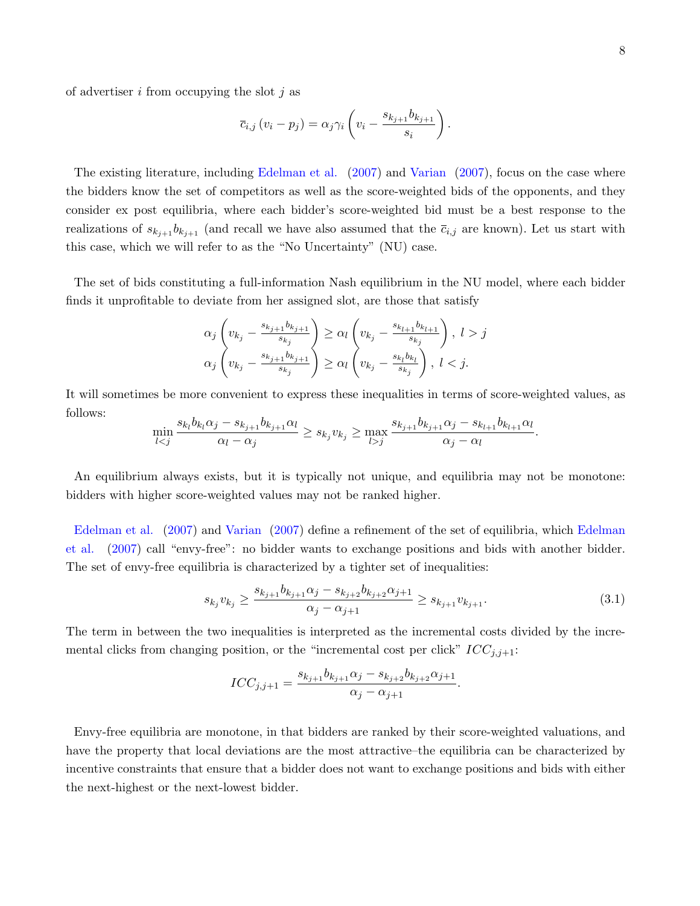of advertiser  $i$  from occupying the slot  $j$  as

$$
\overline{c}_{i,j} (v_i - p_j) = \alpha_j \gamma_i \left( v_i - \frac{s_{k_{j+1}} b_{k_{j+1}}}{s_i} \right).
$$

The existing literature, including [Edelman et al.](#page-43-0) [\(2007\)](#page-43-0) and [Varian](#page-44-0) [\(2007\)](#page-44-0), focus on the case where the bidders know the set of competitors as well as the score-weighted bids of the opponents, and they consider ex post equilibria, where each bidder's score-weighted bid must be a best response to the realizations of  $s_{k_{j+1}} b_{k_{j+1}}$  (and recall we have also assumed that the  $\bar{c}_{i,j}$  are known). Let us start with this case, which we will refer to as the "No Uncertainty" (NU) case.

The set of bids constituting a full-information Nash equilibrium in the NU model, where each bidder finds it unprofitable to deviate from her assigned slot, are those that satisfy

$$
\alpha_j \left( v_{k_j} - \frac{s_{k_{j+1}} b_{k_{j+1}}}{s_{k_j}} \right) \ge \alpha_l \left( v_{k_j} - \frac{s_{k_{l+1}} b_{k_{l+1}}}{s_{k_j}} \right), \ l > j
$$
  

$$
\alpha_j \left( v_{k_j} - \frac{s_{k_{j+1}} b_{k_{j+1}}}{s_{k_j}} \right) \ge \alpha_l \left( v_{k_j} - \frac{s_{k_l} b_{k_l}}{s_{k_j}} \right), \ l < j.
$$

It will sometimes be more convenient to express these inequalities in terms of score-weighted values, as follows:

$$
\min_{l < j} \frac{s_{k_l} b_{k_l} \alpha_j - s_{k_{j+1}} b_{k_{j+1}} \alpha_l}{\alpha_l - \alpha_j} \geq s_{k_j} v_{k_j} \geq \max_{l > j} \frac{s_{k_{j+1}} b_{k_{j+1}} \alpha_j - s_{k_{l+1}} b_{k_{l+1}} \alpha_l}{\alpha_j - \alpha_l}.
$$

An equilibrium always exists, but it is typically not unique, and equilibria may not be monotone: bidders with higher score-weighted values may not be ranked higher.

[Edelman et al.](#page-43-0) [\(2007\)](#page-43-0) and [Varian](#page-44-0) [\(2007\)](#page-44-0) define a refinement of the set of equilibria, which [Edelman](#page-43-0) [et al.](#page-43-0) [\(2007\)](#page-43-0) call "envy-free": no bidder wants to exchange positions and bids with another bidder. The set of envy-free equilibria is characterized by a tighter set of inequalities:

$$
s_{k_j}v_{k_j} \ge \frac{s_{k_{j+1}}b_{k_{j+1}}\alpha_j - s_{k_{j+2}}b_{k_{j+2}}\alpha_{j+1}}{\alpha_j - \alpha_{j+1}} \ge s_{k_{j+1}}v_{k_{j+1}}.\tag{3.1}
$$

The term in between the two inequalities is interpreted as the incremental costs divided by the incremental clicks from changing position, or the "incremental cost per click"  $ICC_{j,j+1}$ :

$$
ICC_{j,j+1} = \frac{s_{k_{j+1}}b_{k_{j+1}}\alpha_j - s_{k_{j+2}}b_{k_{j+2}}\alpha_{j+1}}{\alpha_j - \alpha_{j+1}}.
$$

Envy-free equilibria are monotone, in that bidders are ranked by their score-weighted valuations, and have the property that local deviations are the most attractive–the equilibria can be characterized by incentive constraints that ensure that a bidder does not want to exchange positions and bids with either the next-highest or the next-lowest bidder.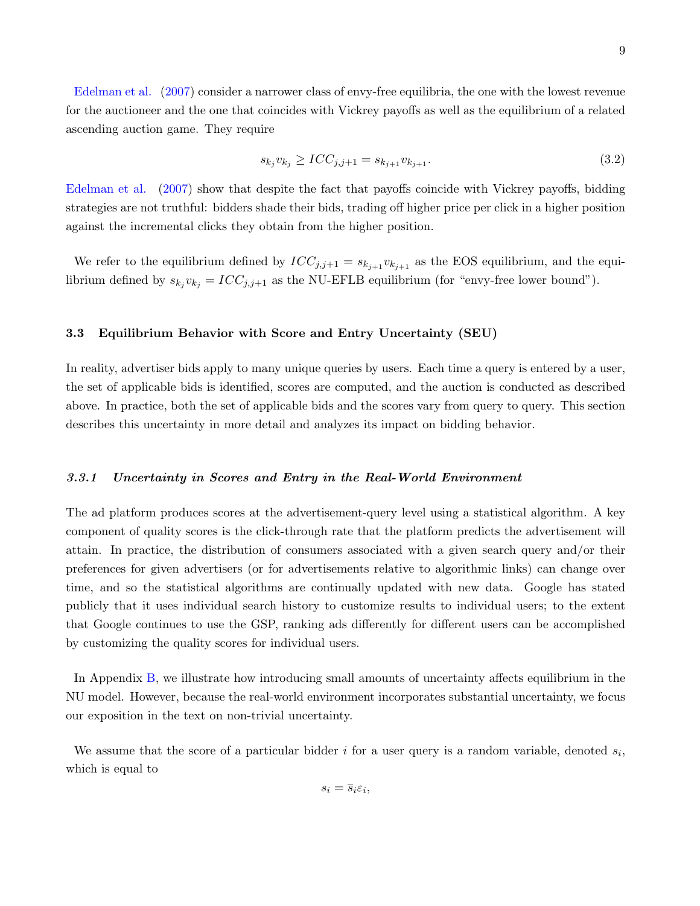[Edelman et al.](#page-43-0) [\(2007\)](#page-43-0) consider a narrower class of envy-free equilibria, the one with the lowest revenue for the auctioneer and the one that coincides with Vickrey payoffs as well as the equilibrium of a related ascending auction game. They require

<span id="page-8-0"></span>
$$
s_{k_j} v_{k_j} \geq ICC_{j,j+1} = s_{k_{j+1}} v_{k_{j+1}}.\tag{3.2}
$$

[Edelman et al.](#page-43-0) [\(2007\)](#page-43-0) show that despite the fact that payoffs coincide with Vickrey payoffs, bidding strategies are not truthful: bidders shade their bids, trading off higher price per click in a higher position against the incremental clicks they obtain from the higher position.

We refer to the equilibrium defined by  $ICC_{j,j+1} = s_{k_{j+1}} v_{k_{j+1}}$  as the EOS equilibrium, and the equilibrium defined by  $s_{k_j}v_{k_j} = ICC_{j,j+1}$  as the NU-EFLB equilibrium (for "envy-free lower bound").

## 3.3 Equilibrium Behavior with Score and Entry Uncertainty (SEU)

In reality, advertiser bids apply to many unique queries by users. Each time a query is entered by a user, the set of applicable bids is identified, scores are computed, and the auction is conducted as described above. In practice, both the set of applicable bids and the scores vary from query to query. This section describes this uncertainty in more detail and analyzes its impact on bidding behavior.

## 3.3.1 Uncertainty in Scores and Entry in the Real-World Environment

The ad platform produces scores at the advertisement-query level using a statistical algorithm. A key component of quality scores is the click-through rate that the platform predicts the advertisement will attain. In practice, the distribution of consumers associated with a given search query and/or their preferences for given advertisers (or for advertisements relative to algorithmic links) can change over time, and so the statistical algorithms are continually updated with new data. Google has stated publicly that it uses individual search history to customize results to individual users; to the extent that Google continues to use the GSP, ranking ads differently for different users can be accomplished by customizing the quality scores for individual users.

In Appendix [B,](#page-48-0) we illustrate how introducing small amounts of uncertainty affects equilibrium in the NU model. However, because the real-world environment incorporates substantial uncertainty, we focus our exposition in the text on non-trivial uncertainty.

We assume that the score of a particular bidder  $i$  for a user query is a random variable, denoted  $s_i$ , which is equal to

 $s_i = \overline{s}_i \varepsilon_i,$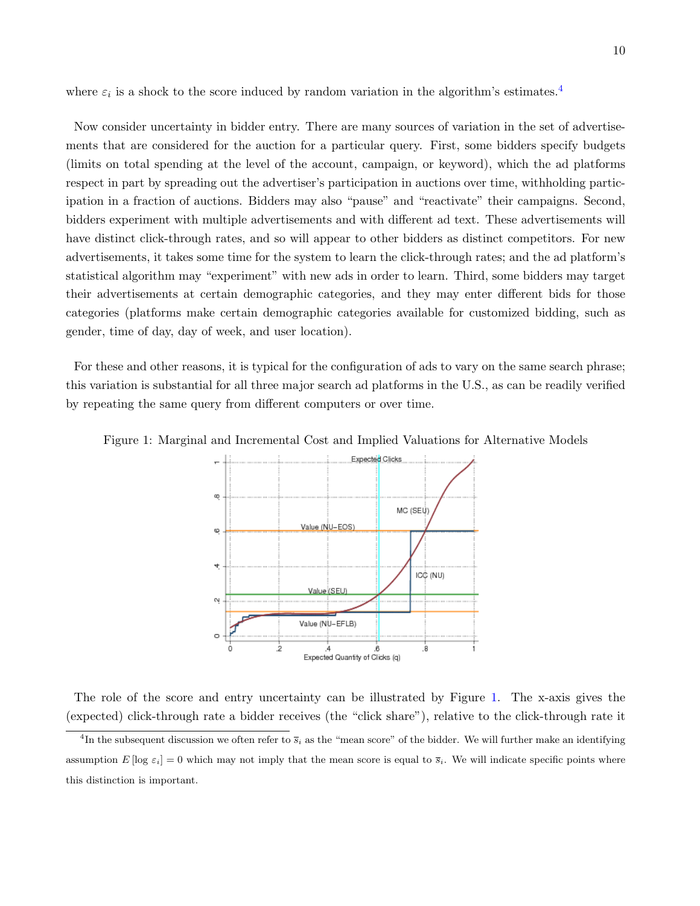where  $\varepsilon_i$  is a shock to the score induced by random variation in the algorithm's estimates.<sup>[4](#page-9-0)</sup>

Now consider uncertainty in bidder entry. There are many sources of variation in the set of advertisements that are considered for the auction for a particular query. First, some bidders specify budgets (limits on total spending at the level of the account, campaign, or keyword), which the ad platforms respect in part by spreading out the advertiser's participation in auctions over time, withholding participation in a fraction of auctions. Bidders may also "pause" and "reactivate" their campaigns. Second, bidders experiment with multiple advertisements and with different ad text. These advertisements will have distinct click-through rates, and so will appear to other bidders as distinct competitors. For new advertisements, it takes some time for the system to learn the click-through rates; and the ad platform's statistical algorithm may "experiment" with new ads in order to learn. Third, some bidders may target their advertisements at certain demographic categories, and they may enter different bids for those categories (platforms make certain demographic categories available for customized bidding, such as gender, time of day, day of week, and user location).

For these and other reasons, it is typical for the configuration of ads to vary on the same search phrase; this variation is substantial for all three major search ad platforms in the U.S., as can be readily verified by repeating the same query from different computers or over time.

<span id="page-9-1"></span>

Figure 1: Marginal and Incremental Cost and Implied Valuations for Alternative Models

The role of the score and entry uncertainty can be illustrated by Figure [1.](#page-9-1) The x-axis gives the (expected) click-through rate a bidder receives (the "click share"), relative to the click-through rate it

<span id="page-9-0"></span><sup>&</sup>lt;sup>4</sup>In the subsequent discussion we often refer to  $\bar{s}_i$  as the "mean score" of the bidder. We will further make an identifying assumption  $E[\log \varepsilon_i] = 0$  which may not imply that the mean score is equal to  $\overline{s}_i$ . We will indicate specific points where this distinction is important.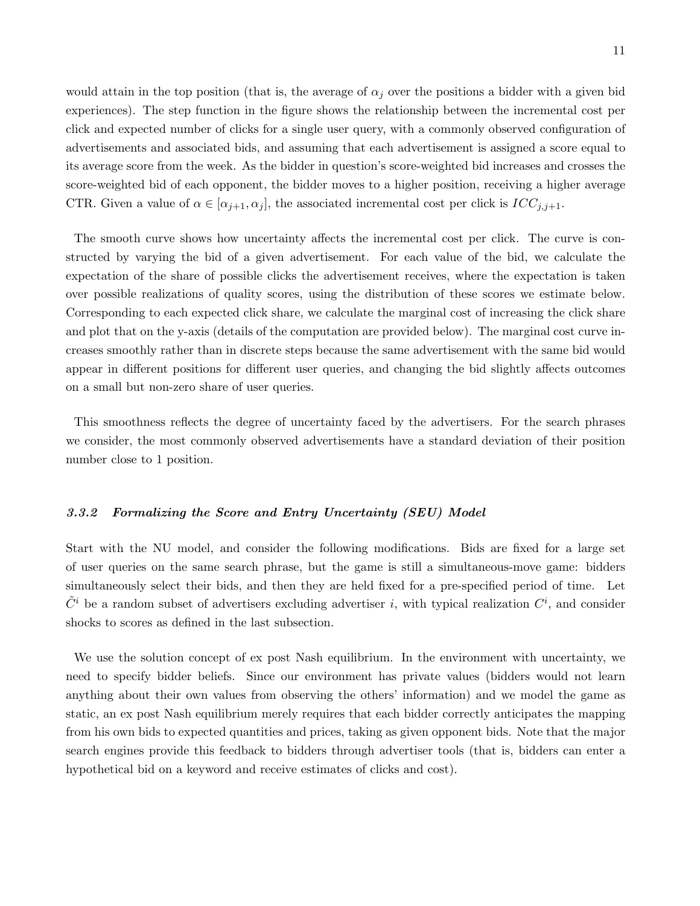would attain in the top position (that is, the average of  $\alpha_j$  over the positions a bidder with a given bid experiences). The step function in the figure shows the relationship between the incremental cost per click and expected number of clicks for a single user query, with a commonly observed configuration of advertisements and associated bids, and assuming that each advertisement is assigned a score equal to its average score from the week. As the bidder in question's score-weighted bid increases and crosses the score-weighted bid of each opponent, the bidder moves to a higher position, receiving a higher average CTR. Given a value of  $\alpha \in [\alpha_{j+1}, \alpha_j]$ , the associated incremental cost per click is  $ICC_{j,j+1}$ .

The smooth curve shows how uncertainty affects the incremental cost per click. The curve is constructed by varying the bid of a given advertisement. For each value of the bid, we calculate the expectation of the share of possible clicks the advertisement receives, where the expectation is taken over possible realizations of quality scores, using the distribution of these scores we estimate below. Corresponding to each expected click share, we calculate the marginal cost of increasing the click share and plot that on the y-axis (details of the computation are provided below). The marginal cost curve increases smoothly rather than in discrete steps because the same advertisement with the same bid would appear in different positions for different user queries, and changing the bid slightly affects outcomes on a small but non-zero share of user queries.

This smoothness reflects the degree of uncertainty faced by the advertisers. For the search phrases we consider, the most commonly observed advertisements have a standard deviation of their position number close to 1 position.

## 3.3.2 Formalizing the Score and Entry Uncertainty (SEU) Model

Start with the NU model, and consider the following modifications. Bids are fixed for a large set of user queries on the same search phrase, but the game is still a simultaneous-move game: bidders simultaneously select their bids, and then they are held fixed for a pre-specified period of time. Let  $\tilde{C}^i$  be a random subset of advertisers excluding advertiser *i*, with typical realization  $C^i$ , and consider shocks to scores as defined in the last subsection.

We use the solution concept of ex post Nash equilibrium. In the environment with uncertainty, we need to specify bidder beliefs. Since our environment has private values (bidders would not learn anything about their own values from observing the others' information) and we model the game as static, an ex post Nash equilibrium merely requires that each bidder correctly anticipates the mapping from his own bids to expected quantities and prices, taking as given opponent bids. Note that the major search engines provide this feedback to bidders through advertiser tools (that is, bidders can enter a hypothetical bid on a keyword and receive estimates of clicks and cost).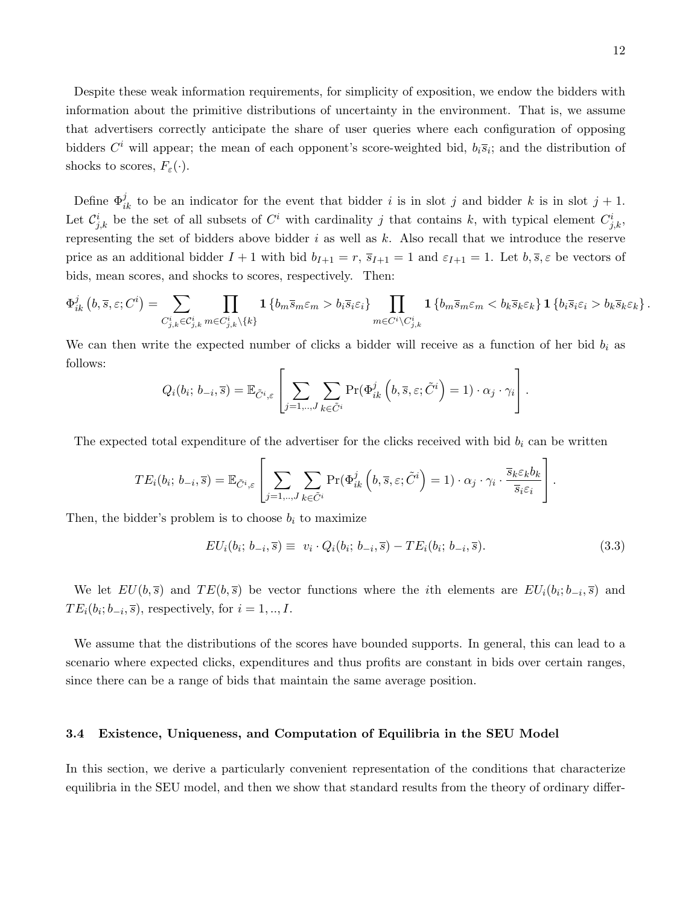Despite these weak information requirements, for simplicity of exposition, we endow the bidders with information about the primitive distributions of uncertainty in the environment. That is, we assume that advertisers correctly anticipate the share of user queries where each configuration of opposing bidders  $C^i$  will appear; the mean of each opponent's score-weighted bid,  $b_i\overline{s}_i$ ; and the distribution of shocks to scores,  $F_{\varepsilon}(\cdot)$ .

Define  $\Phi_{ik}^j$  to be an indicator for the event that bidder i is in slot j and bidder k is in slot  $j + 1$ . Let  $\mathcal{C}_{j,k}^i$  be the set of all subsets of  $C^i$  with cardinality j that contains k, with typical element  $C_{j,k}^i$ , representing the set of bidders above bidder i as well as k. Also recall that we introduce the reserve price as an additional bidder  $I + 1$  with bid  $b_{I+1} = r$ ,  $\overline{s}_{I+1} = 1$  and  $\varepsilon_{I+1} = 1$ . Let  $b, \overline{s}, \varepsilon$  be vectors of bids, mean scores, and shocks to scores, respectively. Then:

$$
\Phi_{ik}^j\left(b,\overline{s},\varepsilon;C^i\right) = \sum_{C^i_{j,k}\in\mathcal{C}^i_{j,k}}\prod_{m\in\mathcal{C}^i_{j,k}\setminus\{k\}}\mathbf{1}\left\{b_m\overline{s}_m\varepsilon_m > b_i\overline{s}_i\varepsilon_i\right\}\prod_{m\in C^i\setminus\mathcal{C}^i_{j,k}}\mathbf{1}\left\{b_m\overline{s}_m\varepsilon_m < b_k\overline{s}_k\varepsilon_k\right\}\mathbf{1}\left\{b_i\overline{s}_i\varepsilon_i > b_k\overline{s}_k\varepsilon_k\right\}.
$$

We can then write the expected number of clicks a bidder will receive as a function of her bid  $b_i$  as follows:

$$
Q_i(b_i; b_{-i}, \overline{s}) = \mathbb{E}_{\tilde{C}^i, \varepsilon} \left[ \sum_{j=1,..,J} \sum_{k \in \tilde{C}^i} \Pr(\Phi_{ik}^j \left( b, \overline{s}, \varepsilon; \tilde{C}^i \right) = 1) \cdot \alpha_j \cdot \gamma_i \right].
$$

The expected total expenditure of the advertiser for the clicks received with bid  $b_i$  can be written

$$
TE_i(b_i; b_{-i}, \overline{s}) = \mathbb{E}_{\tilde{C}^i, \varepsilon} \left[ \sum_{j=1,\dots,J} \sum_{k \in \tilde{C}^i} \Pr(\Phi_{ik}^j \left( b, \overline{s}, \varepsilon; \tilde{C}^i \right) = 1) \cdot \alpha_j \cdot \gamma_i \cdot \frac{\overline{s}_k \varepsilon_k b_k}{\overline{s}_i \varepsilon_i} \right].
$$

Then, the bidder's problem is to choose  $b_i$  to maximize

<span id="page-11-0"></span>
$$
EU_i(b_i; b_{-i}, \overline{s}) \equiv v_i \cdot Q_i(b_i; b_{-i}, \overline{s}) - TE_i(b_i; b_{-i}, \overline{s}). \tag{3.3}
$$

We let  $EU(b, \bar{s})$  and  $TE(b, \bar{s})$  be vector functions where the *i*th elements are  $EU_i(b_i; b_{-i}, \bar{s})$  and  $TE_i(b_i; b_{-i}, \overline{s})$ , respectively, for  $i = 1, ..., I$ .

We assume that the distributions of the scores have bounded supports. In general, this can lead to a scenario where expected clicks, expenditures and thus profits are constant in bids over certain ranges, since there can be a range of bids that maintain the same average position.

#### 3.4 Existence, Uniqueness, and Computation of Equilibria in the SEU Model

In this section, we derive a particularly convenient representation of the conditions that characterize equilibria in the SEU model, and then we show that standard results from the theory of ordinary differ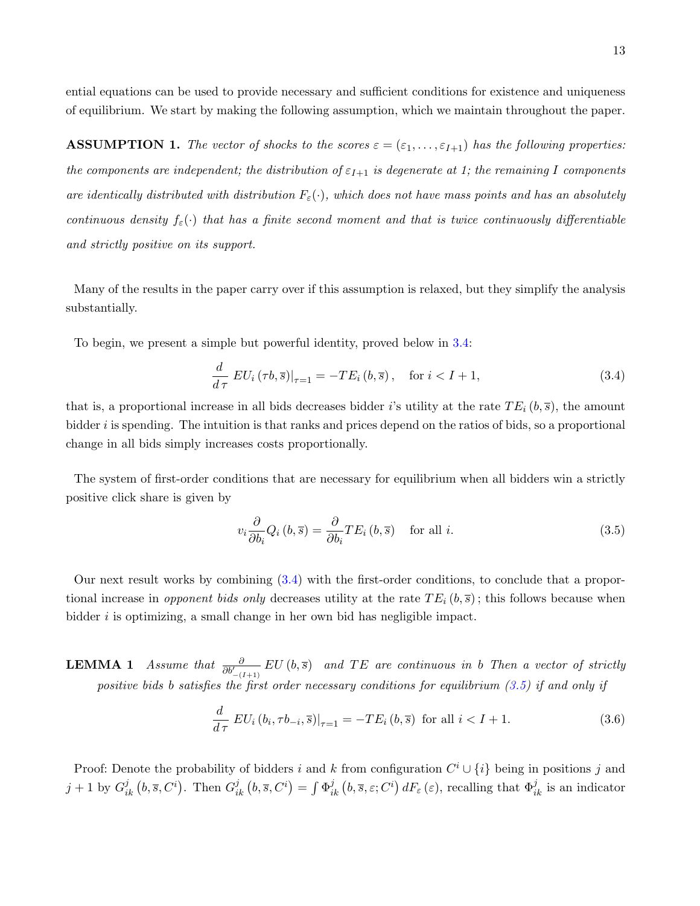ential equations can be used to provide necessary and sufficient conditions for existence and uniqueness of equilibrium. We start by making the following assumption, which we maintain throughout the paper.

**ASSUMPTION 1.** The vector of shocks to the scores  $\varepsilon = (\varepsilon_1, \ldots, \varepsilon_{I+1})$  has the following properties: the components are independent; the distribution of  $\varepsilon_{I+1}$  is degenerate at 1; the remaining I components are identically distributed with distribution  $F_{\varepsilon}(\cdot)$ , which does not have mass points and has an absolutely continuous density  $f_{\varepsilon}(\cdot)$  that has a finite second moment and that is twice continuously differentiable and strictly positive on its support.

Many of the results in the paper carry over if this assumption is relaxed, but they simplify the analysis substantially.

To begin, we present a simple but powerful identity, proved below in [3.4:](#page-12-0)

<span id="page-12-1"></span>
$$
\frac{d}{d\tau} \left.EU_i\left(\tau b, \overline{s}\right)\right|_{\tau=1} = -TE_i\left(b, \overline{s}\right), \quad \text{for } i < I+1,\tag{3.4}
$$

that is, a proportional increase in all bids decreases bidder i's utility at the rate  $TE_i(b,\overline{s})$ , the amount bidder  $i$  is spending. The intuition is that ranks and prices depend on the ratios of bids, so a proportional change in all bids simply increases costs proportionally.

The system of first-order conditions that are necessary for equilibrium when all bidders win a strictly positive click share is given by

<span id="page-12-0"></span>
$$
v_i \frac{\partial}{\partial b_i} Q_i (b, \overline{s}) = \frac{\partial}{\partial b_i} T E_i (b, \overline{s}) \quad \text{for all } i.
$$
 (3.5)

Our next result works by combining [\(3.4\)](#page-12-1) with the first-order conditions, to conclude that a proportional increase in opponent bids only decreases utility at the rate  $TE_i(b,\overline{s})$ ; this follows because when bidder  $i$  is optimizing, a small change in her own bid has negligible impact.

**LEMMA 1** Assume that  $\frac{\partial}{\partial b'_{-(I+1)}} EU(b, \overline{s})$  and TE are continuous in b Then a vector of strictly positive bids b satisfies the first order necessary conditions for equilibrium  $(3.5)$  if and only if

<span id="page-12-2"></span>
$$
\frac{d}{d\tau} \left.EU_i\left(b_i, \tau b_{-i}, \overline{s}\right)\right|_{\tau=1} = -TE_i\left(b, \overline{s}\right) \text{ for all } i < I+1. \tag{3.6}
$$

Proof: Denote the probability of bidders i and k from configuration  $C^i \cup \{i\}$  being in positions j and  $j+1$  by  $G_{ik}^j(b,\overline{s},C^i)$ . Then  $G_{ik}^j(b,\overline{s},C^i) = \int \Phi_{ik}^j(b,\overline{s},\varepsilon;C^i) dF_{\varepsilon}(\varepsilon)$ , recalling that  $\Phi_{ik}^j$  is an indicator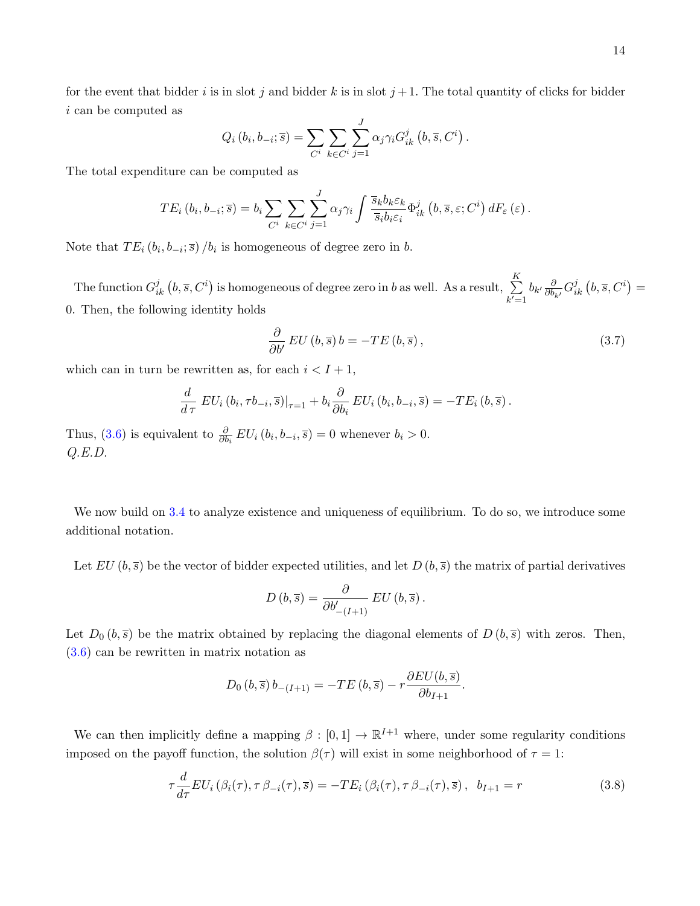for the event that bidder i is in slot j and bidder k is in slot  $j+1$ . The total quantity of clicks for bidder i can be computed as

$$
Q_i(b_i, b_{-i}; \overline{s}) = \sum_{C^i} \sum_{k \in C^i} \sum_{j=1}^J \alpha_j \gamma_i G_{ik}^j(b, \overline{s}, C^i).
$$

The total expenditure can be computed as

$$
TE_i(b_i, b_{-i}; \overline{s}) = b_i \sum_{C^i} \sum_{k \in C^i} \sum_{j=1}^J \alpha_j \gamma_i \int \frac{\overline{s}_k b_k \varepsilon_k}{\overline{s}_i b_i \varepsilon_i} \Phi_{ik}^j(b, \overline{s}, \varepsilon; C^i) dF_{\varepsilon}(\varepsilon).
$$

Note that  $TE_i(b_i, b_{-i}; \overline{s})/b_i$  is homogeneous of degree zero in b.

The function  $G_{ik}^j$   $(b, \overline{s}, C^i)$  is homogeneous of degree zero in b as well. As a result,  $\sum_{i=1}^K$  $k'=1$  $b_{k'}\frac{\partial}{\partial b_{i}}$  $\frac{\partial}{\partial b_{k'}} G^j_{ik}\left(b, \overline{s}, C^i\right) =$ 0. Then, the following identity holds

$$
\frac{\partial}{\partial b'} EU(b,\overline{s}) b = -TE(b,\overline{s}), \qquad (3.7)
$$

which can in turn be rewritten as, for each  $i < I + 1$ ,

$$
\frac{d}{d\tau} EU_i(b_i, \tau b_{-i}, \overline{s})|_{\tau=1} + b_i \frac{\partial}{\partial b_i} EU_i(b_i, b_{-i}, \overline{s}) = -TE_i(b, \overline{s}).
$$

Thus, [\(3.6\)](#page-12-2) is equivalent to  $\frac{\partial}{\partial b_i} EU_i(b_i, b_{-i}, \overline{s}) = 0$  whenever  $b_i > 0$ .  $Q.E.D.$ 

We now build on  $3.4$  to analyze existence and uniqueness of equilibrium. To do so, we introduce some additional notation.

Let  $EU (b, \bar{s})$  be the vector of bidder expected utilities, and let  $D (b, \bar{s})$  the matrix of partial derivatives

$$
D\left(b,\overline{s}\right) = \frac{\partial}{\partial b'_{-\left(I+1\right)}}\, EU\left(b,\overline{s}\right).
$$

Let  $D_0(b, \overline{s})$  be the matrix obtained by replacing the diagonal elements of  $D(b, \overline{s})$  with zeros. Then, [\(3.6\)](#page-12-2) can be rewritten in matrix notation as

$$
D_0 (b, \overline{s}) b_{-(I+1)} = -TE (b, \overline{s}) - r \frac{\partial EU(b, \overline{s})}{\partial b_{I+1}}.
$$

We can then implicitly define a mapping  $\beta : [0,1] \to \mathbb{R}^{I+1}$  where, under some regularity conditions imposed on the payoff function, the solution  $\beta(\tau)$  will exist in some neighborhood of  $\tau = 1$ :

<span id="page-13-0"></span>
$$
\tau \frac{d}{d\tau} EU_i\left(\beta_i(\tau), \tau \beta_{-i}(\tau), \overline{s}\right) = -TE_i\left(\beta_i(\tau), \tau \beta_{-i}(\tau), \overline{s}\right), \ b_{I+1} = r \tag{3.8}
$$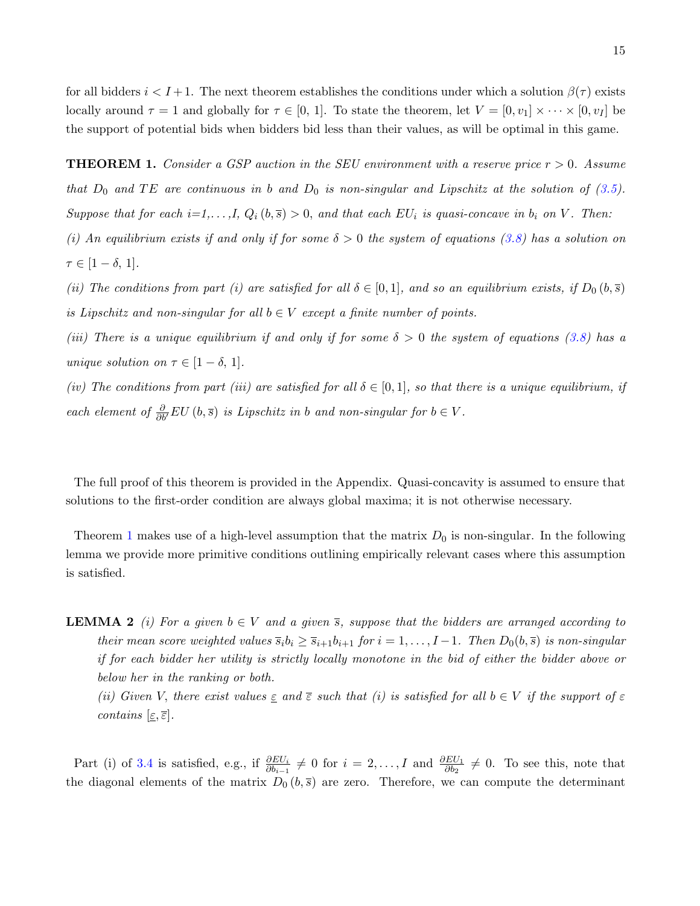for all bidders  $i < I+1$ . The next theorem establishes the conditions under which a solution  $\beta(\tau)$  exists locally around  $\tau = 1$  and globally for  $\tau \in [0, 1]$ . To state the theorem, let  $V = [0, v_1] \times \cdots \times [0, v_I]$  be the support of potential bids when bidders bid less than their values, as will be optimal in this game.

<span id="page-14-0"></span>**THEOREM 1.** Consider a GSP auction in the SEU environment with a reserve price  $r > 0$ . Assume that  $D_0$  and TE are continuous in b and  $D_0$  is non-singular and Lipschitz at the solution of [\(3.5\)](#page-12-0). Suppose that for each  $i=1,\ldots,I$ ,  $Q_i(b,\overline{s})>0$ , and that each  $EU_i$  is quasi-concave in  $b_i$  on V. Then: (i) An equilibrium exists if and only if for some  $\delta > 0$  the system of equations [\(3.8\)](#page-13-0) has a solution on

 $\tau \in [1-\delta, 1].$ 

(ii) The conditions from part (i) are satisfied for all  $\delta \in [0,1]$ , and so an equilibrium exists, if  $D_0(b,\overline{s})$ is Lipschitz and non-singular for all  $b \in V$  except a finite number of points.

(iii) There is a unique equilibrium if and only if for some  $\delta > 0$  the system of equations [\(3.8\)](#page-13-0) has a unique solution on  $\tau \in [1-\delta, 1].$ 

(iv) The conditions from part (iii) are satisfied for all  $\delta \in [0,1]$ , so that there is a unique equilibrium, if each element of  $\frac{\partial}{\partial b'} EU(b, \overline{s})$  is Lipschitz in b and non-singular for  $b \in V$ .

The full proof of this theorem is provided in the Appendix. Quasi-concavity is assumed to ensure that solutions to the first-order condition are always global maxima; it is not otherwise necessary.

Theorem [1](#page-14-0) makes use of a high-level assumption that the matrix  $D_0$  is non-singular. In the following lemma we provide more primitive conditions outlining empirically relevant cases where this assumption is satisfied.

**LEMMA 2** (i) For a given  $b \in V$  and a given  $\overline{s}$ , suppose that the bidders are arranged according to their mean score weighted values  $\overline{s}_i b_i \geq \overline{s}_{i+1}b_{i+1}$  for  $i = 1, \ldots, I-1$ . Then  $D_0(b, \overline{s})$  is non-singular if for each bidder her utility is strictly locally monotone in the bid of either the bidder above or below her in the ranking or both.

(ii) Given V, there exist values  $\epsilon$  and  $\bar{\epsilon}$  such that (i) is satisfied for all  $b \in V$  if the support of  $\epsilon$ contains  $[\underline{\varepsilon}, \overline{\varepsilon}]$ .

Part (i) of [3.4](#page-14-0) is satisfied, e.g., if  $\frac{\partial EU_i}{\partial b_{i-1}} \neq 0$  for  $i = 2, ..., I$  and  $\frac{\partial EU_1}{\partial b_2} \neq 0$ . To see this, note that the diagonal elements of the matrix  $D_0(b,\overline{s})$  are zero. Therefore, we can compute the determinant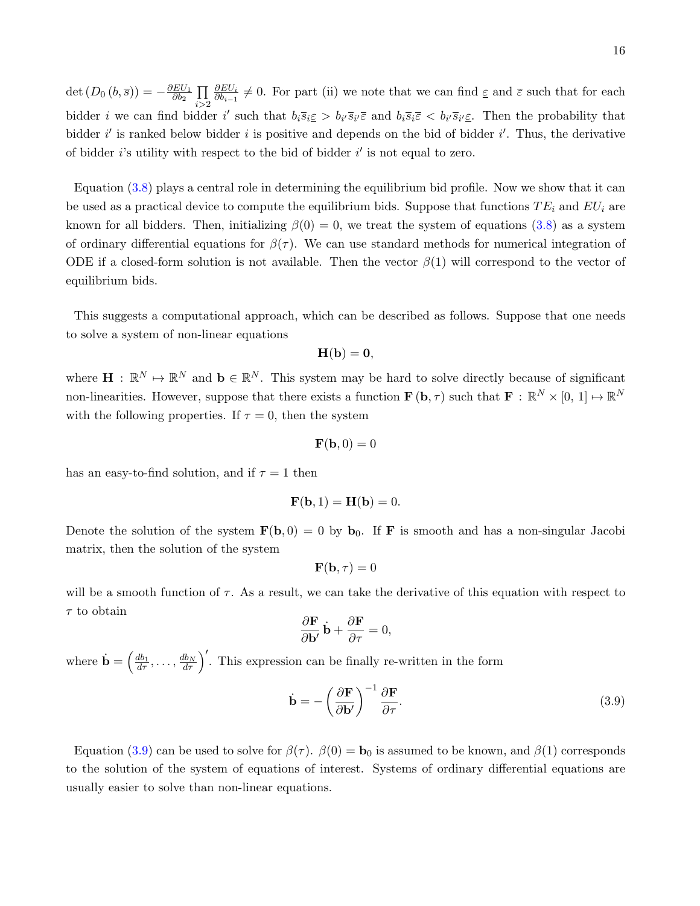det  $(D_0(b,\overline{s})) = -\frac{\partial EU_1}{\partial b_2}$  $\frac{E U_1}{\partial b_2} \prod$  $i > 2$  $\partial EU_i$  $\frac{\partial E U_i}{\partial b_{i-1}} \neq 0$ . For part (ii) we note that we can find  $\underline{\varepsilon}$  and  $\overline{\varepsilon}$  such that for each bidder *i* we can find bidder *i'* such that  $b_i \overline{s_i} \leq b_{i'} \overline{s}_{i'} \overline{\varepsilon}$  and  $b_i \overline{s}_i \overline{\varepsilon} < b_{i'} \overline{s}_{i'} \underline{\varepsilon}$ . Then the probability that bidder  $i'$  is ranked below bidder i is positive and depends on the bid of bidder  $i'$ . Thus, the derivative of bidder  $i$ 's utility with respect to the bid of bidder  $i'$  is not equal to zero.

Equation [\(3.8\)](#page-13-0) plays a central role in determining the equilibrium bid profile. Now we show that it can be used as a practical device to compute the equilibrium bids. Suppose that functions  $TE_i$  and  $EU_i$  are known for all bidders. Then, initializing  $\beta(0) = 0$ , we treat the system of equations [\(3.8\)](#page-13-0) as a system of ordinary differential equations for  $\beta(\tau)$ . We can use standard methods for numerical integration of ODE if a closed-form solution is not available. Then the vector  $\beta(1)$  will correspond to the vector of equilibrium bids.

This suggests a computational approach, which can be described as follows. Suppose that one needs to solve a system of non-linear equations

$$
\mathbf{H}(\mathbf{b}) = \mathbf{0},
$$

where  $\mathbf{H}: \mathbb{R}^N \mapsto \mathbb{R}^N$  and  $\mathbf{b} \in \mathbb{R}^N$ . This system may be hard to solve directly because of significant non-linearities. However, suppose that there exists a function  $\mathbf{F}(\mathbf{b},\tau)$  such that  $\mathbf{F}: \mathbb{R}^N \times [0,1] \mapsto \mathbb{R}^N$ with the following properties. If  $\tau = 0$ , then the system

$$
\mathbf{F}(\mathbf{b},0) = 0
$$

has an easy-to-find solution, and if  $\tau = 1$  then

$$
\mathbf{F}(\mathbf{b},1) = \mathbf{H}(\mathbf{b}) = 0.
$$

Denote the solution of the system  $\mathbf{F}(\mathbf{b}, 0) = 0$  by  $\mathbf{b}_0$ . If **F** is smooth and has a non-singular Jacobi matrix, then the solution of the system

$$
\mathbf{F}(\mathbf{b},\tau)=0
$$

will be a smooth function of  $\tau$ . As a result, we can take the derivative of this equation with respect to  $\tau$  to obtain

$$
\frac{\partial \mathbf{F}}{\partial \mathbf{b}'} \dot{\mathbf{b}} + \frac{\partial \mathbf{F}}{\partial \tau} = 0,
$$

where  $\dot{\mathbf{b}} = \left(\frac{db_1}{d\tau}, \ldots, \frac{db_N}{d\tau}\right)'$ . This expression can be finally re-written in the form

<span id="page-15-0"></span>
$$
\dot{\mathbf{b}} = -\left(\frac{\partial \mathbf{F}}{\partial \mathbf{b}'}\right)^{-1} \frac{\partial \mathbf{F}}{\partial \tau}.
$$
\n(3.9)

Equation [\(3.9\)](#page-15-0) can be used to solve for  $\beta(\tau)$ .  $\beta(0) = \mathbf{b}_0$  is assumed to be known, and  $\beta(1)$  corresponds to the solution of the system of equations of interest. Systems of ordinary differential equations are usually easier to solve than non-linear equations.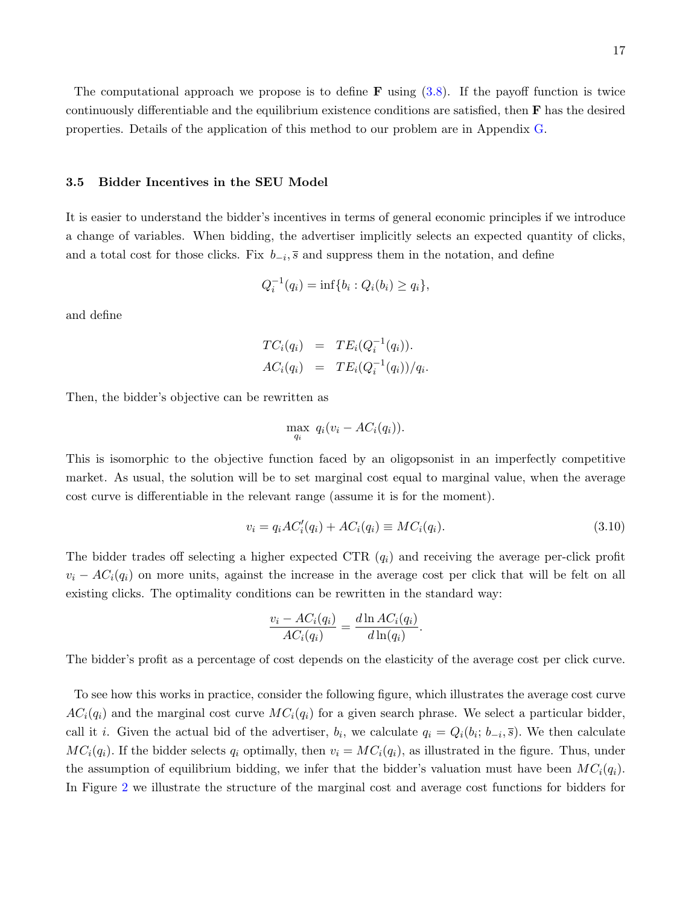The computational approach we propose is to define **F** using  $(3.8)$ . If the payoff function is twice continuously differentiable and the equilibrium existence conditions are satisfied, then  $\bf{F}$  has the desired properties. Details of the application of this method to our problem are in Appendix [G.](#page-58-0)

## 3.5 Bidder Incentives in the SEU Model

It is easier to understand the bidder's incentives in terms of general economic principles if we introduce a change of variables. When bidding, the advertiser implicitly selects an expected quantity of clicks, and a total cost for those clicks. Fix  $b_{-i}$ , s and suppress them in the notation, and define

$$
Q_i^{-1}(q_i) = \inf\{b_i : Q_i(b_i) \ge q_i\},\
$$

and define

$$
TC_i(q_i) = TE_i(Q_i^{-1}(q_i)).
$$
  

$$
AC_i(q_i) = TE_i(Q_i^{-1}(q_i))/q_i.
$$

Then, the bidder's objective can be rewritten as

$$
\max_{q_i} q_i(v_i - AC_i(q_i)).
$$

This is isomorphic to the objective function faced by an oligopsonist in an imperfectly competitive market. As usual, the solution will be to set marginal cost equal to marginal value, when the average cost curve is differentiable in the relevant range (assume it is for the moment).

$$
v_i = q_i A C_i'(q_i) + A C_i(q_i) \equiv M C_i(q_i). \tag{3.10}
$$

.

The bidder trades off selecting a higher expected CTR  $(q_i)$  and receiving the average per-click profit  $v_i - AC_i(q_i)$  on more units, against the increase in the average cost per click that will be felt on all existing clicks. The optimality conditions can be rewritten in the standard way:

$$
\frac{v_i - AC_i(q_i)}{AC_i(q_i)} = \frac{d \ln AC_i(q_i)}{d \ln(q_i)}
$$

The bidder's profit as a percentage of cost depends on the elasticity of the average cost per click curve.

To see how this works in practice, consider the following figure, which illustrates the average cost curve  $AC_i(q_i)$  and the marginal cost curve  $MC_i(q_i)$  for a given search phrase. We select a particular bidder, call it *i*. Given the actual bid of the advertiser,  $b_i$ , we calculate  $q_i = Q_i(b_i; b_{-i}, \overline{s})$ . We then calculate  $MC_i(q_i)$ . If the bidder selects  $q_i$  optimally, then  $v_i = MC_i(q_i)$ , as illustrated in the figure. Thus, under the assumption of equilibrium bidding, we infer that the bidder's valuation must have been  $MC_i(q_i)$ . In Figure [2](#page-17-0) we illustrate the structure of the marginal cost and average cost functions for bidders for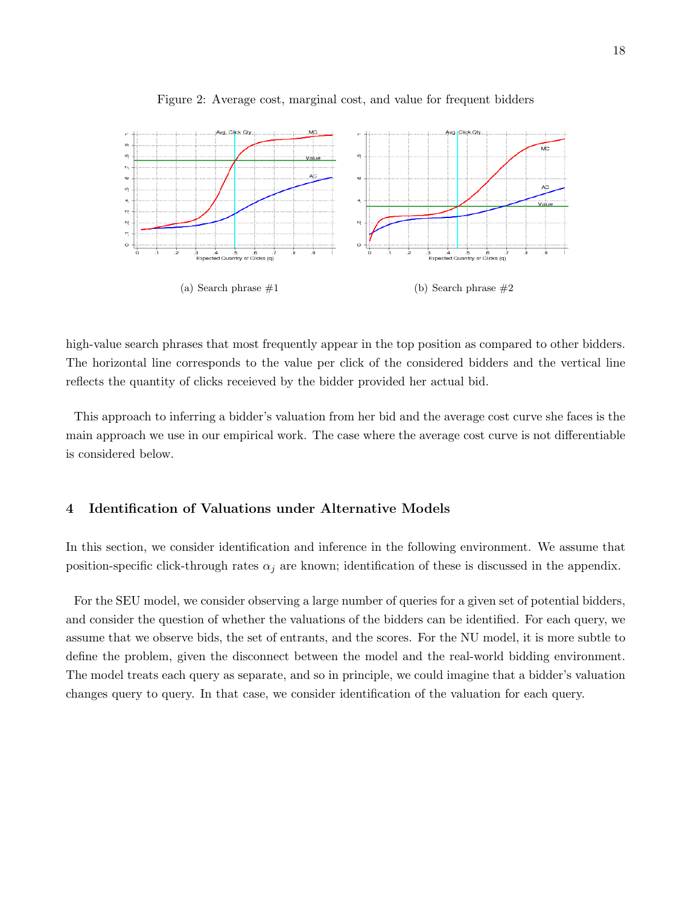

<span id="page-17-0"></span>Figure 2: Average cost, marginal cost, and value for frequent bidders

high-value search phrases that most frequently appear in the top position as compared to other bidders. The horizontal line corresponds to the value per click of the considered bidders and the vertical line reflects the quantity of clicks receieved by the bidder provided her actual bid.

This approach to inferring a bidder's valuation from her bid and the average cost curve she faces is the main approach we use in our empirical work. The case where the average cost curve is not differentiable is considered below.

## 4 Identification of Valuations under Alternative Models

In this section, we consider identification and inference in the following environment. We assume that position-specific click-through rates  $\alpha_j$  are known; identification of these is discussed in the appendix.

For the SEU model, we consider observing a large number of queries for a given set of potential bidders, and consider the question of whether the valuations of the bidders can be identified. For each query, we assume that we observe bids, the set of entrants, and the scores. For the NU model, it is more subtle to define the problem, given the disconnect between the model and the real-world bidding environment. The model treats each query as separate, and so in principle, we could imagine that a bidder's valuation changes query to query. In that case, we consider identification of the valuation for each query.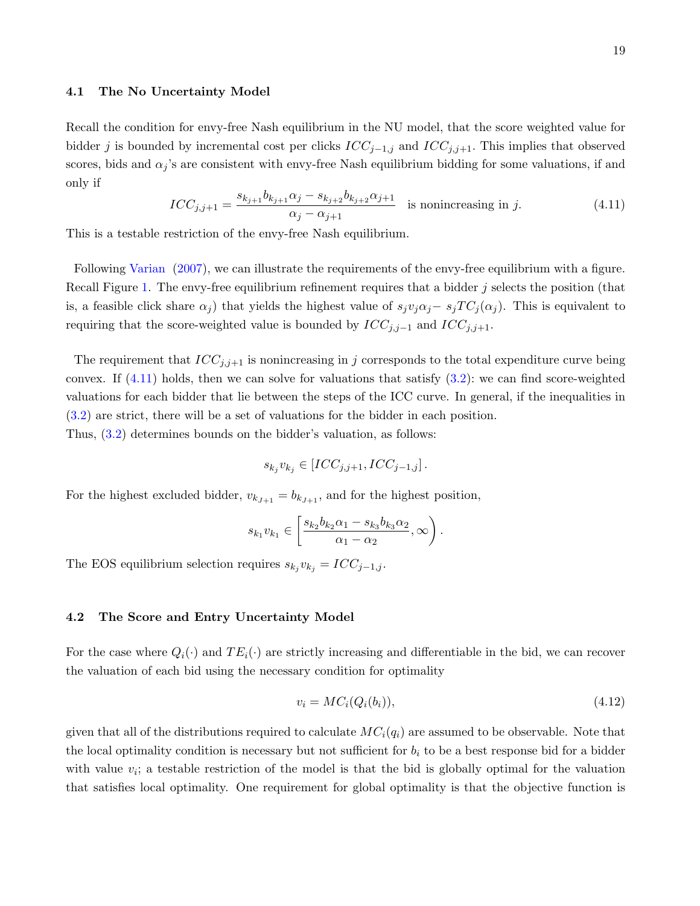Recall the condition for envy-free Nash equilibrium in the NU model, that the score weighted value for bidder j is bounded by incremental cost per clicks  $ICC_{j-1,j}$  and  $ICC_{j,j+1}$ . This implies that observed scores, bids and  $\alpha_i$ 's are consistent with envy-free Nash equilibrium bidding for some valuations, if and only if

<span id="page-18-0"></span>
$$
ICC_{j,j+1} = \frac{s_{k_{j+1}}b_{k_{j+1}}\alpha_j - s_{k_{j+2}}b_{k_{j+2}}\alpha_{j+1}}{\alpha_j - \alpha_{j+1}}
$$
 is nonincreasing in j. (4.11)

This is a testable restriction of the envy-free Nash equilibrium.

Following [Varian](#page-44-0) [\(2007\)](#page-44-0), we can illustrate the requirements of the envy-free equilibrium with a figure. Recall Figure [1.](#page-9-1) The envy-free equilibrium refinement requires that a bidder  $j$  selects the position (that is, a feasible click share  $\alpha_j$ ) that yields the highest value of  $s_jv_j\alpha_j-s_jT C_j(\alpha_j)$ . This is equivalent to requiring that the score-weighted value is bounded by  $ICC_{j,j-1}$  and  $ICC_{j,j+1}$ .

The requirement that  $ICC_{j,j+1}$  is nonincreasing in j corresponds to the total expenditure curve being convex. If  $(4.11)$  holds, then we can solve for valuations that satisfy  $(3.2)$ : we can find score-weighted valuations for each bidder that lie between the steps of the ICC curve. In general, if the inequalities in [\(3.2\)](#page-8-0) are strict, there will be a set of valuations for the bidder in each position. Thus, [\(3.2\)](#page-8-0) determines bounds on the bidder's valuation, as follows:

$$
s_{k_j}v_{k_j} \in [ICC_{j,j+1}, ICC_{j-1,j}].
$$

For the highest excluded bidder,  $v_{k_{J+1}} = b_{k_{J+1}}$ , and for the highest position,

$$
s_{k_1}v_{k_1} \in \left[\frac{s_{k_2}b_{k_2}\alpha_1 - s_{k_3}b_{k_3}\alpha_2}{\alpha_1 - \alpha_2},\infty\right).
$$

The EOS equilibrium selection requires  $s_{k_j}v_{k_j} = ICC_{j-1,j}$ .

## 4.2 The Score and Entry Uncertainty Model

For the case where  $Q_i(\cdot)$  and  $TE_i(\cdot)$  are strictly increasing and differentiable in the bid, we can recover the valuation of each bid using the necessary condition for optimality

$$
v_i = MC_i(Q_i(b_i)),\tag{4.12}
$$

given that all of the distributions required to calculate  $MC<sub>i</sub>(q<sub>i</sub>)$  are assumed to be observable. Note that the local optimality condition is necessary but not sufficient for  $b_i$  to be a best response bid for a bidder with value  $v_i$ ; a testable restriction of the model is that the bid is globally optimal for the valuation that satisfies local optimality. One requirement for global optimality is that the objective function is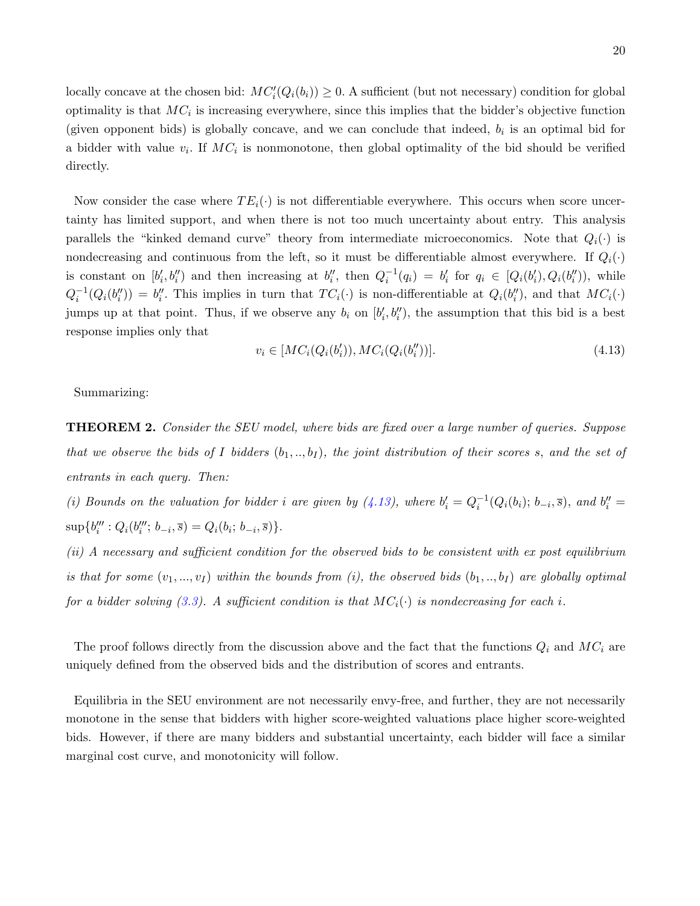locally concave at the chosen bid:  $MC_i'(Q_i(b_i)) \geq 0$ . A sufficient (but not necessary) condition for global optimality is that  $MC_i$  is increasing everywhere, since this implies that the bidder's objective function (given opponent bids) is globally concave, and we can conclude that indeed,  $b_i$  is an optimal bid for a bidder with value  $v_i$ . If  $MC_i$  is nonmonotone, then global optimality of the bid should be verified directly.

Now consider the case where  $TE_i(\cdot)$  is not differentiable everywhere. This occurs when score uncertainty has limited support, and when there is not too much uncertainty about entry. This analysis parallels the "kinked demand curve" theory from intermediate microeconomics. Note that  $Q_i(\cdot)$  is nondecreasing and continuous from the left, so it must be differentiable almost everywhere. If  $Q_i(\cdot)$ is constant on  $[b'_i, b''_i]$  and then increasing at  $b''_i$ , then  $Q_i^{-1}(q_i) = b'_i$  for  $q_i \in [Q_i(b'_i), Q_i(b''_i))$ , while  $Q_i^{-1}(Q_i(b_i'')) = b_i''$ . This implies in turn that  $TC_i(\cdot)$  is non-differentiable at  $Q_i(b_i'')$ , and that  $MC_i(\cdot)$ jumps up at that point. Thus, if we observe any  $b_i$  on  $[b'_i, b''_i]$ , the assumption that this bid is a best response implies only that

<span id="page-19-0"></span>
$$
v_i \in [MC_i(Q_i(b'_i)), MC_i(Q_i(b''_i))].
$$
\n(4.13)

Summarizing:

**THEOREM 2.** Consider the SEU model, where bids are fixed over a large number of queries. Suppose that we observe the bids of I bidders  $(b_1,..,b_I)$ , the joint distribution of their scores s, and the set of entrants in each query. Then:

(i) Bounds on the valuation for bidder i are given by  $(4.13)$ , where  $b'_i = Q_i^{-1}(Q_i(b_i); b_{-i}, \overline{s})$ , and  $b''_i =$  $\sup\{b_i''': Q_i(b_i''; b_{-i}, \overline{s}) = Q_i(b_i; b_{-i}, \overline{s})\}.$ 

(ii) A necessary and sufficient condition for the observed bids to be consistent with ex post equilibrium is that for some  $(v_1, ..., v_l)$  within the bounds from (i), the observed bids  $(b_1, ..., b_l)$  are globally optimal for a bidder solving [\(3.3\)](#page-11-0). A sufficient condition is that  $MC_i(\cdot)$  is nondecreasing for each i.

The proof follows directly from the discussion above and the fact that the functions  $Q_i$  and  $MC_i$  are uniquely defined from the observed bids and the distribution of scores and entrants.

Equilibria in the SEU environment are not necessarily envy-free, and further, they are not necessarily monotone in the sense that bidders with higher score-weighted valuations place higher score-weighted bids. However, if there are many bidders and substantial uncertainty, each bidder will face a similar marginal cost curve, and monotonicity will follow.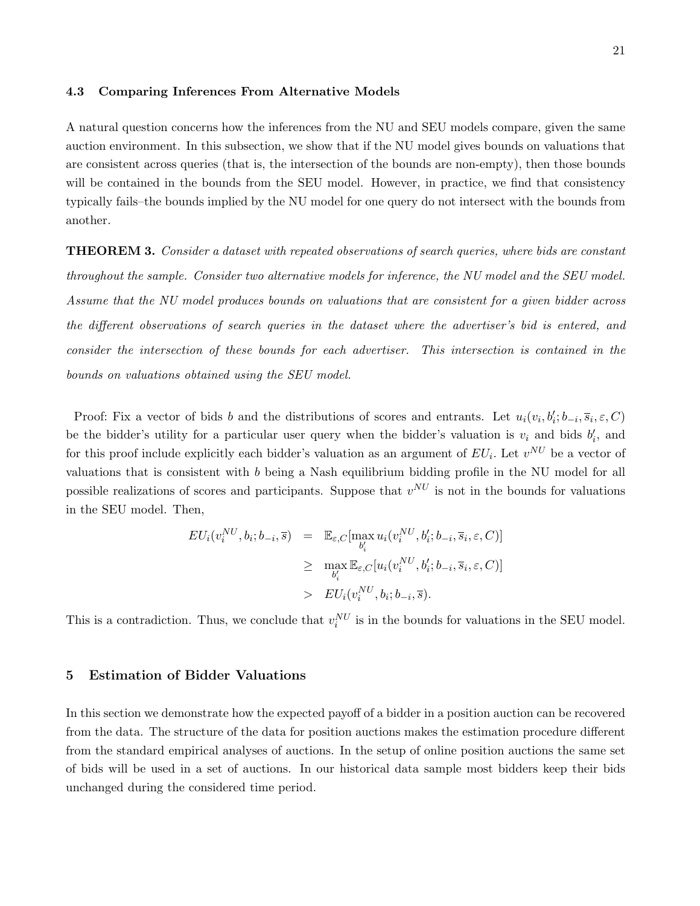#### 4.3 Comparing Inferences From Alternative Models

A natural question concerns how the inferences from the NU and SEU models compare, given the same auction environment. In this subsection, we show that if the NU model gives bounds on valuations that are consistent across queries (that is, the intersection of the bounds are non-empty), then those bounds will be contained in the bounds from the SEU model. However, in practice, we find that consistency typically fails–the bounds implied by the NU model for one query do not intersect with the bounds from another.

<span id="page-20-0"></span>**THEOREM 3.** Consider a dataset with repeated observations of search queries, where bids are constant throughout the sample. Consider two alternative models for inference, the NU model and the SEU model. Assume that the NU model produces bounds on valuations that are consistent for a given bidder across the different observations of search queries in the dataset where the advertiser's bid is entered, and consider the intersection of these bounds for each advertiser. This intersection is contained in the bounds on valuations obtained using the SEU model.

Proof: Fix a vector of bids b and the distributions of scores and entrants. Let  $u_i(v_i, b'_i; b_{-i}, \overline{s}_i, \varepsilon, C)$ be the bidder's utility for a particular user query when the bidder's valuation is  $v_i$  and bids  $b'_i$ , and for this proof include explicitly each bidder's valuation as an argument of  $EU_i$ . Let  $v^{NU}$  be a vector of valuations that is consistent with b being a Nash equilibrium bidding profile in the NU model for all possible realizations of scores and participants. Suppose that  $v^{NU}$  is not in the bounds for valuations in the SEU model. Then,

$$
EU_i(v_i^{NU}, b_i; b_{-i}, \overline{s}) = \mathbb{E}_{\varepsilon, C}[\max_{b_i'} u_i(v_i^{NU}, b_i'; b_{-i}, \overline{s}_i, \varepsilon, C)]
$$
  
\n
$$
\geq \max_{b_i'} \mathbb{E}_{\varepsilon, C}[u_i(v_i^{NU}, b_i'; b_{-i}, \overline{s}_i, \varepsilon, C)]
$$
  
\n
$$
> EU_i(v_i^{NU}, b_i; b_{-i}, \overline{s}).
$$

This is a contradiction. Thus, we conclude that  $v_i^{NU}$  is in the bounds for valuations in the SEU model.

## 5 Estimation of Bidder Valuations

In this section we demonstrate how the expected payoff of a bidder in a position auction can be recovered from the data. The structure of the data for position auctions makes the estimation procedure different from the standard empirical analyses of auctions. In the setup of online position auctions the same set of bids will be used in a set of auctions. In our historical data sample most bidders keep their bids unchanged during the considered time period.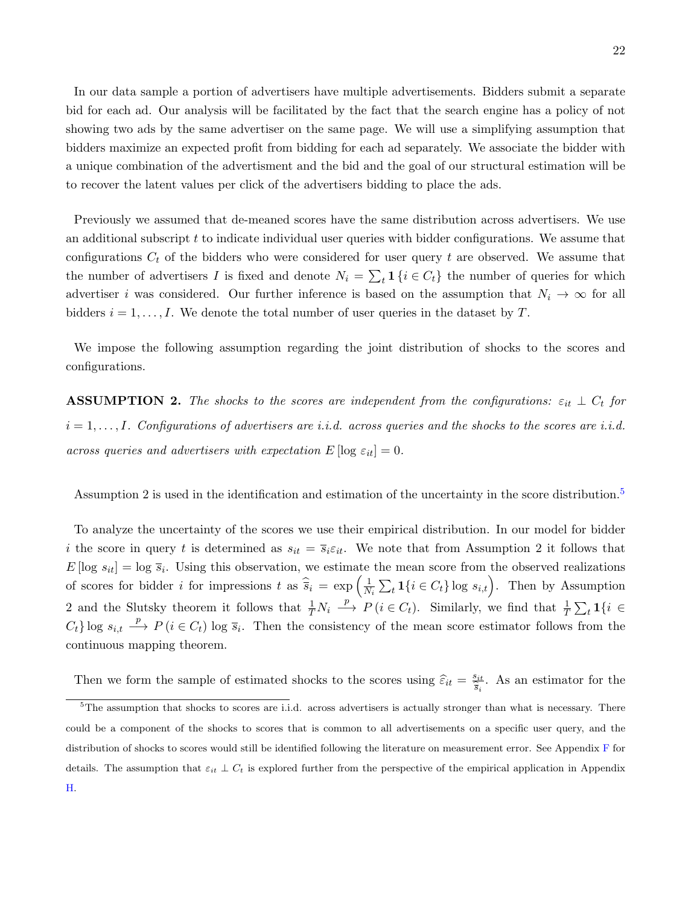In our data sample a portion of advertisers have multiple advertisements. Bidders submit a separate bid for each ad. Our analysis will be facilitated by the fact that the search engine has a policy of not showing two ads by the same advertiser on the same page. We will use a simplifying assumption that bidders maximize an expected profit from bidding for each ad separately. We associate the bidder with a unique combination of the advertisment and the bid and the goal of our structural estimation will be to recover the latent values per click of the advertisers bidding to place the ads.

Previously we assumed that de-meaned scores have the same distribution across advertisers. We use an additional subscript t to indicate individual user queries with bidder configurations. We assume that configurations  $C_t$  of the bidders who were considered for user query t are observed. We assume that the number of advertisers I is fixed and denote  $N_i = \sum_t \mathbf{1} \{i \in C_t\}$  the number of queries for which advertiser i was considered. Our further inference is based on the assumption that  $N_i \to \infty$  for all bidders  $i = 1, \ldots, I$ . We denote the total number of user queries in the dataset by T.

We impose the following assumption regarding the joint distribution of shocks to the scores and configurations.

**ASSUMPTION 2.** The shocks to the scores are independent from the configurations:  $\varepsilon_{it} \perp C_t$  for  $i = 1, \ldots, I$ . Configurations of advertisers are i.i.d. across queries and the shocks to the scores are i.i.d. across queries and advertisers with expectation  $E[\log \varepsilon_{it}] = 0$ .

Assumption 2 is used in the identification and estimation of the uncertainty in the score distribution.<sup>[5](#page-21-0)</sup>

To analyze the uncertainty of the scores we use their empirical distribution. In our model for bidder i the score in query t is determined as  $s_{it} = \overline{s_i} \varepsilon_{it}$ . We note that from Assumption 2 it follows that  $E[\log s_{it}] = \log \overline{s}_i$ . Using this observation, we estimate the mean score from the observed realizations of scores for bidder *i* for impressions  $t$  as  $\widehat{\overline{s}}_i = \exp\left(\frac{1}{N}\right)$  $\frac{1}{N_i} \sum_t \mathbf{1}\{i \in C_t\}$  log  $s_{i,t}$ . Then by Assumption 2 and the Slutsky theorem it follows that  $\frac{1}{T}N_i \stackrel{p}{\longrightarrow} P(i \in C_t)$ . Similarly, we find that  $\frac{1}{T}\sum_t \mathbf{1}\{i \in C_t\}$  $C_t$  log  $s_{i,t} \stackrel{p}{\longrightarrow} P(i \in C_t)$  log  $\overline{s}_i$ . Then the consistency of the mean score estimator follows from the continuous mapping theorem.

<span id="page-21-0"></span>Then we form the sample of estimated shocks to the scores using  $\hat{\varepsilon}_{it} = \frac{s_{it}}{\hat{\overline{s}}_i}$  $\frac{s_{it}}{\hat{s}_i}$ . As an estimator for the

 $5$ The assumption that shocks to scores are i.i.d. across advertisers is actually stronger than what is necessary. There could be a component of the shocks to scores that is common to all advertisements on a specific user query, and the distribution of shocks to scores would still be identified following the literature on measurement error. See Appendix [F](#page-56-0) for details. The assumption that  $\varepsilon_{it} \perp C_t$  is explored further from the perspective of the empirical application in Appendix [H.](#page-60-0)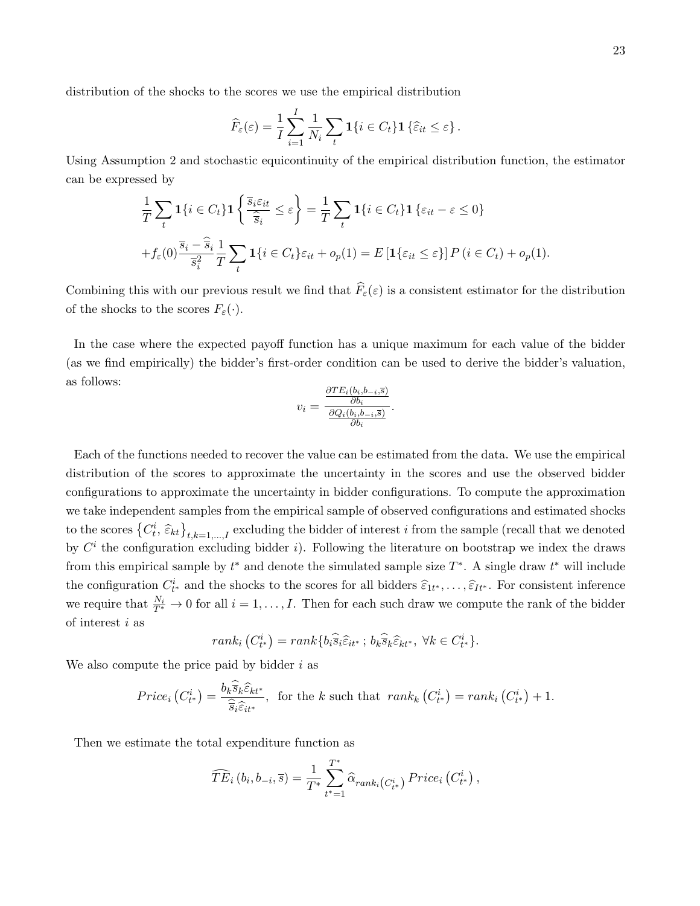distribution of the shocks to the scores we use the empirical distribution

$$
\widehat{F}_{\varepsilon}(\varepsilon) = \frac{1}{I} \sum_{i=1}^{I} \frac{1}{N_i} \sum_{t} \mathbf{1}\{i \in C_t\} \mathbf{1}\left\{\widehat{\varepsilon}_{it} \leq \varepsilon\right\}.
$$

Using Assumption 2 and stochastic equicontinuity of the empirical distribution function, the estimator can be expressed by

$$
\frac{1}{T} \sum_{t} \mathbf{1}\{i \in C_{t}\} \mathbf{1}\left\{\frac{\overline{s}_{i} \varepsilon_{it}}{\widehat{\overline{s}}_{i}} \leq \varepsilon\right\} = \frac{1}{T} \sum_{t} \mathbf{1}\{i \in C_{t}\} \mathbf{1}\left\{\varepsilon_{it} - \varepsilon \leq 0\right\}
$$
\n
$$
+ f_{\varepsilon}(0) \frac{\overline{s}_{i} - \widehat{\overline{s}}_{i}}{\overline{s}_{i}^{2}} \frac{1}{T} \sum_{t} \mathbf{1}\{i \in C_{t}\} \varepsilon_{it} + o_{p}(1) = E\left[\mathbf{1}\{\varepsilon_{it} \leq \varepsilon\}\right] P\left(i \in C_{t}\right) + o_{p}(1).
$$

Combining this with our previous result we find that  $\hat{F}_{\varepsilon}(\varepsilon)$  is a consistent estimator for the distribution of the shocks to the scores  $F_{\varepsilon}(\cdot)$ .

In the case where the expected payoff function has a unique maximum for each value of the bidder (as we find empirically) the bidder's first-order condition can be used to derive the bidder's valuation, as follows:

$$
v_i = \frac{\frac{\partial TE_i(b_i, b_{-i}, \overline{s})}{\partial b_i}}{\frac{\partial Q_i(b_i, b_{-i}, \overline{s})}{\partial b_i}}.
$$

Each of the functions needed to recover the value can be estimated from the data. We use the empirical distribution of the scores to approximate the uncertainty in the scores and use the observed bidder configurations to approximate the uncertainty in bidder configurations. To compute the approximation we take independent samples from the empirical sample of observed configurations and estimated shocks to the scores  ${C_i^i, \widehat{\varepsilon}_{kt}}_{t,k=1,\dots,I}$  excluding the bidder of interest i from the sample (recall that we denoted by  $C^i$  the configuration excluding bidder i). Following the literature on bootstrap we index the draws from this empirical sample by  $t^*$  and denote the simulated sample size  $T^*$ . A single draw  $t^*$  will include the configuration  $C_{t^*}^i$  and the shocks to the scores for all bidders  $\widehat{\varepsilon}_{1t^*}, \ldots, \widehat{\varepsilon}_{It^*}$ . For consistent inference we require that  $\frac{N_i}{T^*} \to 0$  for all  $i = 1, \ldots, I$ . Then for each such draw we compute the rank of the bidder of interest i as

$$
rank_i\left(C_{t^*}^i\right) = rank\{b_i\widehat{\overline{s}}_i\widehat{\varepsilon}_{it^*};\,b_k\widehat{\overline{s}}_k\widehat{\varepsilon}_{kt^*},\,\forall k\in C_{t^*}^i\}.
$$

We also compute the price paid by bidder  $i$  as

$$
Price_i(C_{t^*}^i) = \frac{b_k \widehat{\overline{s}}_k \widehat{\varepsilon}_{kt^*}}{\widehat{\overline{s}}_i \widehat{\varepsilon}_{it^*}}, \text{ for the } k \text{ such that } rank_k(C_{t^*}^i) = rank_i(C_{t^*}^i) + 1.
$$

Then we estimate the total expenditure function as

$$
\widehat{TE}_{i}(b_{i}, b_{-i}, \overline{s}) = \frac{1}{T^{*}} \sum_{t^{*}=1}^{T^{*}} \widehat{\alpha}_{rank_{i}(C_{t^{*}}^{i})} \operatorname{Price}_{i}(C_{t^{*}}^{i}),
$$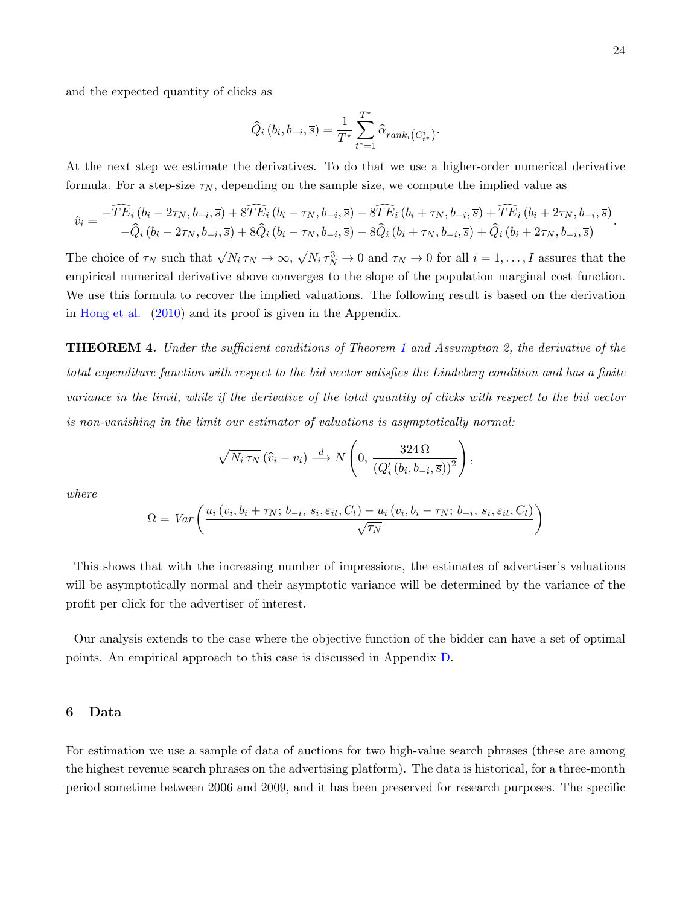and the expected quantity of clicks as

$$
\widehat{Q}_i(b_i, b_{-i}, \overline{s}) = \frac{1}{T^*} \sum_{t^* = 1}^{T^*} \widehat{\alpha}_{rank_i(C_{t^*}^i)}.
$$

At the next step we estimate the derivatives. To do that we use a higher-order numerical derivative formula. For a step-size  $\tau_N$ , depending on the sample size, we compute the implied value as

$$
\hat{v}_i = \frac{-\widehat{TE}_i(b_i - 2\tau_N, b_{-i}, \overline{s}) + 8\widehat{TE}_i(b_i - \tau_N, b_{-i}, \overline{s}) - 8\widehat{TE}_i(b_i + \tau_N, b_{-i}, \overline{s}) + \widehat{TE}_i(b_i + 2\tau_N, b_{-i}, \overline{s})}{-\widehat{Q}_i(b_i - 2\tau_N, b_{-i}, \overline{s}) + 8\widehat{Q}_i(b_i - \tau_N, b_{-i}, \overline{s}) - 8\widehat{Q}_i(b_i + \tau_N, b_{-i}, \overline{s}) + \widehat{Q}_i(b_i + 2\tau_N, b_{-i}, \overline{s})}.
$$

The choice of  $\tau_N$  such that  $\sqrt{N_i \tau_N} \to \infty$ , √  $\overline{N_i} \tau_N^3 \to 0$  and  $\tau_N \to 0$  for all  $i = 1, ..., I$  assures that the empirical numerical derivative above converges to the slope of the population marginal cost function. We use this formula to recover the implied valuations. The following result is based on the derivation in [Hong et al.](#page-43-6) [\(2010\)](#page-43-6) and its proof is given in the Appendix.

**THEOREM 4.** Under the sufficient conditions of Theorem [1](#page-14-0) and Assumption 2, the derivative of the total expenditure function with respect to the bid vector satisfies the Lindeberg condition and has a finite variance in the limit, while if the derivative of the total quantity of clicks with respect to the bid vector is non-vanishing in the limit our estimator of valuations is asymptotically normal:

$$
\sqrt{N_i \tau_N} (\widehat{v}_i - v_i) \stackrel{d}{\longrightarrow} N\left(0, \frac{324 \,\Omega}{\left(Q'_i \,(b_i, b_{-i}, \overline{s})\right)^2}\right),
$$

where

$$
\Omega = Var\left(\frac{u_i\left(v_i, b_i + \tau_N; b_{-i}, \overline{s}_i, \varepsilon_{it}, C_t\right) - u_i\left(v_i, b_i - \tau_N; b_{-i}, \overline{s}_i, \varepsilon_{it}, C_t\right)}{\sqrt{\tau_N}}\right)
$$

This shows that with the increasing number of impressions, the estimates of advertiser's valuations will be asymptotically normal and their asymptotic variance will be determined by the variance of the profit per click for the advertiser of interest.

Our analysis extends to the case where the objective function of the bidder can have a set of optimal points. An empirical approach to this case is discussed in Appendix [D.](#page-51-0)

## 6 Data

For estimation we use a sample of data of auctions for two high-value search phrases (these are among the highest revenue search phrases on the advertising platform). The data is historical, for a three-month period sometime between 2006 and 2009, and it has been preserved for research purposes. The specific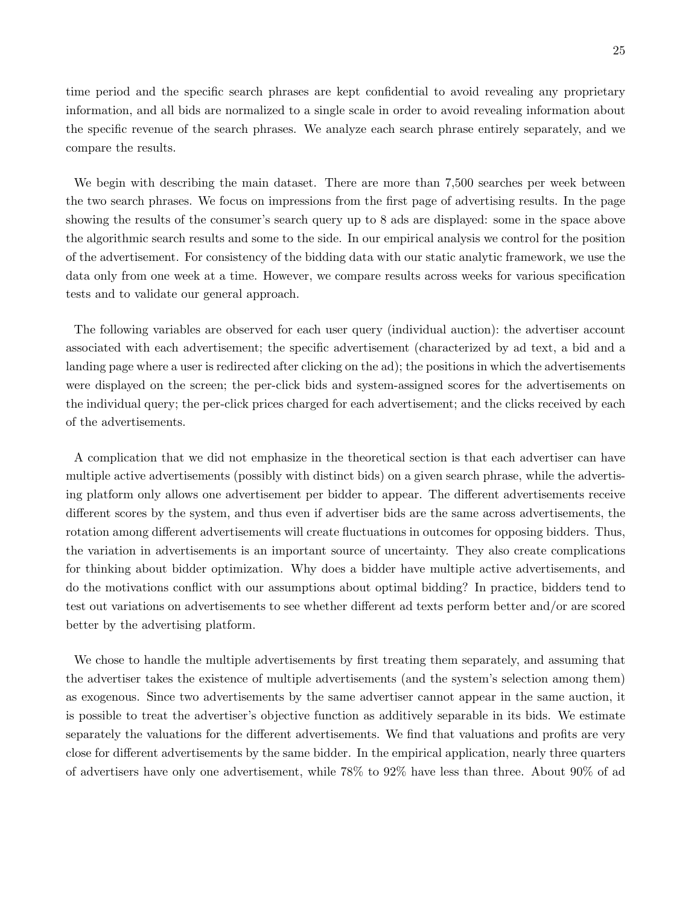time period and the specific search phrases are kept confidential to avoid revealing any proprietary information, and all bids are normalized to a single scale in order to avoid revealing information about the specific revenue of the search phrases. We analyze each search phrase entirely separately, and we compare the results.

We begin with describing the main dataset. There are more than 7,500 searches per week between the two search phrases. We focus on impressions from the first page of advertising results. In the page showing the results of the consumer's search query up to 8 ads are displayed: some in the space above the algorithmic search results and some to the side. In our empirical analysis we control for the position of the advertisement. For consistency of the bidding data with our static analytic framework, we use the data only from one week at a time. However, we compare results across weeks for various specification tests and to validate our general approach.

The following variables are observed for each user query (individual auction): the advertiser account associated with each advertisement; the specific advertisement (characterized by ad text, a bid and a landing page where a user is redirected after clicking on the ad); the positions in which the advertisements were displayed on the screen; the per-click bids and system-assigned scores for the advertisements on the individual query; the per-click prices charged for each advertisement; and the clicks received by each of the advertisements.

A complication that we did not emphasize in the theoretical section is that each advertiser can have multiple active advertisements (possibly with distinct bids) on a given search phrase, while the advertising platform only allows one advertisement per bidder to appear. The different advertisements receive different scores by the system, and thus even if advertiser bids are the same across advertisements, the rotation among different advertisements will create fluctuations in outcomes for opposing bidders. Thus, the variation in advertisements is an important source of uncertainty. They also create complications for thinking about bidder optimization. Why does a bidder have multiple active advertisements, and do the motivations conflict with our assumptions about optimal bidding? In practice, bidders tend to test out variations on advertisements to see whether different ad texts perform better and/or are scored better by the advertising platform.

We chose to handle the multiple advertisements by first treating them separately, and assuming that the advertiser takes the existence of multiple advertisements (and the system's selection among them) as exogenous. Since two advertisements by the same advertiser cannot appear in the same auction, it is possible to treat the advertiser's objective function as additively separable in its bids. We estimate separately the valuations for the different advertisements. We find that valuations and profits are very close for different advertisements by the same bidder. In the empirical application, nearly three quarters of advertisers have only one advertisement, while 78% to 92% have less than three. About 90% of ad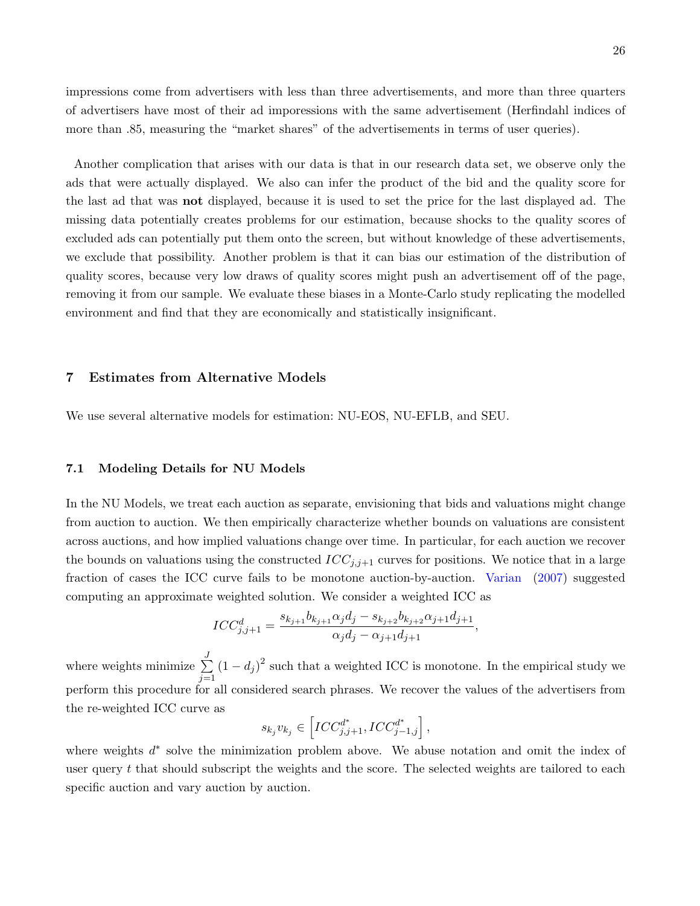impressions come from advertisers with less than three advertisements, and more than three quarters of advertisers have most of their ad imporessions with the same advertisement (Herfindahl indices of more than .85, measuring the "market shares" of the advertisements in terms of user queries).

Another complication that arises with our data is that in our research data set, we observe only the ads that were actually displayed. We also can infer the product of the bid and the quality score for the last ad that was not displayed, because it is used to set the price for the last displayed ad. The missing data potentially creates problems for our estimation, because shocks to the quality scores of excluded ads can potentially put them onto the screen, but without knowledge of these advertisements, we exclude that possibility. Another problem is that it can bias our estimation of the distribution of quality scores, because very low draws of quality scores might push an advertisement off of the page, removing it from our sample. We evaluate these biases in a Monte-Carlo study replicating the modelled environment and find that they are economically and statistically insignificant.

## 7 Estimates from Alternative Models

We use several alternative models for estimation: NU-EOS, NU-EFLB, and SEU.

## 7.1 Modeling Details for NU Models

In the NU Models, we treat each auction as separate, envisioning that bids and valuations might change from auction to auction. We then empirically characterize whether bounds on valuations are consistent across auctions, and how implied valuations change over time. In particular, for each auction we recover the bounds on valuations using the constructed  $ICC_{j,j+1}$  curves for positions. We notice that in a large fraction of cases the ICC curve fails to be monotone auction-by-auction. [Varian](#page-44-0) [\(2007\)](#page-44-0) suggested computing an approximate weighted solution. We consider a weighted ICC as

$$
ICC_{j,j+1}^d = \frac{s_{k_{j+1}}b_{k_{j+1}}\alpha_jd_j - s_{k_{j+2}}b_{k_{j+2}}\alpha_{j+1}d_{j+1}}{\alpha_jd_j - \alpha_{j+1}d_{j+1}},
$$

where weights minimize  $\sum_{n=1}^{J}$  $j=1$  $(1-d_j)^2$  such that a weighted ICC is monotone. In the empirical study we perform this procedure for all considered search phrases. We recover the values of the advertisers from the re-weighted ICC curve as

$$
s_{k_j}v_{k_j} \in \left[ICC_{j,j+1}^{d^*}, ICC_{j-1,j}^{d^*}\right],
$$

where weights  $d^*$  solve the minimization problem above. We abuse notation and omit the index of user query t that should subscript the weights and the score. The selected weights are tailored to each specific auction and vary auction by auction.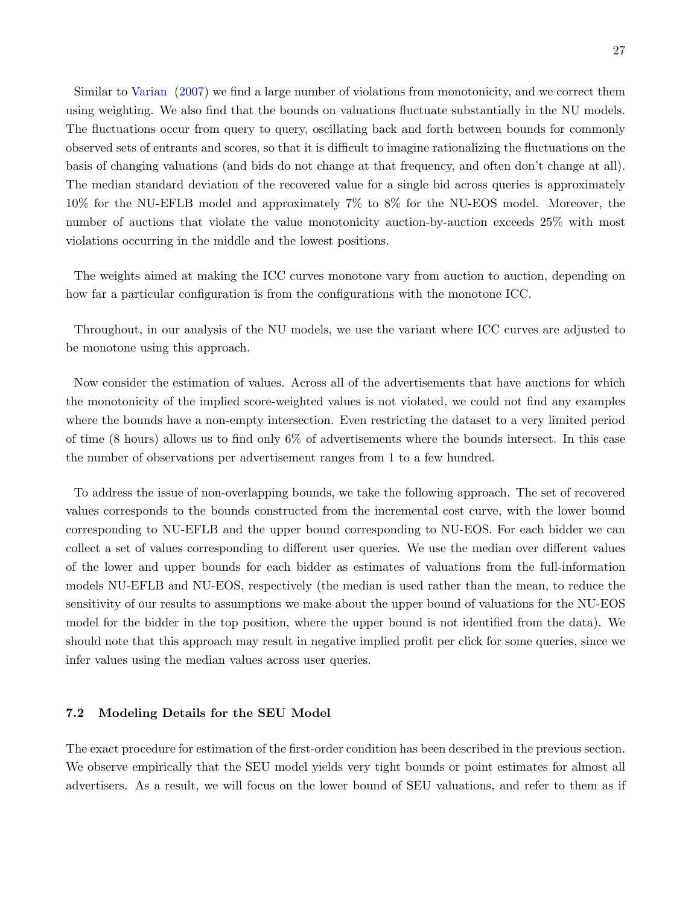Similar to [Varian](#page-44-0) [\(2007\)](#page-44-0) we find a large number of violations from monotonicity, and we correct them using weighting. We also find that the bounds on valuations fluctuate substantially in the NU models. The fluctuations occur from query to query, oscillating back and forth between bounds for commonly observed sets of entrants and scores, so that it is difficult to imagine rationalizing the fluctuations on the basis of changing valuations (and bids do not change at that frequency, and often don't change at all). The median standard deviation of the recovered value for a single bid across queries is approximately 10% for the NU-EFLB model and approximately 7% to 8% for the NU-EOS model. Moreover, the number of auctions that violate the value monotonicity auction-by-auction exceeds 25% with most violations occurring in the middle and the lowest positions.

The weights aimed at making the ICC curves monotone vary from auction to auction, depending on how far a particular configuration is from the configurations with the monotone ICC.

Throughout, in our analysis of the NU models, we use the variant where ICC curves are adjusted to be monotone using this approach.

Now consider the estimation of values. Across all of the advertisements that have auctions for which the monotonicity of the implied score-weighted values is not violated, we could not find any examples where the bounds have a non-empty intersection. Even restricting the dataset to a very limited period of time (8 hours) allows us to find only 6% of advertisements where the bounds intersect. In this case the number of observations per advertisement ranges from 1 to a few hundred.

To address the issue of non-overlapping bounds, we take the following approach. The set of recovered values corresponds to the bounds constructed from the incremental cost curve, with the lower bound corresponding to NU-EFLB and the upper bound corresponding to NU-EOS. For each bidder we can collect a set of values corresponding to different user queries. We use the median over different values of the lower and upper bounds for each bidder as estimates of valuations from the full-information models NU-EFLB and NU-EOS, respectively (the median is used rather than the mean, to reduce the sensitivity of our results to assumptions we make about the upper bound of valuations for the NU-EOS model for the bidder in the top position, where the upper bound is not identified from the data). We should note that this approach may result in negative implied profit per click for some queries, since we infer values using the median values across user queries.

## 7.2 Modeling Details for the SEU Model

The exact procedure for estimation of the first-order condition has been described in the previous section. We observe empirically that the SEU model yields very tight bounds or point estimates for almost all advertisers. As a result, we will focus on the lower bound of SEU valuations, and refer to them as if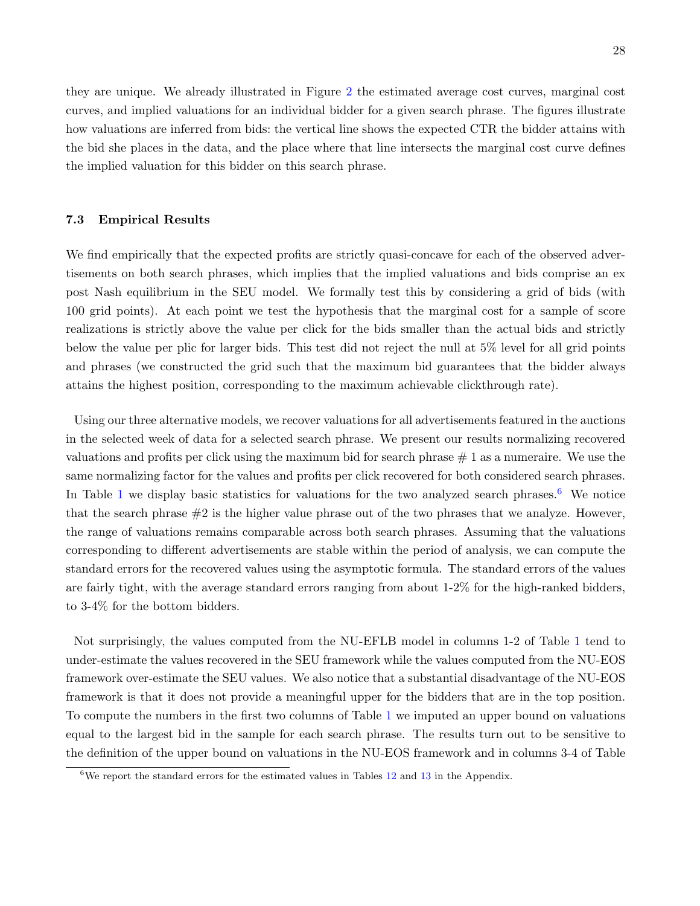they are unique. We already illustrated in Figure [2](#page-17-0) the estimated average cost curves, marginal cost curves, and implied valuations for an individual bidder for a given search phrase. The figures illustrate how valuations are inferred from bids: the vertical line shows the expected CTR the bidder attains with the bid she places in the data, and the place where that line intersects the marginal cost curve defines the implied valuation for this bidder on this search phrase.

### 7.3 Empirical Results

We find empirically that the expected profits are strictly quasi-concave for each of the observed advertisements on both search phrases, which implies that the implied valuations and bids comprise an ex post Nash equilibrium in the SEU model. We formally test this by considering a grid of bids (with 100 grid points). At each point we test the hypothesis that the marginal cost for a sample of score realizations is strictly above the value per click for the bids smaller than the actual bids and strictly below the value per plic for larger bids. This test did not reject the null at 5% level for all grid points and phrases (we constructed the grid such that the maximum bid guarantees that the bidder always attains the highest position, corresponding to the maximum achievable clickthrough rate).

Using our three alternative models, we recover valuations for all advertisements featured in the auctions in the selected week of data for a selected search phrase. We present our results normalizing recovered valuations and profits per click using the maximum bid for search phrase  $# 1$  as a numeraire. We use the same normalizing factor for the values and profits per click recovered for both considered search phrases. In Table [1](#page-28-0) we display basic statistics for valuations for the two analyzed search phrases.<sup>[6](#page-27-0)</sup> We notice that the search phrase  $#2$  is the higher value phrase out of the two phrases that we analyze. However, the range of valuations remains comparable across both search phrases. Assuming that the valuations corresponding to different advertisements are stable within the period of analysis, we can compute the standard errors for the recovered values using the asymptotic formula. The standard errors of the values are fairly tight, with the average standard errors ranging from about 1-2% for the high-ranked bidders, to 3-4% for the bottom bidders.

Not surprisingly, the values computed from the NU-EFLB model in columns 1-2 of Table [1](#page-28-0) tend to under-estimate the values recovered in the SEU framework while the values computed from the NU-EOS framework over-estimate the SEU values. We also notice that a substantial disadvantage of the NU-EOS framework is that it does not provide a meaningful upper for the bidders that are in the top position. To compute the numbers in the first two columns of Table [1](#page-28-0) we imputed an upper bound on valuations equal to the largest bid in the sample for each search phrase. The results turn out to be sensitive to the definition of the upper bound on valuations in the NU-EOS framework and in columns 3-4 of Table

<span id="page-27-0"></span> $6$ We report the standard errors for the estimated values in Tables [12](#page-65-0) and [13](#page-66-0) in the Appendix.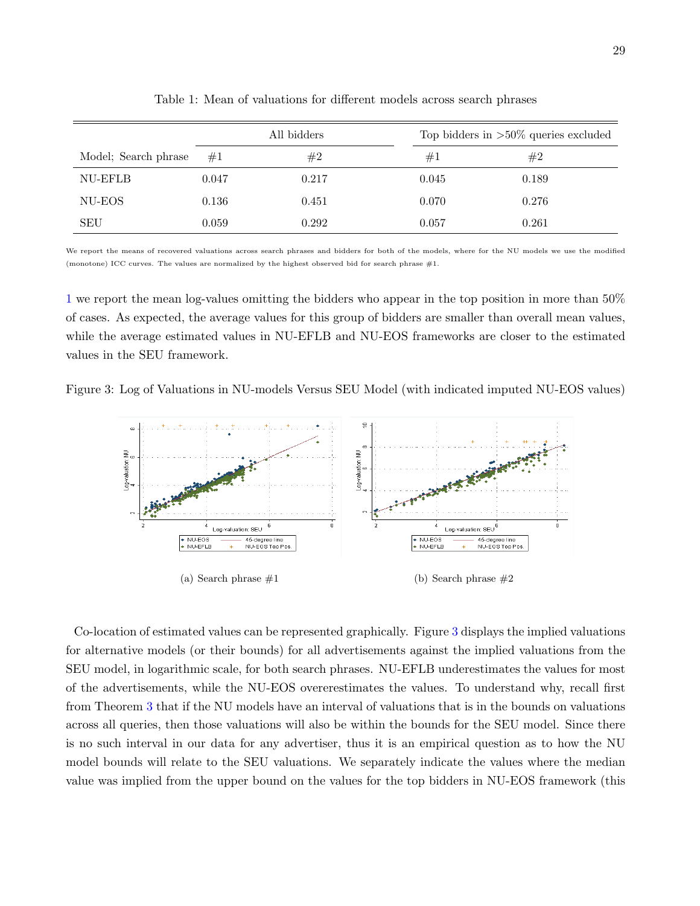|                      |       | All bidders |       | Top bidders in $>50\%$ queries excluded |  |  |
|----------------------|-------|-------------|-------|-----------------------------------------|--|--|
| Model; Search phrase | #1    | #2          | #1    | #2                                      |  |  |
| NU-EFLB              | 0.047 | 0.217       | 0.045 | 0.189                                   |  |  |
| NU-EOS               | 0.136 | 0.451       | 0.070 | 0.276                                   |  |  |
| <b>SEU</b>           | 0.059 | 0.292       | 0.057 | 0.261                                   |  |  |

<span id="page-28-0"></span>Table 1: Mean of valuations for different models across search phrases

We report the means of recovered valuations across search phrases and bidders for both of the models, where for the NU models we use the modified (monotone) ICC curves. The values are normalized by the highest observed bid for search phrase #1.

[1](#page-28-0) we report the mean log-values omitting the bidders who appear in the top position in more than 50% of cases. As expected, the average values for this group of bidders are smaller than overall mean values, while the average estimated values in NU-EFLB and NU-EOS frameworks are closer to the estimated values in the SEU framework.

Figure 3: Log of Valuations in NU-models Versus SEU Model (with indicated imputed NU-EOS values)

<span id="page-28-1"></span>

Co-location of estimated values can be represented graphically. Figure [3](#page-28-1) displays the implied valuations for alternative models (or their bounds) for all advertisements against the implied valuations from the SEU model, in logarithmic scale, for both search phrases. NU-EFLB underestimates the values for most of the advertisements, while the NU-EOS overerestimates the values. To understand why, recall first from Theorem [3](#page-20-0) that if the NU models have an interval of valuations that is in the bounds on valuations across all queries, then those valuations will also be within the bounds for the SEU model. Since there is no such interval in our data for any advertiser, thus it is an empirical question as to how the NU model bounds will relate to the SEU valuations. We separately indicate the values where the median value was implied from the upper bound on the values for the top bidders in NU-EOS framework (this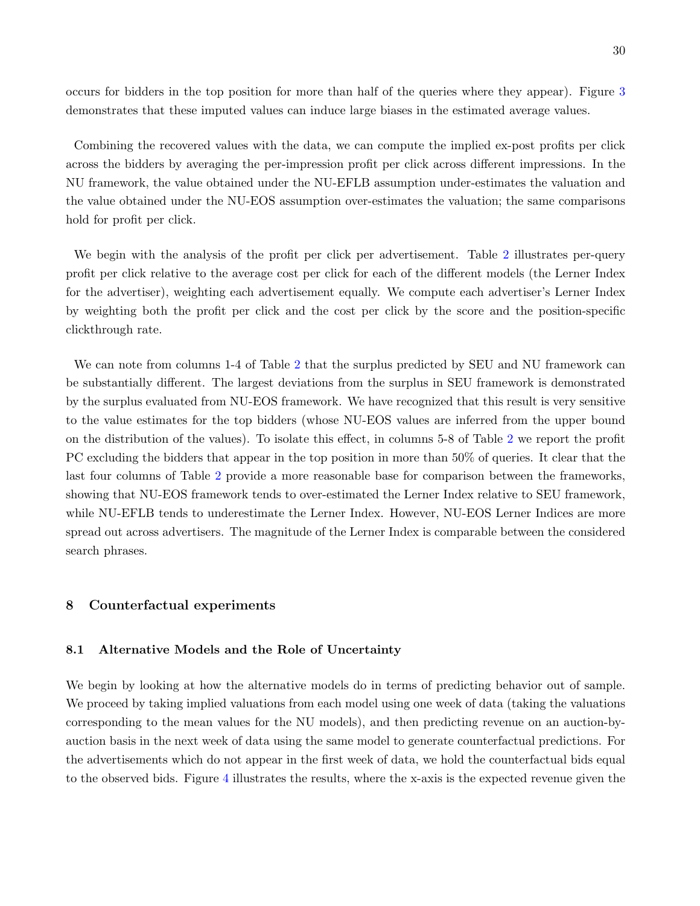30

occurs for bidders in the top position for more than half of the queries where they appear). Figure [3](#page-28-1) demonstrates that these imputed values can induce large biases in the estimated average values.

Combining the recovered values with the data, we can compute the implied ex-post profits per click across the bidders by averaging the per-impression profit per click across different impressions. In the NU framework, the value obtained under the NU-EFLB assumption under-estimates the valuation and the value obtained under the NU-EOS assumption over-estimates the valuation; the same comparisons hold for profit per click.

We begin with the analysis of the profit per click per advertisement. Table [2](#page-30-0) illustrates per-query profit per click relative to the average cost per click for each of the different models (the Lerner Index for the advertiser), weighting each advertisement equally. We compute each advertiser's Lerner Index by weighting both the profit per click and the cost per click by the score and the position-specific clickthrough rate.

We can note from columns 1-4 of Table [2](#page-30-0) that the surplus predicted by SEU and NU framework can be substantially different. The largest deviations from the surplus in SEU framework is demonstrated by the surplus evaluated from NU-EOS framework. We have recognized that this result is very sensitive to the value estimates for the top bidders (whose NU-EOS values are inferred from the upper bound on the distribution of the values). To isolate this effect, in columns 5-8 of Table [2](#page-30-0) we report the profit PC excluding the bidders that appear in the top position in more than 50% of queries. It clear that the last four columns of Table [2](#page-30-0) provide a more reasonable base for comparison between the frameworks, showing that NU-EOS framework tends to over-estimated the Lerner Index relative to SEU framework, while NU-EFLB tends to underestimate the Lerner Index. However, NU-EOS Lerner Indices are more spread out across advertisers. The magnitude of the Lerner Index is comparable between the considered search phrases.

## 8 Counterfactual experiments

## 8.1 Alternative Models and the Role of Uncertainty

We begin by looking at how the alternative models do in terms of predicting behavior out of sample. We proceed by taking implied valuations from each model using one week of data (taking the valuations corresponding to the mean values for the NU models), and then predicting revenue on an auction-byauction basis in the next week of data using the same model to generate counterfactual predictions. For the advertisements which do not appear in the first week of data, we hold the counterfactual bids equal to the observed bids. Figure [4](#page-31-0) illustrates the results, where the x-axis is the expected revenue given the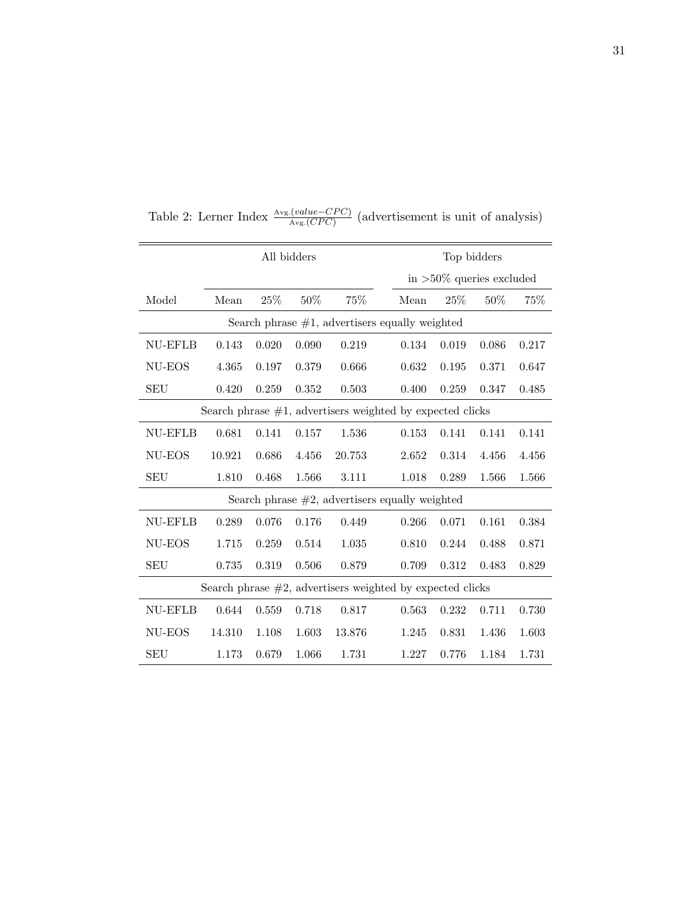|                                                               | All bidders |       |        |                                                              | Top bidders |                             |       |       |       |
|---------------------------------------------------------------|-------------|-------|--------|--------------------------------------------------------------|-------------|-----------------------------|-------|-------|-------|
|                                                               |             |       |        |                                                              |             | in $>50\%$ queries excluded |       |       |       |
| Model                                                         | Mean        | 25%   | $50\%$ | 75%                                                          |             | Mean                        | 25%   | 50%   | 75%   |
| Search phrase $#1$ , advertisers equally weighted             |             |       |        |                                                              |             |                             |       |       |       |
| NU-EFLB                                                       | 0.143       | 0.020 | 0.090  | 0.219                                                        |             | 0.134                       | 0.019 | 0.086 | 0.217 |
| NU-EOS                                                        | 4.365       | 0.197 | 0.379  | 0.666                                                        |             | 0.632                       | 0.195 | 0.371 | 0.647 |
| <b>SEU</b>                                                    | 0.420       | 0.259 | 0.352  | 0.503                                                        |             | 0.400                       | 0.259 | 0.347 | 0.485 |
|                                                               |             |       |        | Search phrase $#1$ , advertisers weighted by expected clicks |             |                             |       |       |       |
| NU-EFLB                                                       | 0.681       | 0.141 | 0.157  | 1.536                                                        |             | 0.153                       | 0.141 | 0.141 | 0.141 |
| NU-EOS                                                        | 10.921      | 0.686 | 4.456  | 20.753                                                       |             | 2.652                       | 0.314 | 4.456 | 4.456 |
| <b>SEU</b>                                                    | 1.810       | 0.468 | 1.566  | 3.111                                                        |             | 1.018                       | 0.289 | 1.566 | 1.566 |
| Search phrase $#2$ , advertisers equally weighted             |             |       |        |                                                              |             |                             |       |       |       |
| NU-EFLB                                                       | 0.289       | 0.076 | 0.176  | 0.449                                                        |             | 0.266                       | 0.071 | 0.161 | 0.384 |
| NU-EOS                                                        | 1.715       | 0.259 | 0.514  | 1.035                                                        |             | 0.810                       | 0.244 | 0.488 | 0.871 |
| <b>SEU</b>                                                    | 0.735       | 0.319 | 0.506  | 0.879                                                        |             | 0.709                       | 0.312 | 0.483 | 0.829 |
| Search phrase $\#2$ , advertisers weighted by expected clicks |             |       |        |                                                              |             |                             |       |       |       |
| NU-EFLB                                                       | 0.644       | 0.559 | 0.718  | 0.817                                                        |             | 0.563                       | 0.232 | 0.711 | 0.730 |
| NU-EOS                                                        | 14.310      | 1.108 | 1.603  | 13.876                                                       |             | 1.245                       | 0.831 | 1.436 | 1.603 |
| SEU                                                           | 1.173       | 0.679 | 1.066  | 1.731                                                        |             | 1.227                       | 0.776 | 1.184 | 1.731 |

<span id="page-30-0"></span>Table 2: Lerner Index  $\frac{\text{Avg.}(value - CPC)}{\text{Avg.}(CPC)}$  (advertisement is unit of analysis)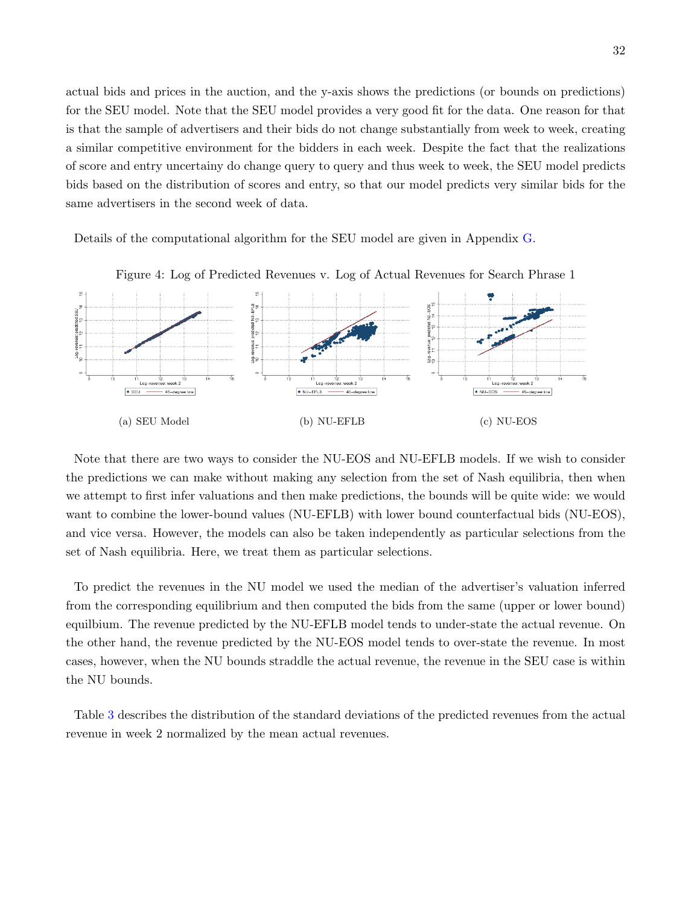actual bids and prices in the auction, and the y-axis shows the predictions (or bounds on predictions) for the SEU model. Note that the SEU model provides a very good fit for the data. One reason for that is that the sample of advertisers and their bids do not change substantially from week to week, creating a similar competitive environment for the bidders in each week. Despite the fact that the realizations of score and entry uncertainy do change query to query and thus week to week, the SEU model predicts bids based on the distribution of scores and entry, so that our model predicts very similar bids for the same advertisers in the second week of data.

Details of the computational algorithm for the SEU model are given in Appendix [G.](#page-58-0)



<span id="page-31-0"></span>Figure 4: Log of Predicted Revenues v. Log of Actual Revenues for Search Phrase 1

Note that there are two ways to consider the NU-EOS and NU-EFLB models. If we wish to consider the predictions we can make without making any selection from the set of Nash equilibria, then when we attempt to first infer valuations and then make predictions, the bounds will be quite wide: we would want to combine the lower-bound values (NU-EFLB) with lower bound counterfactual bids (NU-EOS), and vice versa. However, the models can also be taken independently as particular selections from the set of Nash equilibria. Here, we treat them as particular selections.

To predict the revenues in the NU model we used the median of the advertiser's valuation inferred from the corresponding equilibrium and then computed the bids from the same (upper or lower bound) equilbium. The revenue predicted by the NU-EFLB model tends to under-state the actual revenue. On the other hand, the revenue predicted by the NU-EOS model tends to over-state the revenue. In most cases, however, when the NU bounds straddle the actual revenue, the revenue in the SEU case is within the NU bounds.

Table [3](#page-32-0) describes the distribution of the standard deviations of the predicted revenues from the actual revenue in week 2 normalized by the mean actual revenues.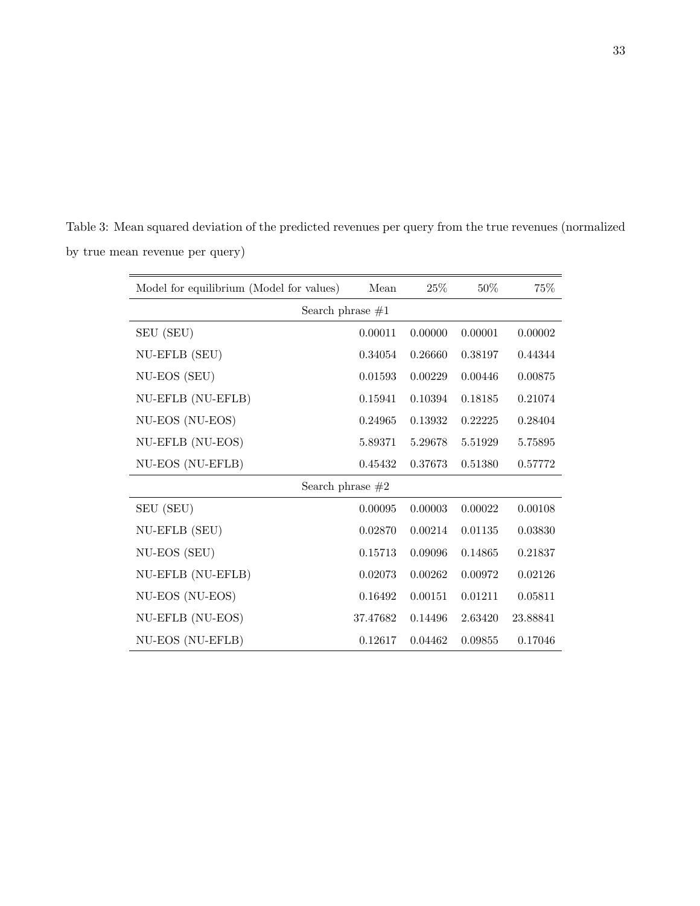<span id="page-32-0"></span>

| Table 3: Mean squared deviation of the predicted revenues per query from the true revenues (normalized |
|--------------------------------------------------------------------------------------------------------|
| by true mean revenue per query)                                                                        |

| Model for equilibrium (Model for values) | Mean               | 25%     | 50%     | 75%      |
|------------------------------------------|--------------------|---------|---------|----------|
|                                          | Search phrase $#1$ |         |         |          |
| SEU (SEU)                                | 0.00011            | 0.00000 | 0.00001 | 0.00002  |
| NU-EFLB (SEU)                            | 0.34054            | 0.26660 | 0.38197 | 0.44344  |
| NU-EOS (SEU)                             | 0.01593            | 0.00229 | 0.00446 | 0.00875  |
| NU-EFLB (NU-EFLB)                        | 0.15941            | 0.10394 | 0.18185 | 0.21074  |
| NU-EOS (NU-EOS)                          | 0.24965            | 0.13932 | 0.22225 | 0.28404  |
| NU-EFLB (NU-EOS)                         | 5.89371            | 5.29678 | 5.51929 | 5.75895  |
| NU-EOS (NU-EFLB)                         | 0.45432            | 0.37673 | 0.51380 | 0.57772  |
|                                          | Search phrase $#2$ |         |         |          |
| SEU (SEU)                                | 0.00095            | 0.00003 | 0.00022 | 0.00108  |
| NU-EFLB (SEU)                            | 0.02870            | 0.00214 | 0.01135 | 0.03830  |
| NU-EOS (SEU)                             | 0.15713            | 0.09096 | 0.14865 | 0.21837  |
| NU-EFLB (NU-EFLB)                        | 0.02073            | 0.00262 | 0.00972 | 0.02126  |
| NU-EOS (NU-EOS)                          | 0.16492            | 0.00151 | 0.01211 | 0.05811  |
| NU-EFLB (NU-EOS)                         | 37.47682           | 0.14496 | 2.63420 | 23.88841 |
| NU-EOS (NU-EFLB)                         | 0.12617            | 0.04462 | 0.09855 | 0.17046  |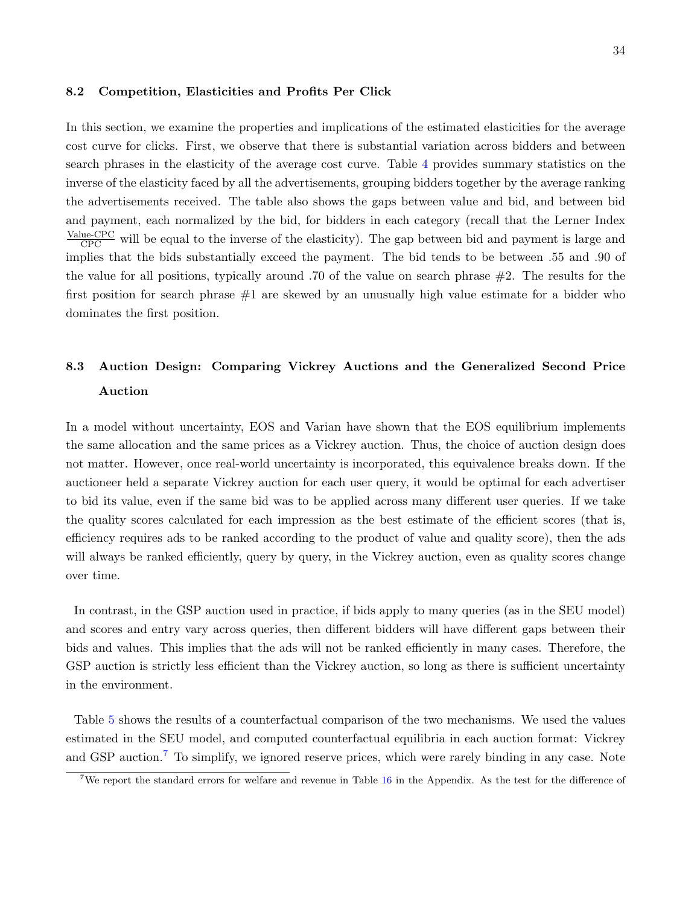## 8.2 Competition, Elasticities and Profits Per Click

In this section, we examine the properties and implications of the estimated elasticities for the average cost curve for clicks. First, we observe that there is substantial variation across bidders and between search phrases in the elasticity of the average cost curve. Table [4](#page-34-0) provides summary statistics on the inverse of the elasticity faced by all the advertisements, grouping bidders together by the average ranking the advertisements received. The table also shows the gaps between value and bid, and between bid and payment, each normalized by the bid, for bidders in each category (recall that the Lerner Index  $\frac{\text{Value-CPC}}{\text{CPC}}$  will be equal to the inverse of the elasticity). The gap between bid and payment is large and implies that the bids substantially exceed the payment. The bid tends to be between .55 and .90 of the value for all positions, typically around .70 of the value on search phrase #2. The results for the first position for search phrase  $#1$  are skewed by an unusually high value estimate for a bidder who dominates the first position.

# 8.3 Auction Design: Comparing Vickrey Auctions and the Generalized Second Price Auction

In a model without uncertainty, EOS and Varian have shown that the EOS equilibrium implements the same allocation and the same prices as a Vickrey auction. Thus, the choice of auction design does not matter. However, once real-world uncertainty is incorporated, this equivalence breaks down. If the auctioneer held a separate Vickrey auction for each user query, it would be optimal for each advertiser to bid its value, even if the same bid was to be applied across many different user queries. If we take the quality scores calculated for each impression as the best estimate of the efficient scores (that is, efficiency requires ads to be ranked according to the product of value and quality score), then the ads will always be ranked efficiently, query by query, in the Vickrey auction, even as quality scores change over time.

In contrast, in the GSP auction used in practice, if bids apply to many queries (as in the SEU model) and scores and entry vary across queries, then different bidders will have different gaps between their bids and values. This implies that the ads will not be ranked efficiently in many cases. Therefore, the GSP auction is strictly less efficient than the Vickrey auction, so long as there is sufficient uncertainty in the environment.

Table [5](#page-36-0) shows the results of a counterfactual comparison of the two mechanisms. We used the values estimated in the SEU model, and computed counterfactual equilibria in each auction format: Vickrey and GSP auction.<sup>[7](#page-33-0)</sup> To simplify, we ignored reserve prices, which were rarely binding in any case. Note

<span id="page-33-0"></span><sup>7</sup>We report the standard errors for welfare and revenue in Table [16](#page-71-0) in the Appendix. As the test for the difference of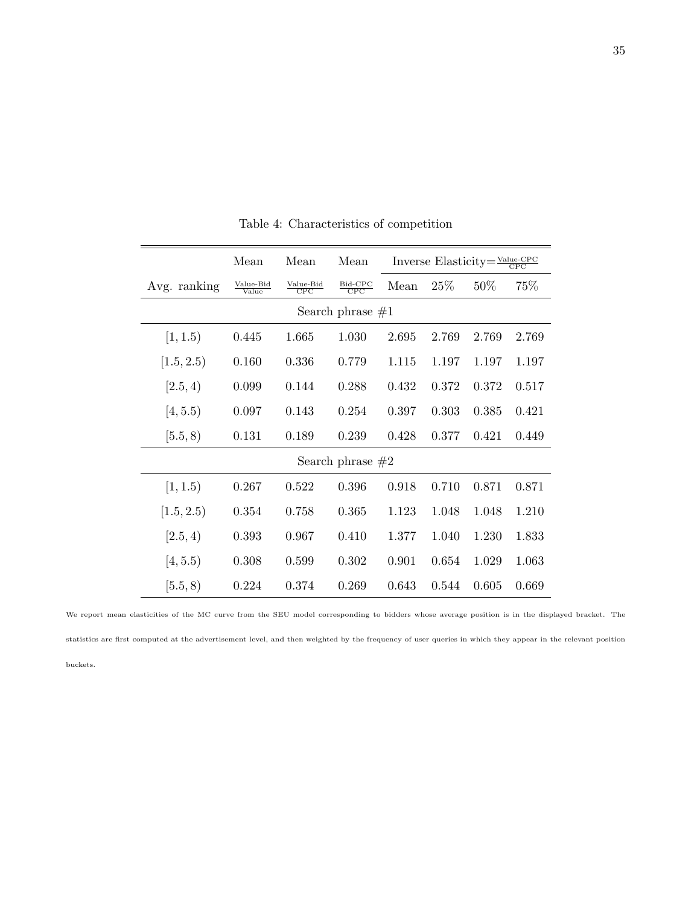|                     | Mean                                    | Mean                                  | Mean                                | Inverse Elasticity= $\frac{\text{Value-CPC}}{\text{CPC}}$ |       |        |       |  |  |
|---------------------|-----------------------------------------|---------------------------------------|-------------------------------------|-----------------------------------------------------------|-------|--------|-------|--|--|
| Avg. ranking        | $\frac{\text{Value-Bid}}{\text{Value}}$ | $\frac{\text{Value-Bid}}{\text{CPC}}$ | $\frac{\text{Bid-CPC}}{\text{CPC}}$ | Mean                                                      | 25\%  | $50\%$ | 75%   |  |  |
| Search phrase $\#1$ |                                         |                                       |                                     |                                                           |       |        |       |  |  |
| [1, 1.5)            | 0.445                                   | 1.665                                 | 1.030                               | 2.695                                                     | 2.769 | 2.769  | 2.769 |  |  |
| [1.5, 2.5]          | 0.160                                   | 0.336                                 | 0.779                               | 1.115                                                     | 1.197 | 1.197  | 1.197 |  |  |
| [2.5, 4)            | 0.099                                   | 0.144                                 | 0.288                               | 0.432                                                     | 0.372 | 0.372  | 0.517 |  |  |
| [4, 5.5)            | 0.097                                   | 0.143                                 | 0.254                               | 0.397                                                     | 0.303 | 0.385  | 0.421 |  |  |
| [5.5, 8)            | 0.131                                   | 0.189                                 | 0.239                               | 0.428                                                     | 0.377 | 0.421  | 0.449 |  |  |
| Search phrase $#2$  |                                         |                                       |                                     |                                                           |       |        |       |  |  |
| [1, 1.5)            | 0.267                                   | 0.522                                 | 0.396                               | 0.918                                                     | 0.710 | 0.871  | 0.871 |  |  |
| [1.5, 2.5)          | 0.354                                   | 0.758                                 | 0.365                               | 1.123                                                     | 1.048 | 1.048  | 1.210 |  |  |
| [2.5, 4)            | 0.393                                   | 0.967                                 | 0.410                               | 1.377                                                     | 1.040 | 1.230  | 1.833 |  |  |
| [4, 5.5)            | 0.308                                   | 0.599                                 | 0.302                               | 0.901                                                     | 0.654 | 1.029  | 1.063 |  |  |
| [5.5, 8)            | 0.224                                   | 0.374                                 | 0.269                               | 0.643                                                     | 0.544 | 0.605  | 0.669 |  |  |

<span id="page-34-0"></span>Table 4: Characteristics of competition

We report mean elasticities of the MC curve from the SEU model corresponding to bidders whose average position is in the displayed bracket. The statistics are first computed at the advertisement level, and then weighted by the frequency of user queries in which they appear in the relevant position buckets.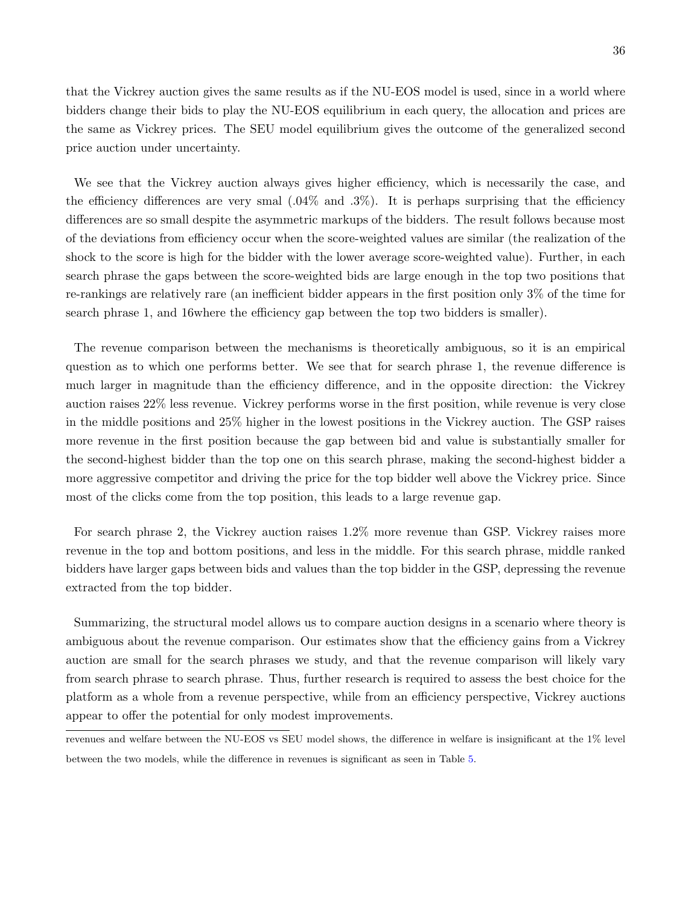that the Vickrey auction gives the same results as if the NU-EOS model is used, since in a world where bidders change their bids to play the NU-EOS equilibrium in each query, the allocation and prices are

We see that the Vickrey auction always gives higher efficiency, which is necessarily the case, and the efficiency differences are very smal  $(.04\%$  and  $.3\%)$ . It is perhaps surprising that the efficiency differences are so small despite the asymmetric markups of the bidders. The result follows because most of the deviations from efficiency occur when the score-weighted values are similar (the realization of the shock to the score is high for the bidder with the lower average score-weighted value). Further, in each search phrase the gaps between the score-weighted bids are large enough in the top two positions that re-rankings are relatively rare (an inefficient bidder appears in the first position only 3% of the time for search phrase 1, and 16where the efficiency gap between the top two bidders is smaller).

the same as Vickrey prices. The SEU model equilibrium gives the outcome of the generalized second

price auction under uncertainty.

The revenue comparison between the mechanisms is theoretically ambiguous, so it is an empirical question as to which one performs better. We see that for search phrase 1, the revenue difference is much larger in magnitude than the efficiency difference, and in the opposite direction: the Vickrey auction raises 22% less revenue. Vickrey performs worse in the first position, while revenue is very close in the middle positions and 25% higher in the lowest positions in the Vickrey auction. The GSP raises more revenue in the first position because the gap between bid and value is substantially smaller for the second-highest bidder than the top one on this search phrase, making the second-highest bidder a more aggressive competitor and driving the price for the top bidder well above the Vickrey price. Since most of the clicks come from the top position, this leads to a large revenue gap.

For search phrase 2, the Vickrey auction raises 1.2% more revenue than GSP. Vickrey raises more revenue in the top and bottom positions, and less in the middle. For this search phrase, middle ranked bidders have larger gaps between bids and values than the top bidder in the GSP, depressing the revenue extracted from the top bidder.

Summarizing, the structural model allows us to compare auction designs in a scenario where theory is ambiguous about the revenue comparison. Our estimates show that the efficiency gains from a Vickrey auction are small for the search phrases we study, and that the revenue comparison will likely vary from search phrase to search phrase. Thus, further research is required to assess the best choice for the platform as a whole from a revenue perspective, while from an efficiency perspective, Vickrey auctions appear to offer the potential for only modest improvements.

revenues and welfare between the NU-EOS vs SEU model shows, the difference in welfare is insignificant at the 1% level between the two models, while the difference in revenues is significant as seen in Table [5.](#page-36-0)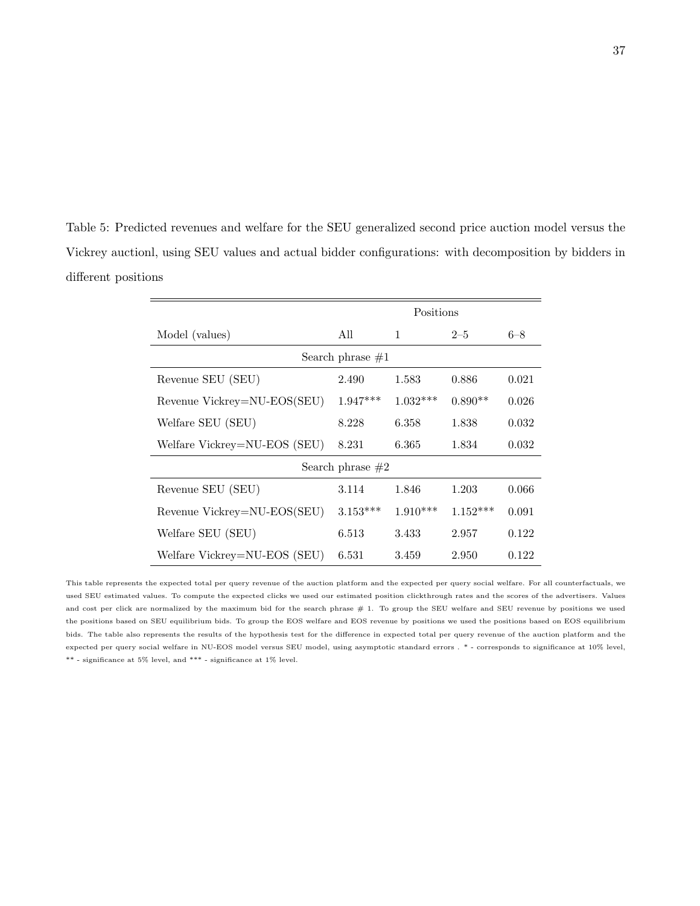<span id="page-36-0"></span>Table 5: Predicted revenues and welfare for the SEU generalized second price auction model versus the Vickrey auctionl, using SEU values and actual bidder configurations: with decomposition by bidders in different positions

|                              | Positions          |            |            |         |  |  |  |
|------------------------------|--------------------|------------|------------|---------|--|--|--|
| Model (values)               | All                | 1          | $2 - 5$    | $6 - 8$ |  |  |  |
| Search phrase $#1$           |                    |            |            |         |  |  |  |
| Revenue SEU (SEU)            | 2.490              | 1.583      | 0.886      | 0.021   |  |  |  |
| Revenue Vickrey=NU-EOS(SEU)  | $1.947***$         | $1.032***$ | $0.890**$  | 0.026   |  |  |  |
| Welfare SEU (SEU)            | 8.228              | 6.358      | 1.838      | 0.032   |  |  |  |
| Welfare Vickrey=NU-EOS (SEU) | 8.231              | 6.365      | 1.834      | 0.032   |  |  |  |
|                              | Search phrase $#2$ |            |            |         |  |  |  |
| Revenue SEU (SEU)            | 3.114              | 1.846      | 1.203      | 0.066   |  |  |  |
| Revenue Vickrey=NU-EOS(SEU)  | $3.153***$         | $1.910***$ | $1.152***$ | 0.091   |  |  |  |
| Welfare SEU (SEU)            | 6.513              | 3.433      | 2.957      | 0.122   |  |  |  |
| Welfare Vickrey=NU-EOS (SEU) | 6.531              | 3.459      | 2.950      | 0.122   |  |  |  |

This table represents the expected total per query revenue of the auction platform and the expected per query social welfare. For all counterfactuals, we used SEU estimated values. To compute the expected clicks we used our estimated position clickthrough rates and the scores of the advertisers. Values and cost per click are normalized by the maximum bid for the search phrase # 1. To group the SEU welfare and SEU revenue by positions we used the positions based on SEU equilibrium bids. To group the EOS welfare and EOS revenue by positions we used the positions based on EOS equilibrium bids. The table also represents the results of the hypothesis test for the difference in expected total per query revenue of the auction platform and the expected per query social welfare in NU-EOS model versus SEU model, using asymptotic standard errors . \* - corresponds to significance at 10% level,  $^{**}$  - significance at  $5\%$  level, and  $^{***}$  - significance at  $1\%$  level.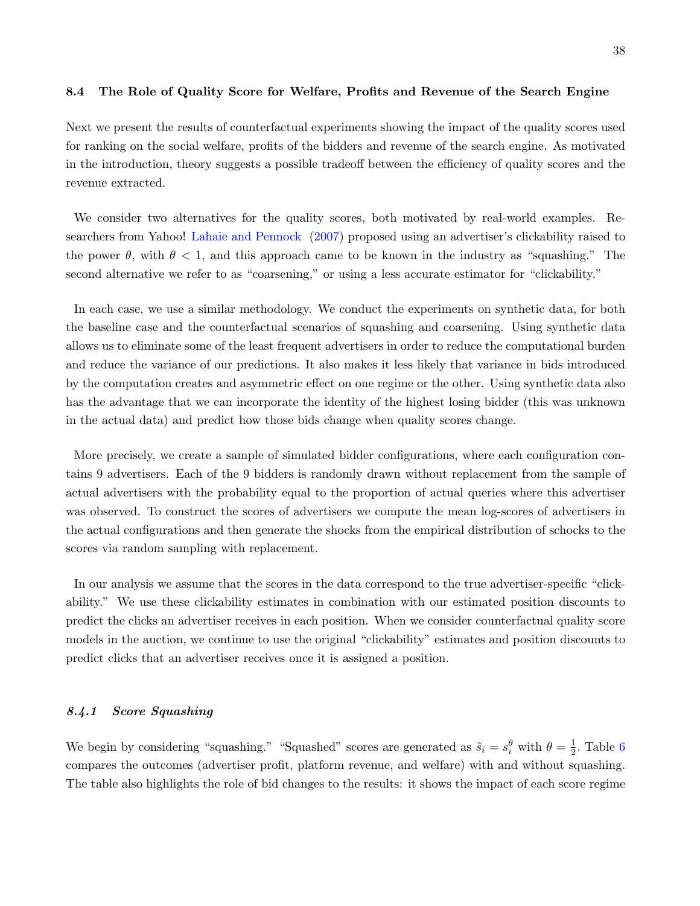#### 8.4 The Role of Quality Score for Welfare, Profits and Revenue of the Search Engine

Next we present the results of counterfactual experiments showing the impact of the quality scores used for ranking on the social welfare, profits of the bidders and revenue of the search engine. As motivated in the introduction, theory suggests a possible tradeoff between the efficiency of quality scores and the revenue extracted.

We consider two alternatives for the quality scores, both motivated by real-world examples. Researchers from Yahoo! [Lahaie and Pennock](#page-43-0) [\(2007\)](#page-43-0) proposed using an advertiser's clickability raised to the power  $\theta$ , with  $\theta$  < 1, and this approach came to be known in the industry as "squashing." The second alternative we refer to as "coarsening," or using a less accurate estimator for "clickability."

In each case, we use a similar methodology. We conduct the experiments on synthetic data, for both the baseline case and the counterfactual scenarios of squashing and coarsening. Using synthetic data allows us to eliminate some of the least frequent advertisers in order to reduce the computational burden and reduce the variance of our predictions. It also makes it less likely that variance in bids introduced by the computation creates and asymmetric effect on one regime or the other. Using synthetic data also has the advantage that we can incorporate the identity of the highest losing bidder (this was unknown in the actual data) and predict how those bids change when quality scores change.

More precisely, we create a sample of simulated bidder configurations, where each configuration contains 9 advertisers. Each of the 9 bidders is randomly drawn without replacement from the sample of actual advertisers with the probability equal to the proportion of actual queries where this advertiser was observed. To construct the scores of advertisers we compute the mean log-scores of advertisers in the actual configurations and then generate the shocks from the empirical distribution of schocks to the scores via random sampling with replacement.

In our analysis we assume that the scores in the data correspond to the true advertiser-specific "clickability." We use these clickability estimates in combination with our estimated position discounts to predict the clicks an advertiser receives in each position. When we consider counterfactual quality score models in the auction, we continue to use the original "clickability" estimates and position discounts to predict clicks that an advertiser receives once it is assigned a position.

# 8.4.1 Score Squashing

We begin by considering "squashing." "Squashed" scores are generated as  $\tilde{s}_i = s_i^{\theta}$  with  $\theta = \frac{1}{2}$  $\frac{1}{2}$ . Table [6](#page-39-0) compares the outcomes (advertiser profit, platform revenue, and welfare) with and without squashing. The table also highlights the role of bid changes to the results: it shows the impact of each score regime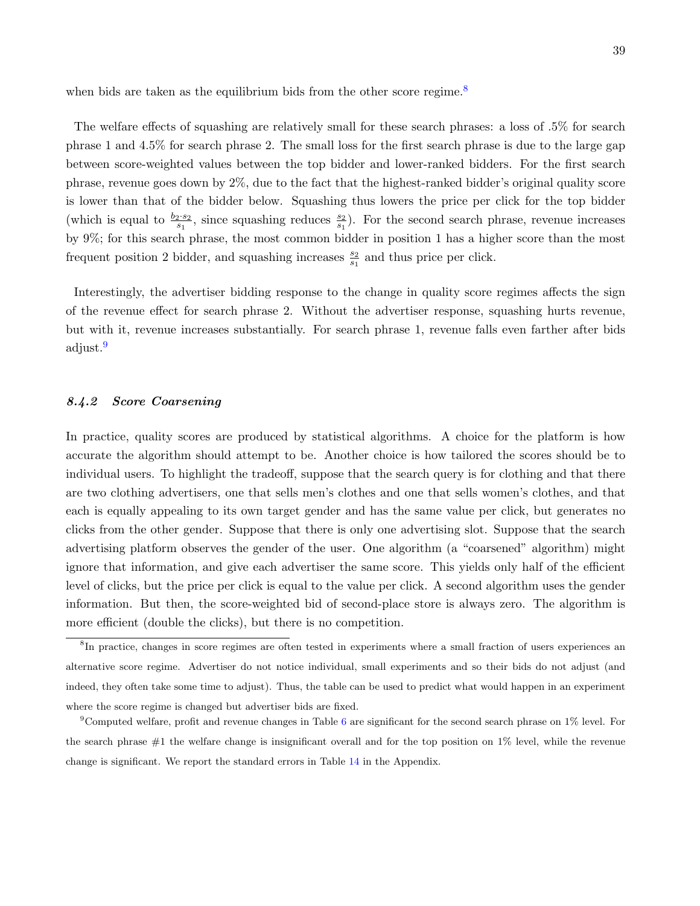when bids are taken as the equilibrium bids from the other score regime. $8$ 

The welfare effects of squashing are relatively small for these search phrases: a loss of .5% for search phrase 1 and 4.5% for search phrase 2. The small loss for the first search phrase is due to the large gap between score-weighted values between the top bidder and lower-ranked bidders. For the first search phrase, revenue goes down by 2%, due to the fact that the highest-ranked bidder's original quality score is lower than that of the bidder below. Squashing thus lowers the price per click for the top bidder (which is equal to  $\frac{b_2 \cdot s_2}{s_1}$ , since squashing reduces  $\frac{s_2}{s_1}$ ). For the second search phrase, revenue increases by 9%; for this search phrase, the most common bidder in position 1 has a higher score than the most frequent position 2 bidder, and squashing increases  $\frac{s_2}{s_1}$  and thus price per click.

Interestingly, the advertiser bidding response to the change in quality score regimes affects the sign of the revenue effect for search phrase 2. Without the advertiser response, squashing hurts revenue, but with it, revenue increases substantially. For search phrase 1, revenue falls even farther after bids adjust.<sup>[9](#page-38-1)</sup>

## 8.4.2 Score Coarsening

In practice, quality scores are produced by statistical algorithms. A choice for the platform is how accurate the algorithm should attempt to be. Another choice is how tailored the scores should be to individual users. To highlight the tradeoff, suppose that the search query is for clothing and that there are two clothing advertisers, one that sells men's clothes and one that sells women's clothes, and that each is equally appealing to its own target gender and has the same value per click, but generates no clicks from the other gender. Suppose that there is only one advertising slot. Suppose that the search advertising platform observes the gender of the user. One algorithm (a "coarsened" algorithm) might ignore that information, and give each advertiser the same score. This yields only half of the efficient level of clicks, but the price per click is equal to the value per click. A second algorithm uses the gender information. But then, the score-weighted bid of second-place store is always zero. The algorithm is more efficient (double the clicks), but there is no competition.

<span id="page-38-0"></span><sup>8</sup> In practice, changes in score regimes are often tested in experiments where a small fraction of users experiences an alternative score regime. Advertiser do not notice individual, small experiments and so their bids do not adjust (and indeed, they often take some time to adjust). Thus, the table can be used to predict what would happen in an experiment where the score regime is changed but advertiser bids are fixed.

<span id="page-38-1"></span><sup>&</sup>lt;sup>9</sup>Computed welfare, profit and revenue changes in Table [6](#page-39-0) are significant for the second search phrase on  $1\%$  level. For the search phrase  $#1$  the welfare change is insignificant overall and for the top position on  $1\%$  level, while the revenue change is significant. We report the standard errors in Table [14](#page-69-0) in the Appendix.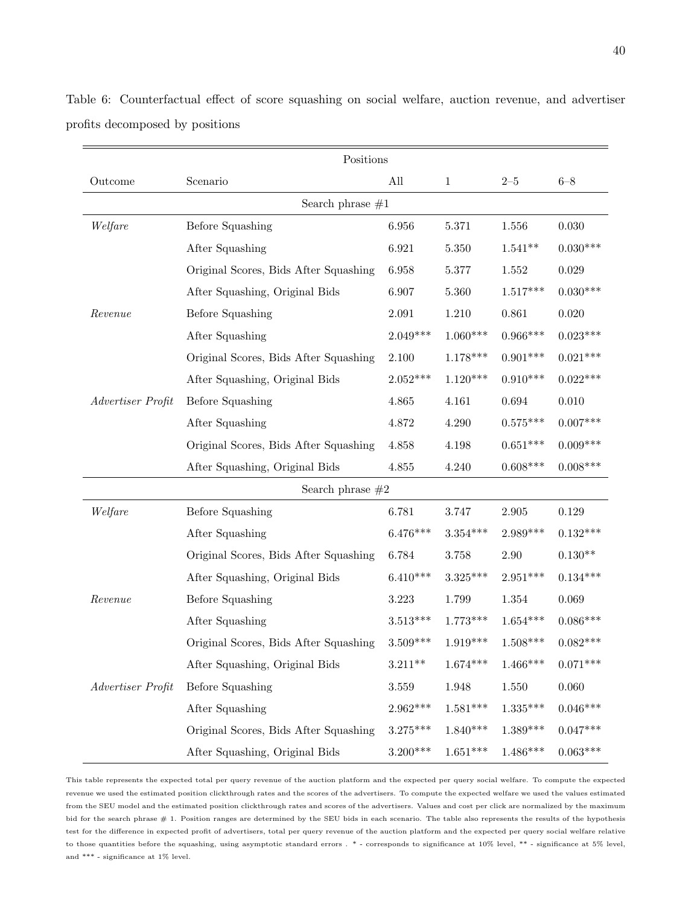|                   | Positions                             |            |            |                    |            |
|-------------------|---------------------------------------|------------|------------|--------------------|------------|
| Outcome           | Scenario                              | All        | 1          | $2\hbox{--}5$      | $6 - 8$    |
|                   | Search phrase $#1$                    |            |            |                    |            |
| Welfare           | <b>Before Squashing</b>               | 6.956      | 5.371      | 1.556              | 0.030      |
|                   | After Squashing                       | 6.921      | 5.350      | $1.541**$          | $0.030***$ |
|                   | Original Scores, Bids After Squashing | 6.958      | 5.377      | 1.552              | 0.029      |
|                   | After Squashing, Original Bids        | 6.907      | 5.360      | $1.517***$         | $0.030***$ |
| Revenue           | <b>Before Squashing</b>               | 2.091      | 1.210      | 0.861              | 0.020      |
|                   | After Squashing                       | $2.049***$ | $1.060***$ | $0.966***$         | $0.023***$ |
|                   | Original Scores, Bids After Squashing | 2.100      | $1.178***$ | $0.901***$         | $0.021***$ |
|                   | After Squashing, Original Bids        | $2.052***$ | $1.120***$ | $0.910***$         | $0.022***$ |
| Advertiser Profit | <b>Before Squashing</b>               | 4.865      | 4.161      | $\,0.694\,$        | 0.010      |
|                   | After Squashing                       | 4.872      | 4.290      | $0.575***$         | $0.007***$ |
|                   | Original Scores, Bids After Squashing | 4.858      | 4.198      | $0.651***$         | $0.009***$ |
|                   | After Squashing, Original Bids        | 4.855      | 4.240      | $0.608***$         | $0.008***$ |
|                   | Search phrase $#2$                    |            |            |                    |            |
| Welfare           | <b>Before Squashing</b>               | 6.781      | 3.747      | $\phantom{-}2.905$ | 0.129      |
|                   | After Squashing                       | $6.476***$ | $3.354***$ | 2.989***           | $0.132***$ |
|                   | Original Scores, Bids After Squashing | 6.784      | 3.758      | $2.90\,$           | $0.130**$  |
|                   | After Squashing, Original Bids        | $6.410***$ | $3.325***$ | $2.951***$         | $0.134***$ |
| Revenue           | <b>Before Squashing</b>               | 3.223      | 1.799      | $1.354\,$          | 0.069      |
|                   | After Squashing                       | $3.513***$ | $1.773***$ | $1.654***$         | $0.086***$ |
|                   | Original Scores, Bids After Squashing | $3.509***$ | $1.919***$ | $1.508***$         | $0.082***$ |
|                   | After Squashing, Original Bids        | $3.211**$  | $1.674***$ | $1.466***$         | $0.071***$ |
| Advertiser Profit | Before Squashing                      | $3.559\,$  | 1.948      | 1.550              | 0.060      |
|                   | After Squashing                       | $2.962***$ | $1.581***$ | $1.335***$         | $0.046***$ |
|                   | Original Scores, Bids After Squashing | $3.275***$ | $1.840***$ | $1.389***$         | $0.047***$ |
|                   | After Squashing, Original Bids        | $3.200***$ | $1.651***$ | $1.486***$         | $0.063***$ |

<span id="page-39-0"></span>Table 6: Counterfactual effect of score squashing on social welfare, auction revenue, and advertiser profits decomposed by positions

This table represents the expected total per query revenue of the auction platform and the expected per query social welfare. To compute the expected revenue we used the estimated position clickthrough rates and the scores of the advertisers. To compute the expected welfare we used the values estimated from the SEU model and the estimated position clickthrough rates and scores of the advertisers. Values and cost per click are normalized by the maximum bid for the search phrase # 1. Position ranges are determined by the SEU bids in each scenario. The table also represents the results of the hypothesis test for the difference in expected profit of advertisers, total per query revenue of the auction platform and the expected per query social welfare relative to those quantities before the squashing, using asymptotic standard errors . \* - corresponds to significance at 10% level, \*\* - significance at 5% level, and  $^{***}$  - significance at  $1\%$  level.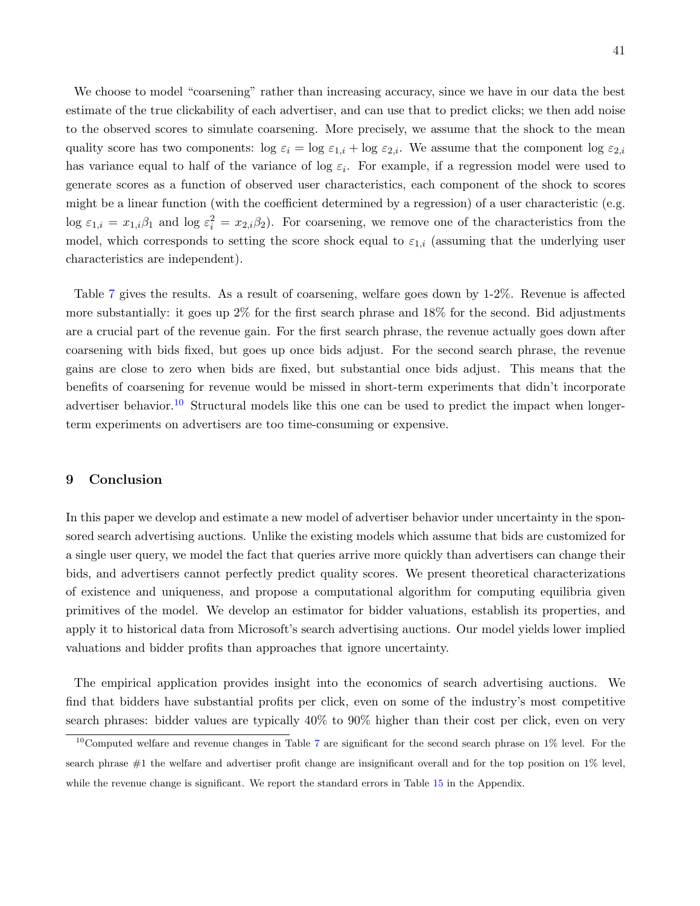We choose to model "coarsening" rather than increasing accuracy, since we have in our data the best estimate of the true clickability of each advertiser, and can use that to predict clicks; we then add noise to the observed scores to simulate coarsening. More precisely, we assume that the shock to the mean quality score has two components:  $\log \varepsilon_i = \log \varepsilon_{1,i} + \log \varepsilon_{2,i}$ . We assume that the component  $\log \varepsilon_{2,i}$ has variance equal to half of the variance of log  $\varepsilon_i$ . For example, if a regression model were used to generate scores as a function of observed user characteristics, each component of the shock to scores might be a linear function (with the coefficient determined by a regression) of a user characteristic (e.g.  $\log \varepsilon_{1,i} = x_{1,i}\beta_1$  and  $\log \varepsilon_i^2 = x_{2,i}\beta_2$ . For coarsening, we remove one of the characteristics from the model, which corresponds to setting the score shock equal to  $\varepsilon_{1,i}$  (assuming that the underlying user characteristics are independent).

Table [7](#page-41-0) gives the results. As a result of coarsening, welfare goes down by 1-2%. Revenue is affected more substantially: it goes up 2% for the first search phrase and 18% for the second. Bid adjustments are a crucial part of the revenue gain. For the first search phrase, the revenue actually goes down after coarsening with bids fixed, but goes up once bids adjust. For the second search phrase, the revenue gains are close to zero when bids are fixed, but substantial once bids adjust. This means that the benefits of coarsening for revenue would be missed in short-term experiments that didn't incorporate advertiser behavior.<sup>[10](#page-40-0)</sup> Structural models like this one can be used to predict the impact when longerterm experiments on advertisers are too time-consuming or expensive.

# 9 Conclusion

In this paper we develop and estimate a new model of advertiser behavior under uncertainty in the sponsored search advertising auctions. Unlike the existing models which assume that bids are customized for a single user query, we model the fact that queries arrive more quickly than advertisers can change their bids, and advertisers cannot perfectly predict quality scores. We present theoretical characterizations of existence and uniqueness, and propose a computational algorithm for computing equilibria given primitives of the model. We develop an estimator for bidder valuations, establish its properties, and apply it to historical data from Microsoft's search advertising auctions. Our model yields lower implied valuations and bidder profits than approaches that ignore uncertainty.

The empirical application provides insight into the economics of search advertising auctions. We find that bidders have substantial profits per click, even on some of the industry's most competitive search phrases: bidder values are typically 40% to 90% higher than their cost per click, even on very

<span id="page-40-0"></span> $10$ Computed welfare and revenue changes in Table [7](#page-41-0) are significant for the second search phrase on  $1\%$  level. For the search phrase #1 the welfare and advertiser profit change are insignificant overall and for the top position on 1% level, while the revenue change is significant. We report the standard errors in Table [15](#page-70-0) in the Appendix.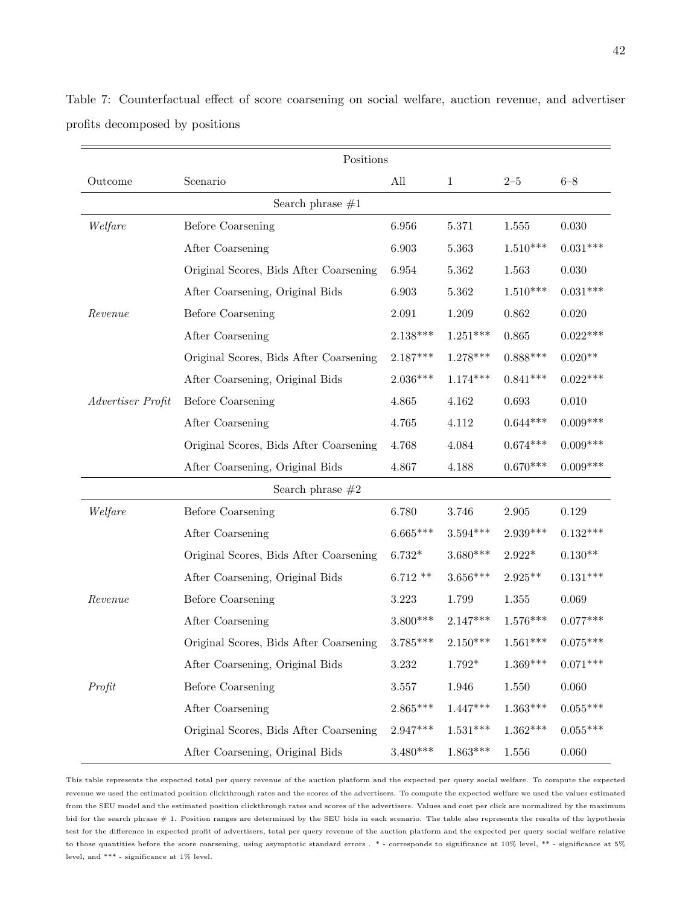|                   | Positions                              |            |              |            |            |
|-------------------|----------------------------------------|------------|--------------|------------|------------|
| Outcome           | Scenario                               | All        | $\mathbf{1}$ | $2 - 5$    | $6 - 8$    |
|                   | Search phrase $#1$                     |            |              |            |            |
| Welfare           | <b>Before Coarsening</b>               | 6.956      | 5.371        | 1.555      | 0.030      |
|                   | After Coarsening                       | 6.903      | 5.363        | $1.510***$ | $0.031***$ |
|                   | Original Scores, Bids After Coarsening | 6.954      | 5.362        | 1.563      | 0.030      |
|                   | After Coarsening, Original Bids        | 6.903      | 5.362        | $1.510***$ | $0.031***$ |
| Revenue           | <b>Before Coarsening</b>               | 2.091      | 1.209        | 0.862      | 0.020      |
|                   | After Coarsening                       | $2.138***$ | $1.251***$   | 0.865      | $0.022***$ |
|                   | Original Scores, Bids After Coarsening | $2.187***$ | $1.278***$   | $0.888***$ | $0.020**$  |
|                   | After Coarsening, Original Bids        | $2.036***$ | $1.174***$   | $0.841***$ | $0.022***$ |
| Advertiser Profit | <b>Before Coarsening</b>               | 4.865      | 4.162        | 0.693      | 0.010      |
|                   | After Coarsening                       | 4.765      | 4.112        | $0.644***$ | $0.009***$ |
|                   | Original Scores, Bids After Coarsening | 4.768      | 4.084        | $0.674***$ | $0.009***$ |
|                   | After Coarsening, Original Bids        | 4.867      | 4.188        | $0.670***$ | $0.009***$ |
|                   | Search phrase $\#2$                    |            |              |            |            |
| Welfare           | <b>Before Coarsening</b>               | 6.780      | 3.746        | 2.905      | 0.129      |
|                   | After Coarsening                       | $6.665***$ | $3.594***$   | $2.939***$ | $0.132***$ |
|                   | Original Scores, Bids After Coarsening | $6.732*$   | $3.680***$   | $2.922*$   | $0.130**$  |
|                   | After Coarsening, Original Bids        | $6.712**$  | $3.656***$   | $2.925**$  | $0.131***$ |
| Revenue           | <b>Before Coarsening</b>               | 3.223      | 1.799        | 1.355      | 0.069      |
|                   | After Coarsening                       | $3.800***$ | $2.147***$   | $1.576***$ | $0.077***$ |
|                   | Original Scores, Bids After Coarsening | $3.785***$ | $2.150***$   | $1.561***$ | $0.075***$ |
|                   | After Coarsening, Original Bids        | 3.232      | $1.792*$     | $1.369***$ | $0.071***$ |
| Profit            | <b>Before Coarsening</b>               | $3.557\,$  | 1.946        | 1.550      | 0.060      |
|                   | After Coarsening                       | $2.865***$ | $1.447***$   | $1.363***$ | $0.055***$ |
|                   | Original Scores, Bids After Coarsening | $2.947***$ | $1.531***$   | $1.362***$ | $0.055***$ |
|                   | After Coarsening, Original Bids        | $3.480***$ | $1.863***$   | 1.556      | $0.060\,$  |

<span id="page-41-0"></span>Table 7: Counterfactual effect of score coarsening on social welfare, auction revenue, and advertiser profits decomposed by positions

This table represents the expected total per query revenue of the auction platform and the expected per query social welfare. To compute the expected revenue we used the estimated position clickthrough rates and the scores of the advertisers. To compute the expected welfare we used the values estimated from the SEU model and the estimated position clickthrough rates and scores of the advertisers. Values and cost per click are normalized by the maximum bid for the search phrase # 1. Position ranges are determined by the SEU bids in each scenario. The table also represents the results of the hypothesis test for the difference in expected profit of advertisers, total per query revenue of the auction platform and the expected per query social welfare relative to those quantities before the score coarsening, using asymptotic standard errors . \* - corresponds to significance at 10% level, \*\* - significance at 5% level, and  $^{***}$  - significance at  $1\%$  level.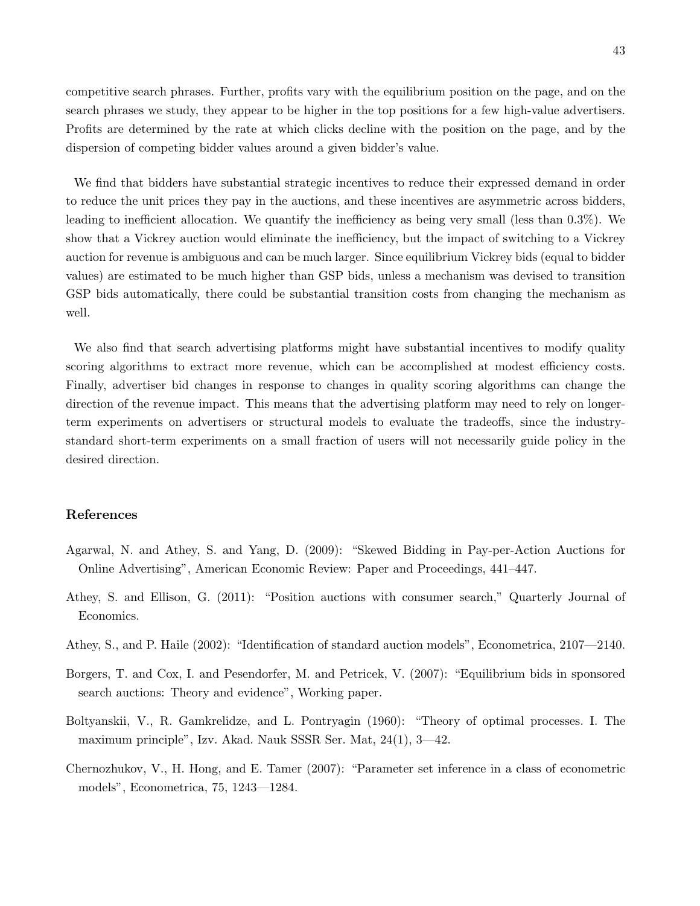competitive search phrases. Further, profits vary with the equilibrium position on the page, and on the search phrases we study, they appear to be higher in the top positions for a few high-value advertisers. Profits are determined by the rate at which clicks decline with the position on the page, and by the dispersion of competing bidder values around a given bidder's value.

We find that bidders have substantial strategic incentives to reduce their expressed demand in order to reduce the unit prices they pay in the auctions, and these incentives are asymmetric across bidders, leading to inefficient allocation. We quantify the inefficiency as being very small (less than 0.3%). We show that a Vickrey auction would eliminate the inefficiency, but the impact of switching to a Vickrey auction for revenue is ambiguous and can be much larger. Since equilibrium Vickrey bids (equal to bidder values) are estimated to be much higher than GSP bids, unless a mechanism was devised to transition GSP bids automatically, there could be substantial transition costs from changing the mechanism as well.

We also find that search advertising platforms might have substantial incentives to modify quality scoring algorithms to extract more revenue, which can be accomplished at modest efficiency costs. Finally, advertiser bid changes in response to changes in quality scoring algorithms can change the direction of the revenue impact. This means that the advertising platform may need to rely on longerterm experiments on advertisers or structural models to evaluate the tradeoffs, since the industrystandard short-term experiments on a small fraction of users will not necessarily guide policy in the desired direction.

# References

- Agarwal, N. and Athey, S. and Yang, D. (2009): "Skewed Bidding in Pay-per-Action Auctions for Online Advertising", American Economic Review: Paper and Proceedings, 441–447.
- Athey, S. and Ellison, G. (2011): "Position auctions with consumer search," Quarterly Journal of Economics.
- <span id="page-42-1"></span>Athey, S., and P. Haile (2002): "Identification of standard auction models", Econometrica, 2107—2140.
- Borgers, T. and Cox, I. and Pesendorfer, M. and Petricek, V. (2007): "Equilibrium bids in sponsored search auctions: Theory and evidence", Working paper.
- <span id="page-42-0"></span>Boltyanskii, V., R. Gamkrelidze, and L. Pontryagin (1960): "Theory of optimal processes. I. The maximum principle", Izv. Akad. Nauk SSSR Ser. Mat, 24(1), 3—42.
- <span id="page-42-2"></span>Chernozhukov, V., H. Hong, and E. Tamer (2007): "Parameter set inference in a class of econometric models", Econometrica, 75, 1243—1284.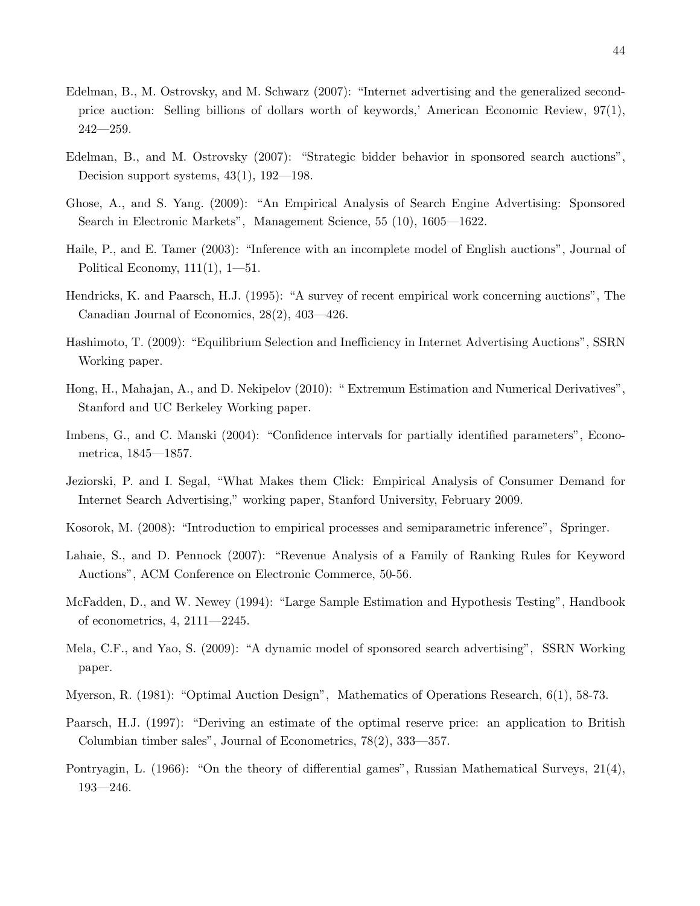- <span id="page-43-2"></span>Edelman, B., M. Ostrovsky, and M. Schwarz (2007): "Internet advertising and the generalized secondprice auction: Selling billions of dollars worth of keywords,' American Economic Review, 97(1),  $242 - 259.$
- Edelman, B., and M. Ostrovsky (2007): "Strategic bidder behavior in sponsored search auctions", Decision support systems, 43(1), 192—198.
- Ghose, A., and S. Yang. (2009): "An Empirical Analysis of Search Engine Advertising: Sponsored Search in Electronic Markets", Management Science, 55 (10), 1605—1622.
- <span id="page-43-5"></span>Haile, P., and E. Tamer (2003): "Inference with an incomplete model of English auctions", Journal of Political Economy,  $111(1)$ ,  $1-51$ .
- Hendricks, K. and Paarsch, H.J. (1995): "A survey of recent empirical work concerning auctions", The Canadian Journal of Economics, 28(2), 403—426.
- <span id="page-43-3"></span>Hashimoto, T. (2009): "Equilibrium Selection and Inefficiency in Internet Advertising Auctions", SSRN Working paper.
- Hong, H., Mahajan, A., and D. Nekipelov (2010): " Extremum Estimation and Numerical Derivatives", Stanford and UC Berkeley Working paper.
- <span id="page-43-6"></span>Imbens, G., and C. Manski (2004): "Confidence intervals for partially identified parameters", Econometrica, 1845—1857.
- Jeziorski, P. and I. Segal, "What Makes them Click: Empirical Analysis of Consumer Demand for Internet Search Advertising," working paper, Stanford University, February 2009.
- <span id="page-43-4"></span>Kosorok, M. (2008): "Introduction to empirical processes and semiparametric inference", Springer.
- <span id="page-43-0"></span>Lahaie, S., and D. Pennock (2007): "Revenue Analysis of a Family of Ranking Rules for Keyword Auctions", ACM Conference on Electronic Commerce, 50-56.
- McFadden, D., and W. Newey (1994): "Large Sample Estimation and Hypothesis Testing", Handbook of econometrics, 4, 2111—2245.
- Mela, C.F., and Yao, S. (2009): "A dynamic model of sponsored search advertising", SSRN Working paper.
- Myerson, R. (1981): "Optimal Auction Design", Mathematics of Operations Research, 6(1), 58-73.
- Paarsch, H.J. (1997): "Deriving an estimate of the optimal reserve price: an application to British Columbian timber sales", Journal of Econometrics, 78(2), 333—357.
- <span id="page-43-1"></span>Pontryagin, L. (1966): "On the theory of differential games", Russian Mathematical Surveys, 21(4), 193—246.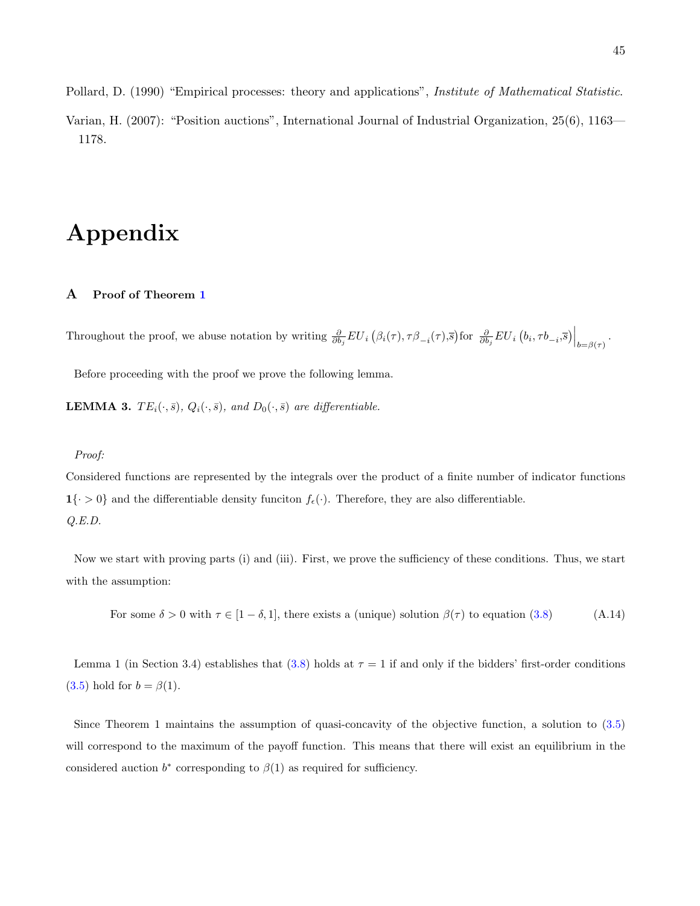<span id="page-44-2"></span>Pollard, D. (1990) "Empirical processes: theory and applications", Institute of Mathematical Statistic.

Varian, H. (2007): "Position auctions", International Journal of Industrial Organization, 25(6), 1163— 1178.

# Appendix

# A Proof of Theorem [1](#page-14-0)

Throughout the proof, we abuse notation by writing  $\frac{\partial}{\partial b_j} EU_i(\beta_i(\tau), \tau \beta_{-i}(\tau), \overline{s})$  for  $\frac{\partial}{\partial b_j} EU_i(b_i, \tau b_{-i}, \overline{s})\Big|_{b=\beta(\tau)}$ .

Before proceeding with the proof we prove the following lemma.

<span id="page-44-1"></span>**LEMMA 3.**  $TE_i(\cdot, \bar{s}), Q_i(\cdot, \bar{s}),$  and  $D_0(\cdot, \bar{s})$  are differentiable.

#### Proof:

Considered functions are represented by the integrals over the product of a finite number of indicator functions  $\mathbf{1}\{\cdot > 0\}$  and the differentiable density funciton  $f_{\epsilon}(\cdot)$ . Therefore, they are also differentiable. Q.E.D.

Now we start with proving parts (i) and (iii). First, we prove the sufficiency of these conditions. Thus, we start with the assumption:

<span id="page-44-0"></span>For some  $\delta > 0$  with  $\tau \in [1 - \delta, 1]$ , there exists a (unique) solution  $\beta(\tau)$  to equation [\(3.8\)](#page-13-0) (A.14)

Lemma 1 (in Section 3.4) establishes that [\(3.8\)](#page-13-0) holds at  $\tau = 1$  if and only if the bidders' first-order conditions [\(3.5\)](#page-12-0) hold for  $b = \beta(1)$ .

Since Theorem 1 maintains the assumption of quasi-concavity of the objective function, a solution to [\(3.5\)](#page-12-0) will correspond to the maximum of the payoff function. This means that there will exist an equilibrium in the considered auction  $b^*$  corresponding to  $\beta(1)$  as required for sufficiency.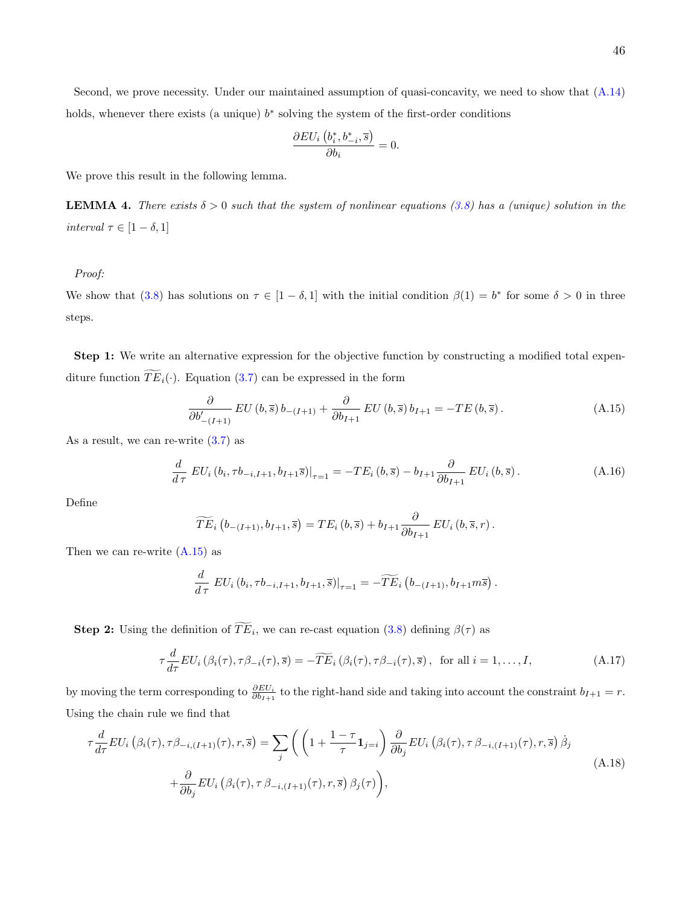holds, whenever there exists (a unique)  $b^*$  solving the system of the first-order conditions

$$
\frac{\partial EU_i\left(b_i^*, b_{-i}^*, \overline{s}\right)}{\partial b_i} = 0.
$$

We prove this result in the following lemma.

<span id="page-45-3"></span>**LEMMA 4.** There exists  $\delta > 0$  such that the system of nonlinear equations [\(3.8\)](#page-13-0) has a (unique) solution in the interval  $\tau \in [1-\delta, 1]$ 

Proof:

We show that [\(3.8\)](#page-13-0) has solutions on  $\tau \in [1 - \delta, 1]$  with the initial condition  $\beta(1) = b^*$  for some  $\delta > 0$  in three steps.

Step 1: We write an alternative expression for the objective function by constructing a modified total expenditure function  $\widetilde{TE}_i(\cdot)$ . Equation [\(3.7\)](#page-13-1) can be expressed in the form

<span id="page-45-0"></span>
$$
\frac{\partial}{\partial b'_{-(I+1)}} EU\left(b,\overline{s}\right)b_{-(I+1)} + \frac{\partial}{\partial b_{I+1}} EU\left(b,\overline{s}\right)b_{I+1} = -TE\left(b,\overline{s}\right). \tag{A.15}
$$

As a result, we can re-write  $(3.7)$  as

$$
\frac{d}{d\tau} \ EU_i(b_i, \tau b_{-i, I+1}, b_{I+1}\overline{s})|_{\tau=1} = -TE_i(b, \overline{s}) - b_{I+1}\frac{\partial}{\partial b_{I+1}} EU_i(b, \overline{s}).
$$
\n(A.16)

Define

$$
\widetilde{TE}_{i}\left(b_{-(I+1)},b_{I+1},\overline{s}\right)=TE_{i}\left(b,\overline{s}\right)+b_{I+1}\frac{\partial}{\partial b_{I+1}}\ EU_{i}\left(b,\overline{s},r\right).
$$

Then we can re-write  $(A.15)$  as

$$
\frac{d}{d\tau} \left.EU_i\left(b_i,\tau b_{-i,I+1},b_{I+1},\overline{s}\right)\right|_{\tau=1} = -\widetilde{TE}_i\left(b_{-(I+1)},b_{I+1}m\overline{s}\right).
$$

**Step 2:** Using the definition of  $TE_i$ , we can re-cast equation [\(3.8\)](#page-13-0) defining  $\beta(\tau)$  as

<span id="page-45-2"></span>
$$
\tau \frac{d}{d\tau} EU_i\left(\beta_i(\tau), \tau \beta_{-i}(\tau), \overline{s}\right) = -\widetilde{TE}_i\left(\beta_i(\tau), \tau \beta_{-i}(\tau), \overline{s}\right), \text{ for all } i = 1, \dots, I,
$$
\n(A.17)

by moving the term corresponding to  $\frac{\partial EU_i}{\partial b_{I+1}}$  to the right-hand side and taking into account the constraint  $b_{I+1} = r$ . Using the chain rule we find that

<span id="page-45-1"></span>
$$
\tau \frac{d}{d\tau} EU_i \left( \beta_i(\tau), \tau \beta_{-i,(I+1)}(\tau), r, \overline{s} \right) = \sum_j \left( \left( 1 + \frac{1 - \tau}{\tau} \mathbf{1}_{j=i} \right) \frac{\partial}{\partial b_j} EU_i \left( \beta_i(\tau), \tau \beta_{-i,(I+1)}(\tau), r, \overline{s} \right) \dot{\beta}_j \right)
$$
\n
$$
+ \frac{\partial}{\partial b_j} EU_i \left( \beta_i(\tau), \tau \beta_{-i,(I+1)}(\tau), r, \overline{s} \right) \beta_j(\tau) \right), \tag{A.18}
$$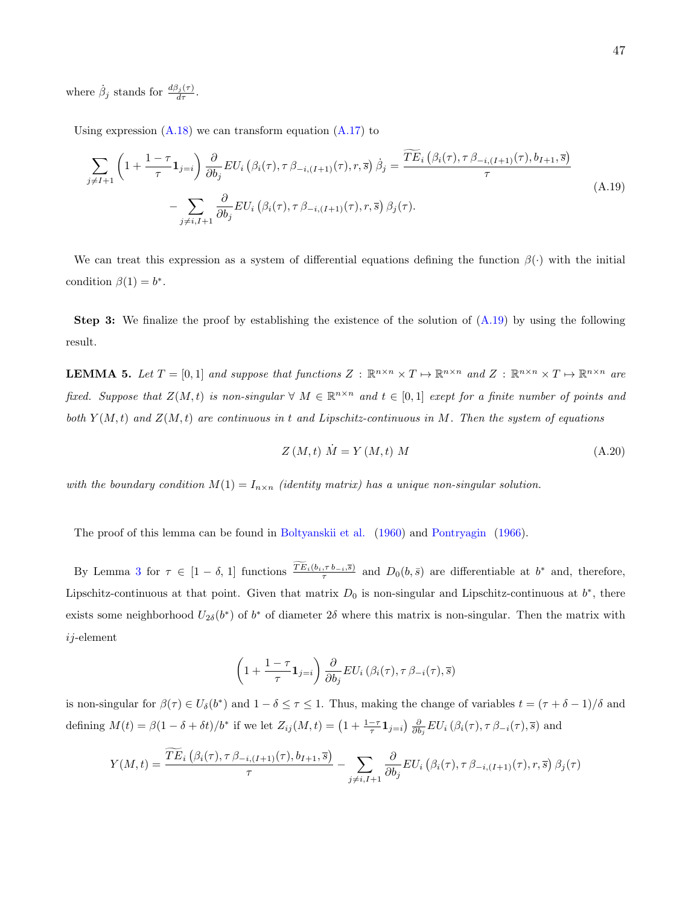where  $\dot{\beta}_j$  stands for  $\frac{d\beta_j(\tau)}{d\tau}$ .

Using expression  $(A.18)$  we can transform equation  $(A.17)$  to

<span id="page-46-0"></span>
$$
\sum_{j \neq I+1} \left( 1 + \frac{1 - \tau}{\tau} \mathbf{1}_{j=i} \right) \frac{\partial}{\partial b_j} EU_i \left( \beta_i(\tau), \tau \beta_{-i,(I+1)}(\tau), r, \overline{s} \right) \dot{\beta}_j = \frac{\widetilde{TE}_i \left( \beta_i(\tau), \tau \beta_{-i,(I+1)}(\tau), b_{I+1}, \overline{s} \right)}{\tau} - \sum_{j \neq i, I+1} \frac{\partial}{\partial b_j} EU_i \left( \beta_i(\tau), \tau \beta_{-i,(I+1)}(\tau), r, \overline{s} \right) \beta_j(\tau). \tag{A.19}
$$

We can treat this expression as a system of differential equations defining the function  $\beta(\cdot)$  with the initial condition  $\beta(1) = b^*$ .

**Step 3:** We finalize the proof by establishing the existence of the solution of  $(A.19)$  by using the following result.

<span id="page-46-2"></span>**LEMMA 5.** Let  $T = [0,1]$  and suppose that functions  $Z : \mathbb{R}^{n \times n} \times T \mapsto \mathbb{R}^{n \times n}$  and  $Z : \mathbb{R}^{n \times n} \times T \mapsto \mathbb{R}^{n \times n}$  are fixed. Suppose that  $Z(M,t)$  is non-singular  $\forall M \in \mathbb{R}^{n \times n}$  and  $t \in [0,1]$  exept for a finite number of points and both  $Y(M,t)$  and  $Z(M,t)$  are continuous in t and Lipschitz-continuous in M. Then the system of equations

<span id="page-46-1"></span>
$$
Z\left(M,t\right)\dot{M}=Y\left(M,t\right)M\tag{A.20}
$$

with the boundary condition  $M(1) = I_{n \times n}$  (identity matrix) has a unique non-singular solution.

The proof of this lemma can be found in [Boltyanskii et al.](#page-42-0) [\(1960\)](#page-42-0) and [Pontryagin](#page-43-1) [\(1966\)](#page-43-1).

By Lemma [3](#page-44-1) for  $\tau \in [1-\delta, 1]$  functions  $\frac{TE_i(b_i, \tau b_{-i}, \bar{s})}{\tau}$  and  $D_0(b, \bar{s})$  are differentiable at  $b^*$  and, therefore, Lipschitz-continuous at that point. Given that matrix  $D_0$  is non-singular and Lipschitz-continuous at  $b^*$ , there exists some neighborhood  $U_{2\delta}(b^*)$  of  $b^*$  of diameter  $2\delta$  where this matrix is non-singular. Then the matrix with  $i$ j-element

$$
\left(1+\frac{1-\tau}{\tau}\mathbf{1}_{j=i}\right)\frac{\partial}{\partial b_j}EU_i\left(\beta_i(\tau),\tau\,\beta_{-i}(\tau),\overline{s}\right)
$$

is non-singular for  $\beta(\tau) \in U_{\delta}(b^*)$  and  $1 - \delta \leq \tau \leq 1$ . Thus, making the change of variables  $t = (\tau + \delta - 1)/\delta$  and defining  $M(t) = \beta(1 - \delta + \delta t)/b^*$  if we let  $Z_{ij}(M, t) = \left(1 + \frac{1-\tau}{\tau}\mathbf{1}_{j=i}\right) \frac{\partial}{\partial b_j} EU_i(\beta_i(\tau), \tau \beta_{-i}(\tau), \overline{s})$  and

$$
Y(M,t) = \frac{\widetilde{TE}_{i}\left(\beta_{i}(\tau), \tau \beta_{-i,(I+1)}(\tau), b_{I+1}, \overline{s}\right)}{\tau} - \sum_{j \neq i, I+1} \frac{\partial}{\partial b_{j}} EU_{i}\left(\beta_{i}(\tau), \tau \beta_{-i,(I+1)}(\tau), r, \overline{s}\right) \beta_{j}(\tau)
$$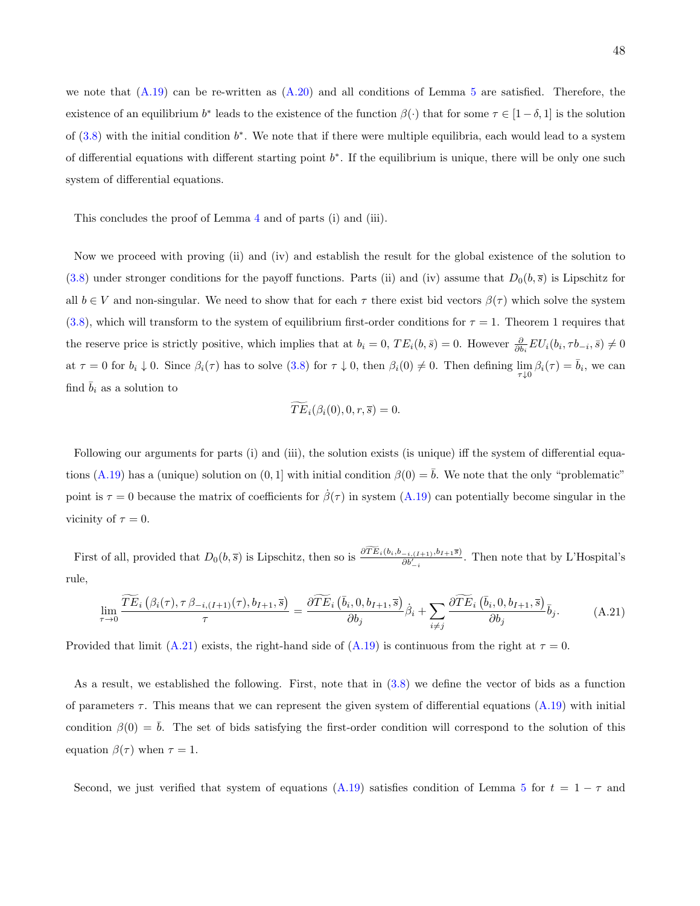we note that  $(A.19)$  can be re-written as  $(A.20)$  and all conditions of Lemma [5](#page-46-2) are satisfied. Therefore, the existence of an equilibrium  $b^*$  leads to the existence of the function  $\beta(\cdot)$  that for some  $\tau \in [1-\delta,1]$  is the solution of  $(3.8)$  with the initial condition  $b^*$ . We note that if there were multiple equilibria, each would lead to a system of differential equations with different starting point  $b^*$ . If the equilibrium is unique, there will be only one such system of differential equations.

This concludes the proof of Lemma [4](#page-45-3) and of parts (i) and (iii).

Now we proceed with proving (ii) and (iv) and establish the result for the global existence of the solution to [\(3.8\)](#page-13-0) under stronger conditions for the payoff functions. Parts (ii) and (iv) assume that  $D_0(b, \bar{s})$  is Lipschitz for all  $b \in V$  and non-singular. We need to show that for each  $\tau$  there exist bid vectors  $\beta(\tau)$  which solve the system [\(3.8\)](#page-13-0), which will transform to the system of equilibrium first-order conditions for  $\tau = 1$ . Theorem 1 requires that the reserve price is strictly positive, which implies that at  $b_i = 0$ ,  $TE_i(b, \bar{s}) = 0$ . However  $\frac{\partial}{\partial b_i} EU_i(b_i, \tau b_{-i}, \bar{s}) \neq 0$ at  $\tau = 0$  for  $b_i \downarrow 0$ . Since  $\beta_i(\tau)$  has to solve  $(3.8)$  for  $\tau \downarrow 0$ , then  $\beta_i(0) \neq 0$ . Then defining  $\lim_{\tau \downarrow 0} \beta_i(\tau) = \overline{b}_i$ , we can find  $b_i$  as a solution to

<span id="page-47-0"></span>
$$
\widetilde{TE}_i(\beta_i(0), 0, r, \overline{s}) = 0.
$$

Following our arguments for parts (i) and (iii), the solution exists (is unique) iff the system of differential equa-tions [\(A.19\)](#page-46-0) has a (unique) solution on  $(0, 1]$  with initial condition  $\beta(0) = \overline{b}$ . We note that the only "problematic" point is  $\tau = 0$  because the matrix of coefficients for  $\dot{\beta}(\tau)$  in system [\(A.19\)](#page-46-0) can potentially become singular in the vicinity of  $\tau = 0$ .

First of all, provided that  $D_0(b, \bar{s})$  is Lipschitz, then so is  $\frac{\partial TE_i(b_i, b_{-i,(I+1)}, b_{I+1}\bar{s})}{\partial b'_{-i}}$ . Then note that by L'Hospital's rule,

$$
\lim_{\tau \to 0} \frac{\widetilde{TE}_{i}\left(\beta_{i}(\tau), \tau \beta_{-i,(I+1)}(\tau), b_{I+1}, \overline{s}\right)}{\tau} = \frac{\partial \widetilde{TE}_{i}\left(\overline{b}_{i}, 0, b_{I+1}, \overline{s}\right)}{\partial b_{j}} \dot{\beta}_{i} + \sum_{i \neq j} \frac{\partial \widetilde{TE}_{i}\left(\overline{b}_{i}, 0, b_{I+1}, \overline{s}\right)}{\partial b_{j}} \overline{b}_{j}.
$$
 (A.21)

Provided that limit [\(A.21\)](#page-47-0) exists, the right-hand side of [\(A.19\)](#page-46-0) is continuous from the right at  $\tau = 0$ .

As a result, we established the following. First, note that in [\(3.8\)](#page-13-0) we define the vector of bids as a function of parameters  $\tau$ . This means that we can represent the given system of differential equations [\(A.19\)](#page-46-0) with initial condition  $\beta(0) = b$ . The set of bids satisfying the first-order condition will correspond to the solution of this equation  $\beta(\tau)$  when  $\tau = 1$ .

Second, we just verified that system of equations [\(A.19\)](#page-46-0) satisfies condition of Lemma [5](#page-46-2) for  $t = 1 - \tau$  and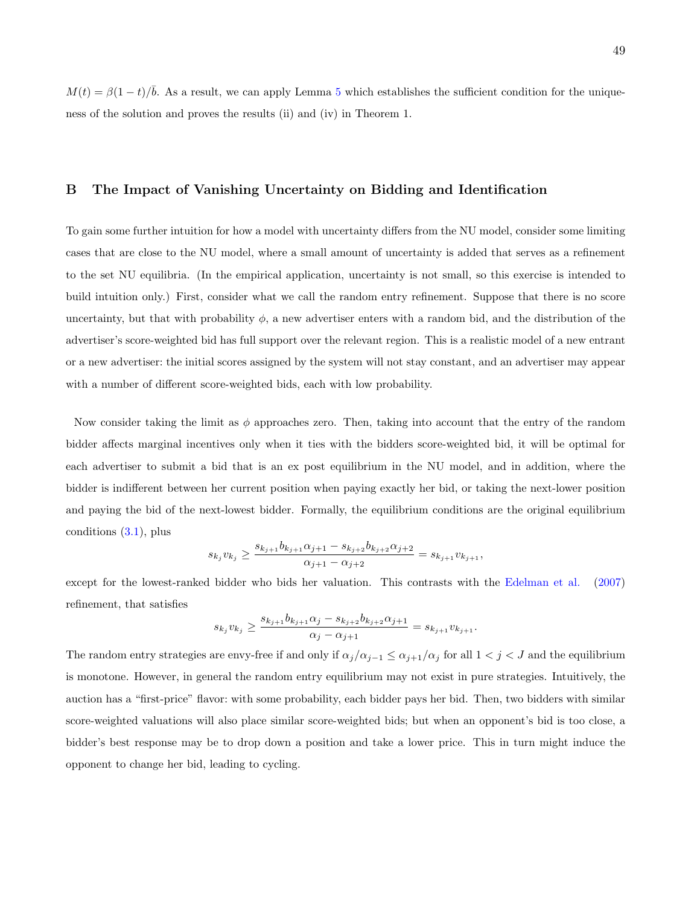$M(t) = \beta(1-t)/\overline{b}$ . As a result, we can apply Lemma [5](#page-46-2) which establishes the sufficient condition for the uniqueness of the solution and proves the results (ii) and (iv) in Theorem 1.

## B The Impact of Vanishing Uncertainty on Bidding and Identification

To gain some further intuition for how a model with uncertainty differs from the NU model, consider some limiting cases that are close to the NU model, where a small amount of uncertainty is added that serves as a refinement to the set NU equilibria. (In the empirical application, uncertainty is not small, so this exercise is intended to build intuition only.) First, consider what we call the random entry refinement. Suppose that there is no score uncertainty, but that with probability  $\phi$ , a new advertiser enters with a random bid, and the distribution of the advertiser's score-weighted bid has full support over the relevant region. This is a realistic model of a new entrant or a new advertiser: the initial scores assigned by the system will not stay constant, and an advertiser may appear with a number of different score-weighted bids, each with low probability.

Now consider taking the limit as  $\phi$  approaches zero. Then, taking into account that the entry of the random bidder affects marginal incentives only when it ties with the bidders score-weighted bid, it will be optimal for each advertiser to submit a bid that is an ex post equilibrium in the NU model, and in addition, where the bidder is indifferent between her current position when paying exactly her bid, or taking the next-lower position and paying the bid of the next-lowest bidder. Formally, the equilibrium conditions are the original equilibrium conditions  $(3.1)$ , plus

$$
s_{k_j}v_{k_j}\geq \frac{s_{k_{j+1}}b_{k_{j+1}}\alpha_{j+1}-s_{k_{j+2}}b_{k_{j+2}}\alpha_{j+2}}{\alpha_{j+1}-\alpha_{j+2}}=s_{k_{j+1}}v_{k_{j+1}},
$$

except for the lowest-ranked bidder who bids her valuation. This contrasts with the [Edelman et al.](#page-43-2) [\(2007\)](#page-43-2) refinement, that satisfies

$$
s_{k_j}v_{k_j} \ge \frac{s_{k_{j+1}}b_{k_{j+1}}\alpha_j - s_{k_{j+2}}b_{k_{j+2}}\alpha_{j+1}}{\alpha_j - \alpha_{j+1}} = s_{k_{j+1}}v_{k_{j+1}}.
$$

The random entry strategies are envy-free if and only if  $\alpha_j/\alpha_{j-1} \leq \alpha_{j+1}/\alpha_j$  for all  $1 < j < J$  and the equilibrium is monotone. However, in general the random entry equilibrium may not exist in pure strategies. Intuitively, the auction has a "first-price" flavor: with some probability, each bidder pays her bid. Then, two bidders with similar score-weighted valuations will also place similar score-weighted bids; but when an opponent's bid is too close, a bidder's best response may be to drop down a position and take a lower price. This in turn might induce the opponent to change her bid, leading to cycling.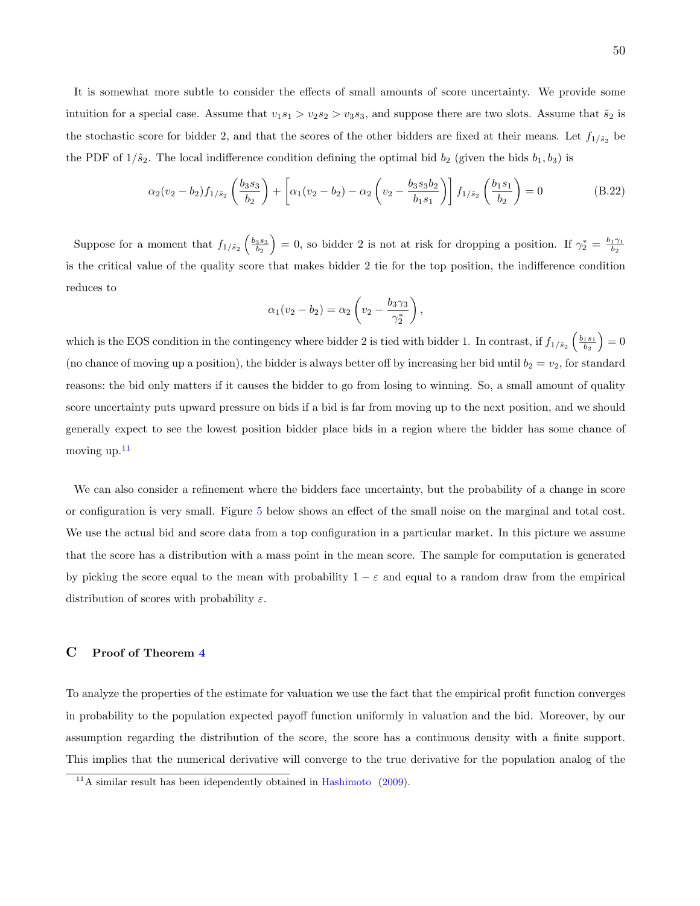It is somewhat more subtle to consider the effects of small amounts of score uncertainty. We provide some intuition for a special case. Assume that  $v_1s_1 > v_2s_2 > v_3s_3$ , and suppose there are two slots. Assume that  $\tilde{s}_2$  is the stochastic score for bidder 2, and that the scores of the other bidders are fixed at their means. Let  $f_{1/\tilde{s}_2}$  be the PDF of  $1/\tilde{s}_2$ . The local indifference condition defining the optimal bid  $b_2$  (given the bids  $b_1, b_3$ ) is

$$
\alpha_2(v_2 - b_2) f_{1/\tilde{s}_2} \left(\frac{b_3 s_3}{b_2}\right) + \left[ \alpha_1(v_2 - b_2) - \alpha_2 \left(v_2 - \frac{b_3 s_3 b_2}{b_1 s_1}\right) \right] f_{1/\tilde{s}_2} \left(\frac{b_1 s_1}{b_2}\right) = 0 \tag{B.22}
$$

Suppose for a moment that  $f_{1/\tilde{s}_2}\left(\frac{b_3s_3}{b_2}\right)=0$ , so bidder 2 is not at risk for dropping a position. If  $\gamma_2^*=\frac{b_1\gamma_1}{b_2}$ is the critical value of the quality score that makes bidder 2 tie for the top position, the indifference condition reduces to

$$
\alpha_1(v_2 - b_2) = \alpha_2 \left( v_2 - \frac{b_3 \gamma_3}{\gamma_2^*} \right),
$$

which is the EOS condition in the contingency where bidder 2 is tied with bidder 1. In contrast, if  $f_{1/\tilde{s}_2}\left(\frac{b_1s_1}{b_2}\right)=0$ (no chance of moving up a position), the bidder is always better off by increasing her bid until  $b_2 = v_2$ , for standard reasons: the bid only matters if it causes the bidder to go from losing to winning. So, a small amount of quality score uncertainty puts upward pressure on bids if a bid is far from moving up to the next position, and we should generally expect to see the lowest position bidder place bids in a region where the bidder has some chance of moving up. $^{11}$  $^{11}$  $^{11}$ 

We can also consider a refinement where the bidders face uncertainty, but the probability of a change in score or configuration is very small. Figure [5](#page-50-0) below shows an effect of the small noise on the marginal and total cost. We use the actual bid and score data from a top configuration in a particular market. In this picture we assume that the score has a distribution with a mass point in the mean score. The sample for computation is generated by picking the score equal to the mean with probability  $1 - \varepsilon$  and equal to a random draw from the empirical distribution of scores with probability  $\varepsilon$ .

#### <span id="page-49-1"></span>C Proof of Theorem [4](#page-23-0)

To analyze the properties of the estimate for valuation we use the fact that the empirical profit function converges in probability to the population expected payoff function uniformly in valuation and the bid. Moreover, by our assumption regarding the distribution of the score, the score has a continuous density with a finite support. This implies that the numerical derivative will converge to the true derivative for the population analog of the

<span id="page-49-0"></span> $11A$  similar result has been idependently obtained in [Hashimoto](#page-43-3) [\(2009\)](#page-43-3).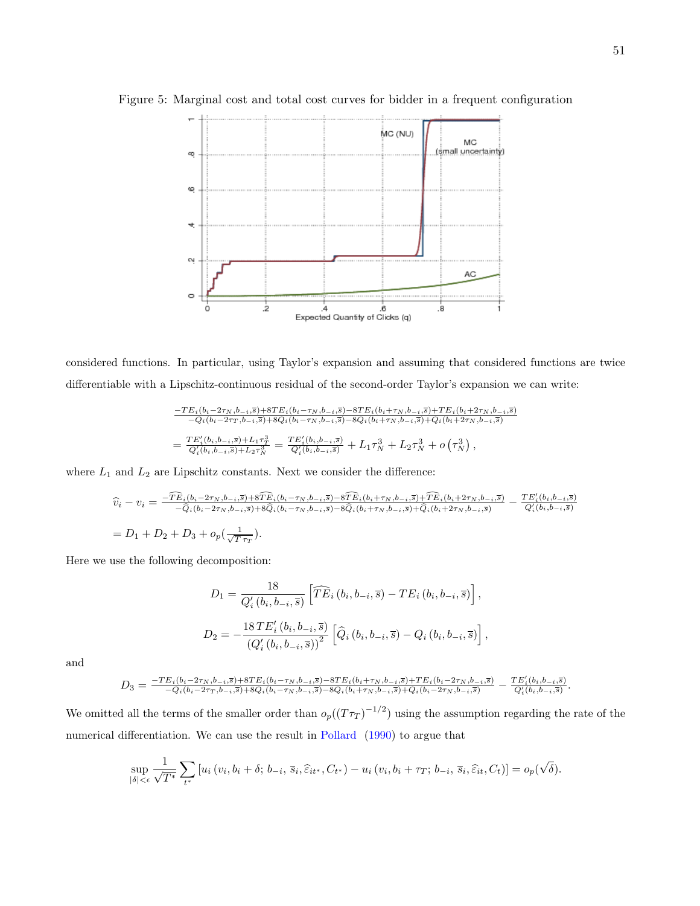<span id="page-50-0"></span>

Figure 5: Marginal cost and total cost curves for bidder in a frequent configuration

considered functions. In particular, using Taylor's expansion and assuming that considered functions are twice differentiable with a Lipschitz-continuous residual of the second-order Taylor's expansion we can write:

$$
\frac{-TE_i(b_i-2\tau_N,b_{-i},\overline{s})+8TE_i(b_i-\tau_N,b_{-i},\overline{s})-8TE_i(b_i+\tau_N,b_{-i},\overline{s})+TE_i(b_i+2\tau_N,b_{-i},\overline{s})}{-Q_i(b_i-2\tau_T,b_{-i},\overline{s})+8Q_i(b_i-\tau_N,b_{-i},\overline{s})-8Q_i(b_i+\tau_N,b_{-i},\overline{s})+Q_i(b_i+2\tau_N,b_{-i},\overline{s})}
$$
\n
$$
=\frac{TE_i'(b_i,b_{-i},\overline{s})+L_1\tau_T^3}{Q_i'(b_i,b_{-i},\overline{s})+L_2\tau_N^3}=\frac{TE_i'(b_i,b_{-i},\overline{s})}{Q_i'(b_i,b_{-i},\overline{s})}+L_1\tau_N^3+L_2\tau_N^3+o\left(\tau_N^3\right),
$$

where  ${\cal L}_1$  and  ${\cal L}_2$  are Lipschitz constants. Next we consider the difference:

$$
\begin{split} \hat{v}_i - v_i &= \frac{-\widehat{TE}_i(b_i - 2\tau_N, b_{-i}, \overline{s}) + 8\widehat{TE}_i(b_i - \tau_N, b_{-i}, \overline{s}) - 8\widehat{TE}_i(b_i + \tau_N, b_{-i}, \overline{s}) + \widehat{TE}_i(b_i + 2\tau_N, b_{-i}, \overline{s})}{-\widehat{Q}_i(b_i - 2\tau_N, b_{-i}, \overline{s}) + 8\widehat{Q}_i(b_i - \tau_N, b_{-i}, \overline{s}) - 8\widehat{Q}_i(b_i + \tau_N, b_{-i}, \overline{s}) + \widehat{Q}_i(b_i + 2\tau_N, b_{-i}, \overline{s})}{\widehat{Q}'_i(b_i, b_{-i}, \overline{s})} \\ &= D_1 + D_2 + D_3 + o_p\left(\frac{1}{\sqrt{T\tau_T}}\right). \end{split}
$$

Here we use the following decomposition:

$$
D_{1} = \frac{18}{Q'_{i}(b_{i}, b_{-i}, \overline{s})} \left[ \widehat{TE}_{i}(b_{i}, b_{-i}, \overline{s}) - TE_{i}(b_{i}, b_{-i}, \overline{s}) \right],
$$
  

$$
D_{2} = -\frac{18TE'_{i}(b_{i}, b_{-i}, \overline{s})}{(Q'_{i}(b_{i}, b_{-i}, \overline{s}))^{2}} \left[ \widehat{Q}_{i}(b_{i}, b_{-i}, \overline{s}) - Q_{i}(b_{i}, b_{-i}, \overline{s}) \right],
$$

and

$$
D_3=\tfrac{-TE_i(b_i-2\tau_N,b_{-i},\overline{s})+8TE_i(b_i-\tau_N,b_{-i},\overline{s})-8TE_i(b_i+\tau_N,b_{-i},\overline{s})+TE_i(b_i-2\tau_N,b_{-i},\overline{s})}{-Q_i(b_i-2\tau_T,b_{-i},\overline{s})+8Q_i(b_i-\tau_N,b_{-i},\overline{s})-8Q_i(b_i+\tau_N,b_{-i},\overline{s})+Q_i(b_i-2\tau_N,b_{-i},\overline{s})}-\tfrac{TE'_i(b_i,b_{-i},\overline{s})}{Q'_i(b_i,b_{-i},\overline{s})}.
$$

We omitted all the terms of the smaller order than  $o_p((T\tau_T)^{-1/2})$  using the assumption regarding the rate of the numerical differentiation. We can use the result in [Pollard](#page-44-2) [\(1990\)](#page-44-2) to argue that

$$
\sup_{|\delta| < \epsilon} \frac{1}{\sqrt{T^*}} \sum_{t^*} \left[ u_i \left( v_i, b_i + \delta; b_{-i}, \overline{s}_i, \widehat{\varepsilon}_{it^*}, C_{t^*} \right) - u_i \left( v_i, b_i + \tau_T; b_{-i}, \overline{s}_i, \widehat{\varepsilon}_{it}, C_t \right) \right] = o_p(\sqrt{\delta}).
$$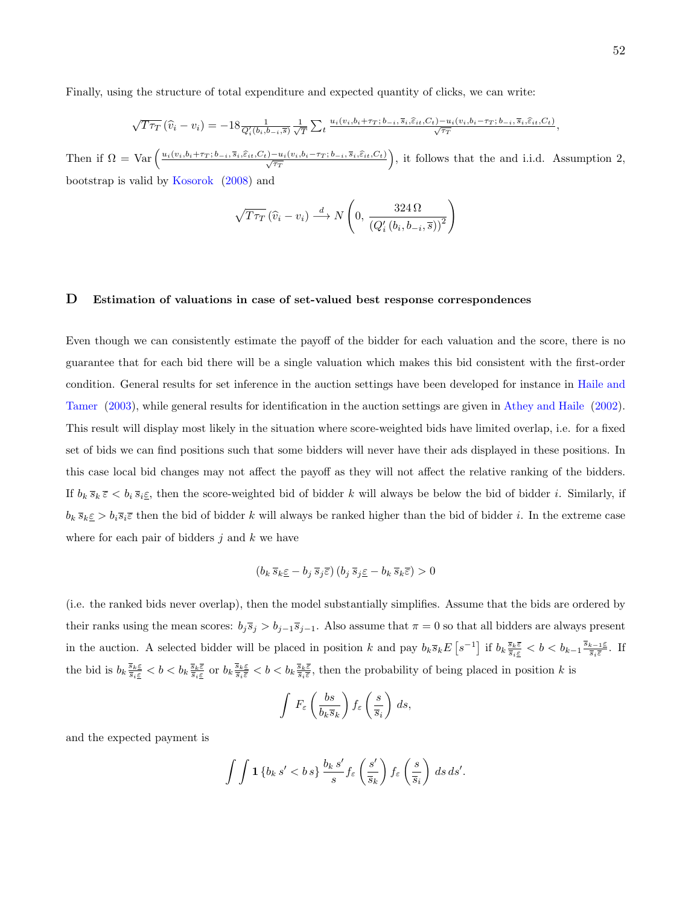Finally, using the structure of total expenditure and expected quantity of clicks, we can write:

$$
\sqrt{T\tau_T}(\widehat{v}_i - v_i) = -18 \frac{1}{Q_i'(b_i, b_{-i}, \overline{s})} \frac{1}{\sqrt{T}} \sum_t \frac{u_i(v_i, b_i + \tau_T; b_{-i}, \overline{s}_i, \widehat{\varepsilon}_{it}, C_t) - u_i(v_i, b_i - \tau_T; b_{-i}, \overline{s}_i, \widehat{\varepsilon}_{it}, C_t)}{\sqrt{\tau_T}},
$$

Then if  $\Omega = \text{Var}\left(\frac{u_i(v_i,b_i+\tau_T;b_{-i},\overline{s}_i,\widehat{\epsilon}_{it},C_t)-u_i(v_i,b_i-\tau_T;b_{-i},\overline{s}_i,\widehat{\epsilon}_{it},C_t}{\sqrt{\tau_T}}\right)$ , it follows that the and i.i.d. Assumption 2, bootstrap is valid by [Kosorok](#page-43-4) [\(2008\)](#page-43-4) and

$$
\sqrt{T\tau_T} \left( \widehat{v}_i - v_i \right) \stackrel{d}{\longrightarrow} N \left( 0, \frac{324 \,\Omega}{\left( Q_i' \left( b_i, b_{-i}, \overline{s} \right) \right)^2} \right)
$$

#### D Estimation of valuations in case of set-valued best response correspondences

Even though we can consistently estimate the payoff of the bidder for each valuation and the score, there is no guarantee that for each bid there will be a single valuation which makes this bid consistent with the first-order condition. General results for set inference in the auction settings have been developed for instance in [Haile and](#page-43-5) [Tamer](#page-43-5) [\(2003\)](#page-43-5), while general results for identification in the auction settings are given in [Athey and Haile](#page-42-1) [\(2002\)](#page-42-1). This result will display most likely in the situation where score-weighted bids have limited overlap, i.e. for a fixed set of bids we can find positions such that some bidders will never have their ads displayed in these positions. In this case local bid changes may not affect the payoff as they will not affect the relative ranking of the bidders. If  $b_k \overline{s}_k \overline{\varepsilon} < b_i \overline{s}_i \underline{\varepsilon}$ , then the score-weighted bid of bidder k will always be below the bid of bidder i. Similarly, if  $b_k \overline{s_k} \geq b_i \overline{s_i}$  then the bid of bidder k will always be ranked higher than the bid of bidder i. In the extreme case where for each pair of bidders  $j$  and  $k$  we have

$$
(b_k \,\overline{s}_k \underline{\varepsilon} - b_j \,\overline{s}_j \overline{\varepsilon}) \,(b_j \,\overline{s}_j \underline{\varepsilon} - b_k \,\overline{s}_k \overline{\varepsilon}) > 0
$$

(i.e. the ranked bids never overlap), then the model substantially simplifies. Assume that the bids are ordered by their ranks using the mean scores:  $b_j \bar{s}_j > b_{j-1} \bar{s}_{j-1}$ . Also assume that  $\pi = 0$  so that all bidders are always present in the auction. A selected bidder will be placed in position k and pay  $b_k \overline{s}_k E\left[s^{-1}\right]$  if  $b_k \frac{\overline{s}_k \overline{\varepsilon}}{s_i \overline{\varepsilon}} < b < b_{k-1} \frac{\overline{s}_{k-1} \overline{\varepsilon}}{s_i \overline{\varepsilon}}$  $\frac{k-1E}{\overline{s}_i\overline{\varepsilon}}$ . If the bid is  $b_k \frac{\overline{s}_k \varepsilon}{\overline{s}_i \varepsilon} < b < b_k \frac{\overline{s}_k \varepsilon}{\overline{s}_i \varepsilon}$  or  $b_k \frac{\overline{s}_k \varepsilon}{\overline{s}_i \varepsilon} < b < b_k \frac{\overline{s}_k \varepsilon}{\overline{s}_i \varepsilon}$ , then the probability of being placed in position k is

$$
\int F_{\varepsilon}\left(\frac{bs}{b_k\overline{s}_k}\right)f_{\varepsilon}\left(\frac{s}{\overline{s}_i}\right) ds,
$$

and the expected payment is

$$
\int \int \mathbf{1} \left\{ b_k \, s' < b \, s \right\} \frac{b_k \, s'}{s} f_{\varepsilon} \left( \frac{s'}{\overline{s}_k} \right) f_{\varepsilon} \left( \frac{s}{\overline{s}_i} \right) \, ds \, ds'.
$$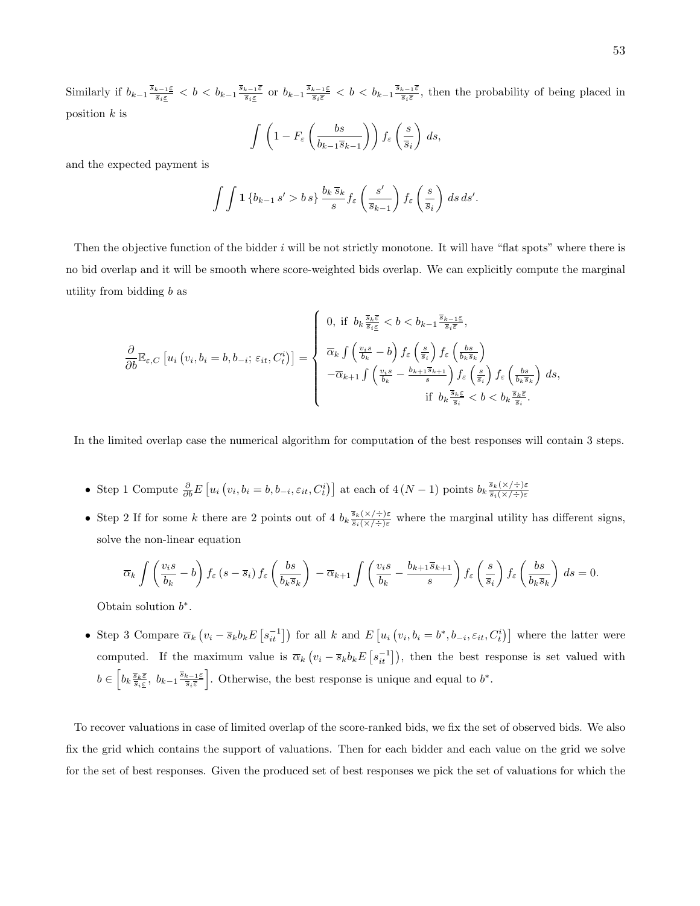Similarly if  $b_{k-1} \frac{\overline{s}_{k-1} \underline{\varepsilon}}{\overline{s}_i \underline{\varepsilon}} < b < b_{k-1} \frac{\overline{s}_{k-1} \overline{\varepsilon}}{\overline{s}_i \underline{\varepsilon}}$  $\frac{k-1\bar{\varepsilon}}{\bar{s}_i\bar{\varepsilon}}}$  or  $b_{k-1}\frac{\bar{s}_{k-1\bar{\varepsilon}}}{\bar{s}_i\bar{\varepsilon}} < b < b_{k-1}\frac{\bar{s}_{k-1\bar{\varepsilon}}}{\bar{s}_i\bar{\varepsilon}}$  $\frac{k-1\bar{\varepsilon}}{s_i\bar{\varepsilon}},$  then the probability of being placed in position  $k$  is

$$
\int \left(1 - F_{\varepsilon} \left( \frac{bs}{b_{k-1} \overline{s}_{k-1}} \right) \right) f_{\varepsilon} \left( \frac{s}{\overline{s}_i} \right) ds,
$$

and the expected payment is

$$
\int \int \mathbf{1} \left\{ b_{k-1} s' > b \, s \right\} \frac{b_k \, \overline{s}_k}{s} f_{\varepsilon} \left( \frac{s'}{\overline{s}_{k-1}} \right) f_{\varepsilon} \left( \frac{s}{\overline{s}_i} \right) \, ds \, ds'.
$$

Then the objective function of the bidder  $i$  will be not strictly monotone. It will have "flat spots" where there is no bid overlap and it will be smooth where score-weighted bids overlap. We can explicitly compute the marginal utility from bidding  $b$  as

$$
\frac{\partial}{\partial b} \mathbb{E}_{\varepsilon,C} \left[ u_i \left( v_i, b_i = b, b_{-i} ; \varepsilon_{it}, C_t^i \right) \right] = \begin{cases} 0, & \text{if } b_k \frac{\overline{s}_k \overline{\varepsilon}}{s_i \varepsilon} < b < b_{k-1} \frac{\overline{s}_{k-1} \underline{\varepsilon}}{s_i \overline{\varepsilon}}, \\ & \\ \frac{\overline{\alpha}_k \int \left( \frac{v_i s}{b_k} - b \right) f_{\varepsilon} \left( \frac{s}{\overline{s}_i} \right) f_{\varepsilon} \left( \frac{b s}{b_k \overline{s}_k} \right)}{-\overline{\alpha}_{k+1} \int \left( \frac{v_i s}{b_k} - \frac{b_{k+1} \overline{s}_{k+1}}{s} \right) f_{\varepsilon} \left( \frac{s}{\overline{s}_i} \right) f_{\varepsilon} \left( \frac{b s}{b_k \overline{s}_k} \right) ds, \\ & \\ & \text{if } b_k \frac{\overline{s}_k \underline{\varepsilon}}{s_i} < b < b_k \frac{\overline{s}_k \underline{\varepsilon}}{s_i}. \end{cases}
$$

In the limited overlap case the numerical algorithm for computation of the best responses will contain 3 steps.

- Step 1 Compute  $\frac{\partial}{\partial b} E\left[ u_i\left(v_i, b_i = b, b_{-i}, \varepsilon_{it}, C_t^i\right) \right]$  at each of  $4(N-1)$  points  $b_k \frac{\overline{s}_k(x) + \varepsilon_k(x)}{\overline{s}_i(x) + \varepsilon_k(x)}$  $\overline{s}_i$ (×/÷)ε
- Step 2 If for some k there are 2 points out of 4  $b_k \frac{\bar{s}_k(x/\div)\varepsilon}{\bar{s}_i(x/\div)\varepsilon}$  where the marginal utility has different signs, solve the non-linear equation

$$
\overline{\alpha}_k \int \left( \frac{v_i s}{b_k} - b \right) f_{\varepsilon} \left( s - \overline{s}_i \right) f_{\varepsilon} \left( \frac{bs}{b_k \overline{s}_k} \right) - \overline{\alpha}_{k+1} \int \left( \frac{v_i s}{b_k} - \frac{b_{k+1} \overline{s}_{k+1}}{s} \right) f_{\varepsilon} \left( \frac{s}{\overline{s}_i} \right) f_{\varepsilon} \left( \frac{bs}{b_k \overline{s}_k} \right) ds = 0.
$$

Obtain solution  $b^*$ .

• Step 3 Compare  $\overline{\alpha}_k (v_i - \overline{s}_k b_k E\left[s_{it}^{-1}\right])$  for all k and  $E\left[u_i(v_i, b_i = b^*, b_{-i}, \varepsilon_{it}, C_t^i)\right]$  where the latter were computed. If the maximum value is  $\overline{\alpha}_k (v_i - \overline{s}_k b_k E[s_{it}^{-1}])$ , then the best response is set valued with  $b \in \left[b_k\frac{\overline{s}_k\overline{\varepsilon}}{ \overline{s}_i \overline{\varepsilon}},\ b_{k-1}\frac{\overline{s}_{k-1}\overline{\varepsilon}}{ \overline{s}_i\overline{\varepsilon}}\right]$  $\frac{k-1 \leq k}{\overline{s}_i \overline{\varepsilon}}$ . Otherwise, the best response is unique and equal to  $b^*$ .

To recover valuations in case of limited overlap of the score-ranked bids, we fix the set of observed bids. We also fix the grid which contains the support of valuations. Then for each bidder and each value on the grid we solve for the set of best responses. Given the produced set of best responses we pick the set of valuations for which the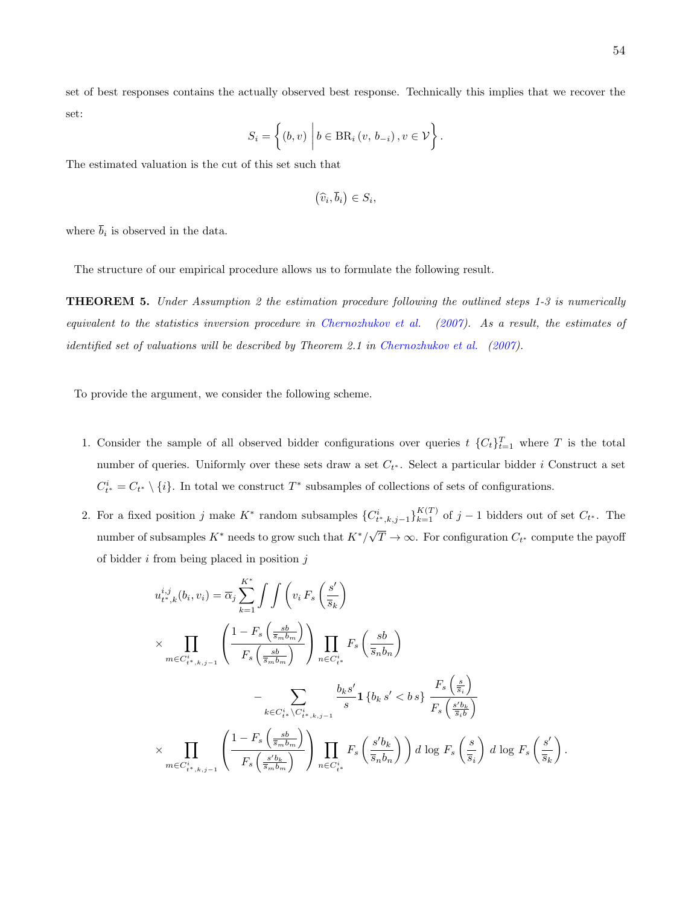$$
S_i = \left\{ (b, v) \middle| b \in \mathrm{BR}_i(v, b_{-i}), v \in \mathcal{V} \right\}.
$$

The estimated valuation is the cut of this set such that

$$
(\widehat{v}_i,\overline{b}_i)\in S_i,
$$

where  $b_i$  is observed in the data.

The structure of our empirical procedure allows us to formulate the following result.

THEOREM 5. Under Assumption 2 the estimation procedure following the outlined steps 1-3 is numerically equivalent to the statistics inversion procedure in [Chernozhukov et al.](#page-42-2) [\(2007\)](#page-42-2). As a result, the estimates of identified set of valuations will be described by Theorem 2.1 in [Chernozhukov et al.](#page-42-2) [\(2007\)](#page-42-2).

To provide the argument, we consider the following scheme.

- 1. Consider the sample of all observed bidder configurations over queries  $t \{C_t\}_{t=1}^T$  where T is the total number of queries. Uniformly over these sets draw a set  $C_{t^*}$ . Select a particular bidder i Construct a set  $C_{t^*}^i = C_{t^*} \setminus \{i\}$ . In total we construct  $T^*$  subsamples of collections of sets of configurations.
- 2. For a fixed position j make  $K^*$  random subsamples  ${C_{t^*,k,j-1}^i}_{k=1}^{K(T)}$  of j 1 bidders out of set  $C_{t^*}$ . The number of subsamples  $K^*$  needs to grow such that  $K^*/\sqrt{k}$  $T \to \infty$ . For configuration  $C_{t^*}$  compute the payoff of bidder  $i$  from being placed in position  $j$

$$
u_{t^*,k}^{i,j}(b_i, v_i) = \overline{\alpha}_j \sum_{k=1}^{K^*} \int \int \left( v_i F_s \left( \frac{s'}{\overline{s}_k} \right) \right)
$$
  

$$
\times \prod_{m \in C_{t^*,k,j-1}^i} \left( \frac{1 - F_s \left( \frac{sb}{\overline{s}_m b_m} \right)}{F_s \left( \frac{sb}{\overline{s}_m b_m} \right)} \right) \prod_{n \in C_{t^*}^i} F_s \left( \frac{sb}{\overline{s}_n b_n} \right)
$$
  

$$
- \sum_{k \in C_{t^*}^i \backslash C_{t^*,k,j-1}^i} \frac{b_k s'}{s} \mathbf{1} \left\{ b_k s' < b s \right\} \frac{F_s \left( \frac{s}{\overline{s}_i} \right)}{F_s \left( \frac{s' b_k}{\overline{s}_i b} \right)}
$$
  

$$
\times \prod_{m \in C_{t^*,k,j-1}^i} \left( \frac{1 - F_s \left( \frac{sb}{\overline{s}_m b_m} \right)}{F_s \left( \frac{s' b_k}{\overline{s}_m b_m} \right)} \right) \prod_{n \in C_{t^*}^i} F_s \left( \frac{s' b_k}{\overline{s}_n b_n} \right) \right) d \log F_s \left( \frac{s}{\overline{s}_i} \right) d \log F_s \left( \frac{s'}{\overline{s}_i} \right).
$$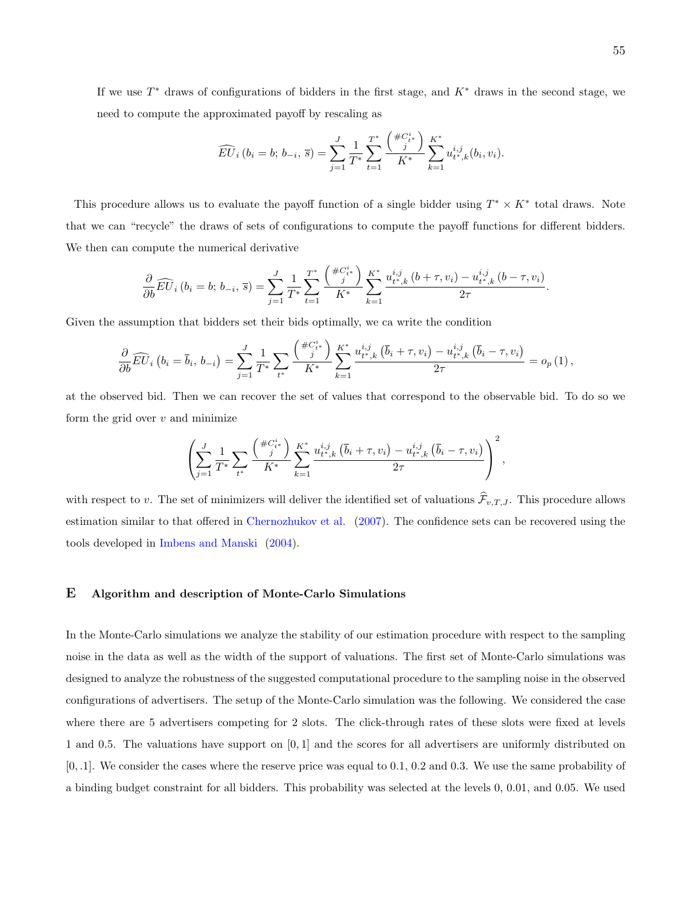If we use  $T^*$  draws of configurations of bidders in the first stage, and  $K^*$  draws in the second stage, we need to compute the approximated payoff by rescaling as

$$
\widehat{EU}_i(b_i = b; b_{-i}, \overline{s}) = \sum_{j=1}^J \frac{1}{T^*} \sum_{t=1}^{T^*} \frac{\left(\frac{\#C_{i^*}^i}{j}\right)}{K^*} \sum_{k=1}^{K^*} u_{t^*,k}^{i,j}(b_i, v_i).
$$

This procedure allows us to evaluate the payoff function of a single bidder using  $T^* \times K^*$  total draws. Note that we can "recycle" the draws of sets of configurations to compute the payoff functions for different bidders. We then can compute the numerical derivative

$$
\frac{\partial}{\partial b}\widehat{EU}_i(b_i = b; b_{-i}, \overline{s}) = \sum_{j=1}^J \frac{1}{T^*} \sum_{t=1}^{T^*} \frac{\left(\frac{\#C_{i^*}^i}{j}\right)}{K^*} \sum_{k=1}^{K^*} \frac{u_{t^*,k}^{i,j}(b + \tau, v_i) - u_{t^*,k}^{i,j}(b - \tau, v_i)}{2\tau}.
$$

Given the assumption that bidders set their bids optimally, we ca write the condition

$$
\frac{\partial}{\partial b}\widehat{EU}_i\left(b_i = \overline{b}_i, b_{-i}\right) = \sum_{j=1}^J \frac{1}{T^*} \sum_{t^*} \frac{\left(\frac{\#C_{i^*}^i}{j}\right)}{K^*} \sum_{k=1}^{K^*} \frac{u_{t^*,k}^{i,j}\left(\overline{b}_i + \tau, v_i\right) - u_{t^*,k}^{i,j}\left(\overline{b}_i - \tau, v_i\right)}{2\tau} = o_p\left(1\right),
$$

at the observed bid. Then we can recover the set of values that correspond to the observable bid. To do so we form the grid over  $v$  and minimize

$$
\left(\sum_{j=1}^{J} \frac{1}{T^*} \sum_{t^*} \frac{\left(\frac{\#C_{t^*}^i}{j}\right)}{K^*} \sum_{k=1}^{K^*} \frac{u_{t^*,k}^{i,j} \left(\overline{b}_i + \tau, v_i\right) - u_{t^*,k}^{i,j} \left(\overline{b}_i - \tau, v_i\right)}{2\tau}\right)^2,
$$

with respect to v. The set of minimizers will deliver the identified set of valuations  $\hat{\mathcal{F}}_{v,T,J}$ . This procedure allows estimation similar to that offered in [Chernozhukov et al.](#page-42-2) [\(2007\)](#page-42-2). The confidence sets can be recovered using the tools developed in [Imbens and Manski](#page-43-6) [\(2004\)](#page-43-6).

# E Algorithm and description of Monte-Carlo Simulations

In the Monte-Carlo simulations we analyze the stability of our estimation procedure with respect to the sampling noise in the data as well as the width of the support of valuations. The first set of Monte-Carlo simulations was designed to analyze the robustness of the suggested computational procedure to the sampling noise in the observed configurations of advertisers. The setup of the Monte-Carlo simulation was the following. We considered the case where there are 5 advertisers competing for 2 slots. The click-through rates of these slots were fixed at levels 1 and 0.5. The valuations have support on [0, 1] and the scores for all advertisers are uniformly distributed on [0, .1]. We consider the cases where the reserve price was equal to 0.1, 0.2 and 0.3. We use the same probability of a binding budget constraint for all bidders. This probability was selected at the levels 0, 0.01, and 0.05. We used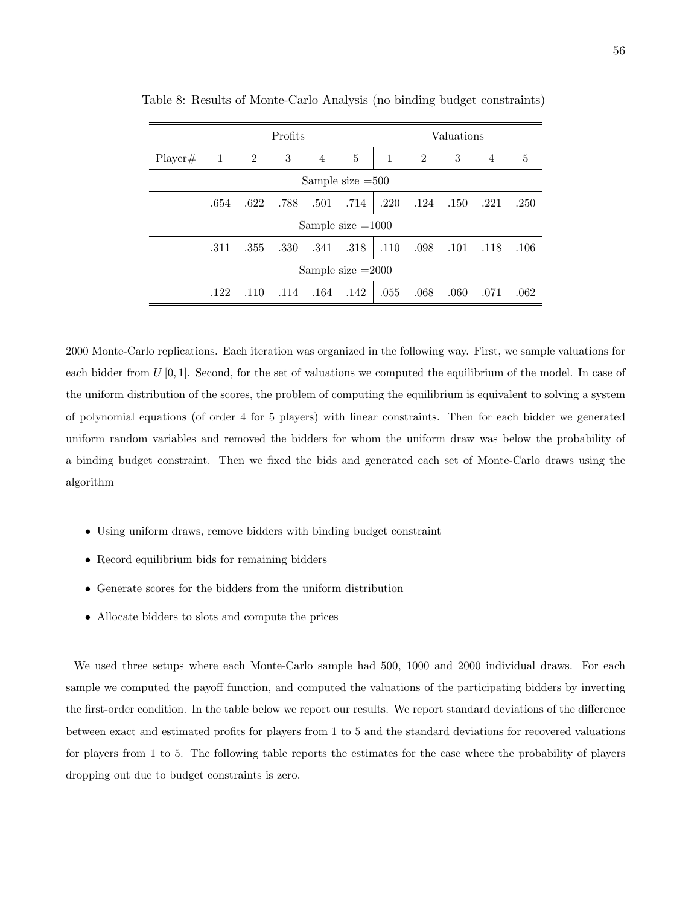|                     |                    | Profits |      |                |                     | Valuations   |                |       |                |      |
|---------------------|--------------------|---------|------|----------------|---------------------|--------------|----------------|-------|----------------|------|
| Player#             | 1 2                |         | 3    | $\overline{4}$ | 5                   | $\mathbf{1}$ | $\overline{2}$ | 3     | $\overline{4}$ | 5    |
|                     | Sample size $=500$ |         |      |                |                     |              |                |       |                |      |
|                     | .654               | .622    | .788 | .501           | .714                | .220         | .124           | .150  | .221           | .250 |
|                     |                    |         |      |                | Sample size $=1000$ |              |                |       |                |      |
|                     | .311               | .355    | .330 | .341           | .318                | .110         | .098           | .101  | .118           | .106 |
| Sample size $=2000$ |                    |         |      |                |                     |              |                |       |                |      |
|                     | .122               | .110    | .114 | .164           | .142                | .055         | .068           | .060. | .071           | .062 |

Table 8: Results of Monte-Carlo Analysis (no binding budget constraints)

2000 Monte-Carlo replications. Each iteration was organized in the following way. First, we sample valuations for each bidder from  $U[0, 1]$ . Second, for the set of valuations we computed the equilibrium of the model. In case of the uniform distribution of the scores, the problem of computing the equilibrium is equivalent to solving a system of polynomial equations (of order 4 for 5 players) with linear constraints. Then for each bidder we generated uniform random variables and removed the bidders for whom the uniform draw was below the probability of a binding budget constraint. Then we fixed the bids and generated each set of Monte-Carlo draws using the algorithm

- Using uniform draws, remove bidders with binding budget constraint
- Record equilibrium bids for remaining bidders
- Generate scores for the bidders from the uniform distribution
- Allocate bidders to slots and compute the prices

We used three setups where each Monte-Carlo sample had 500, 1000 and 2000 individual draws. For each sample we computed the payoff function, and computed the valuations of the participating bidders by inverting the first-order condition. In the table below we report our results. We report standard deviations of the difference between exact and estimated profits for players from 1 to 5 and the standard deviations for recovered valuations for players from 1 to 5. The following table reports the estimates for the case where the probability of players dropping out due to budget constraints is zero.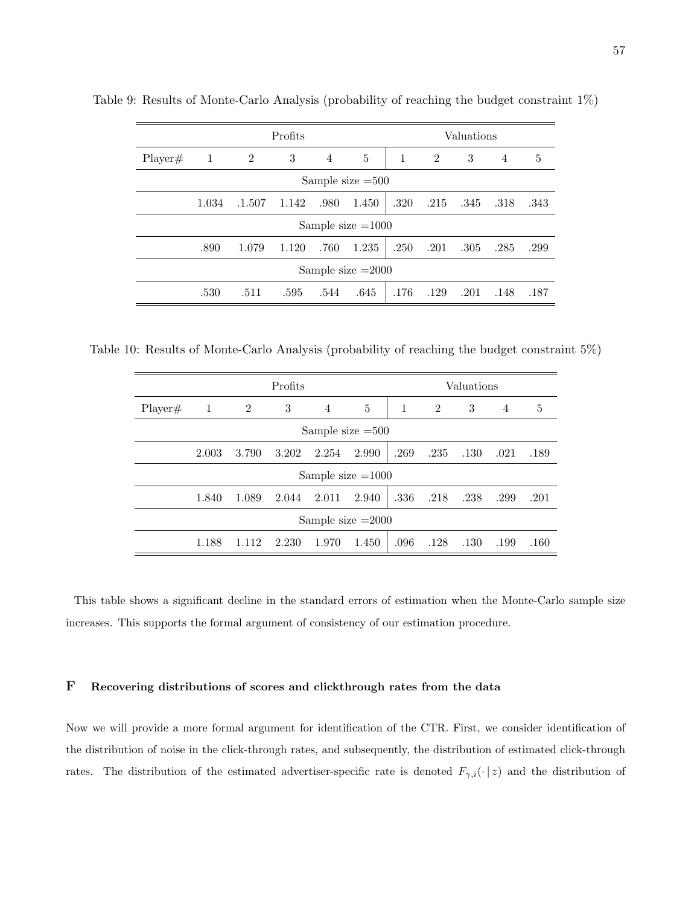|                    | Profits             |                |       |                | Valuations          |      |      |      |      |      |
|--------------------|---------------------|----------------|-------|----------------|---------------------|------|------|------|------|------|
| Player#            | -1                  | $\overline{2}$ | 3     | $\overline{4}$ | 5                   | 1    | 2    | 3    | 4    | 5    |
| Sample size $=500$ |                     |                |       |                |                     |      |      |      |      |      |
|                    | 1.034               | .1.507         | 1.142 | .980           | 1.450               | .320 | .215 | .345 | .318 | .343 |
|                    |                     |                |       |                | Sample size $=1000$ |      |      |      |      |      |
|                    | .890                | 1.079          | 1.120 | .760           | 1.235               | .250 | .201 | .305 | .285 | .299 |
|                    | Sample size $=2000$ |                |       |                |                     |      |      |      |      |      |
|                    | .530                | .511           | .595  | .544           | .645                | .176 | .129 | .201 | .148 | .187 |

Table 9: Results of Monte-Carlo Analysis (probability of reaching the budget constraint 1%)

Table 10: Results of Monte-Carlo Analysis (probability of reaching the budget constraint 5%)

|                     | Profits |                |       |       | Valuations          |      |                |      |      |      |
|---------------------|---------|----------------|-------|-------|---------------------|------|----------------|------|------|------|
| Player#             | 1       | $\overline{2}$ | 3     | 4     | 5                   | 1    | $\overline{2}$ | 3    | 4    | 5    |
| Sample size $=500$  |         |                |       |       |                     |      |                |      |      |      |
|                     | 2.003   | 3.790          | 3.202 | 2.254 | 2.990               | .269 | .235           | .130 | .021 | .189 |
|                     |         |                |       |       | Sample size $=1000$ |      |                |      |      |      |
|                     | 1.840   | 1.089          | 2.044 | 2.011 | 2.940               | .336 | .218           | .238 | .299 | .201 |
| Sample size $=2000$ |         |                |       |       |                     |      |                |      |      |      |
|                     | 1.188   | 1.112          | 2.230 | 1.970 | 1.450               | .096 | .128           | .130 | .199 | .160 |

This table shows a significant decline in the standard errors of estimation when the Monte-Carlo sample size increases. This supports the formal argument of consistency of our estimation procedure.

# F Recovering distributions of scores and clickthrough rates from the data

Now we will provide a more formal argument for identification of the CTR. First, we consider identification of the distribution of noise in the click-through rates, and subsequently, the distribution of estimated click-through rates. The distribution of the estimated advertiser-specific rate is denoted  $F_{\gamma,i}(\cdot | z)$  and the distribution of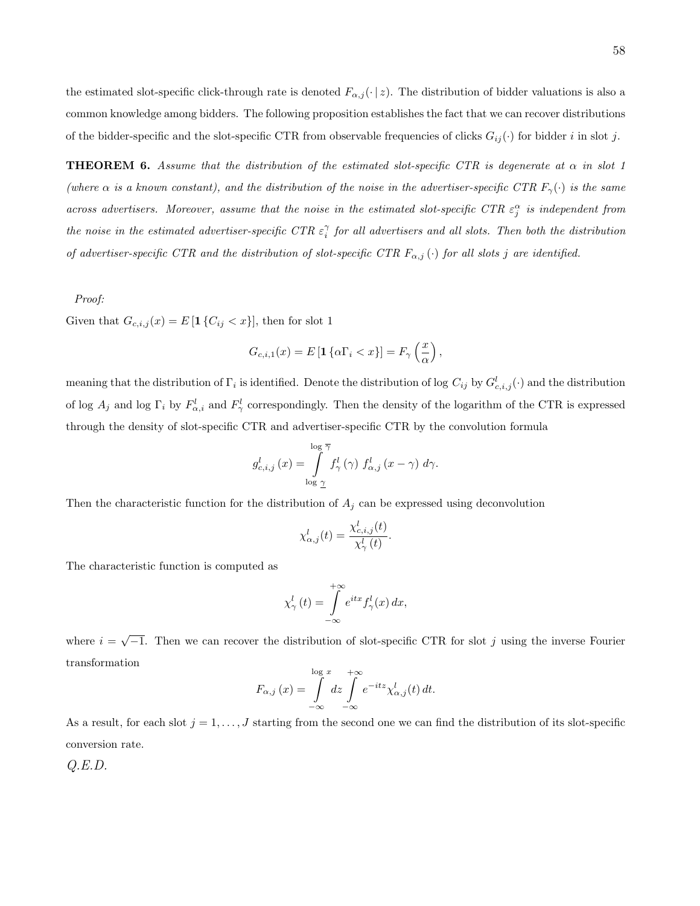the estimated slot-specific click-through rate is denoted  $F_{\alpha,j}(\cdot | z)$ . The distribution of bidder valuations is also a common knowledge among bidders. The following proposition establishes the fact that we can recover distributions of the bidder-specific and the slot-specific CTR from observable frequencies of clicks  $G_{ij}(\cdot)$  for bidder i in slot j.

**THEOREM 6.** Assume that the distribution of the estimated slot-specific CTR is degenerate at  $\alpha$  in slot 1 (where  $\alpha$  is a known constant), and the distribution of the noise in the advertiser-specific CTR  $F_{\gamma}(\cdot)$  is the same across advertisers. Moreover, assume that the noise in the estimated slot-specific CTR  $\varepsilon_j^{\alpha}$  is independent from the noise in the estimated advertiser-specific CTR  $\varepsilon_i^{\gamma}$  for all advertisers and all slots. Then both the distribution of advertiser-specific CTR and the distribution of slot-specific CTR  $F_{\alpha,j}(\cdot)$  for all slots j are identified.

#### Proof:

Given that  $G_{c,i,j}(x) = E\left[\mathbf{1}\left\{C_{ij} < x\right\}\right]$ , then for slot 1

$$
G_{c,i,1}(x) = E\left[\mathbf{1}\left\{\alpha \Gamma_i < x\right\}\right] = F_\gamma\left(\frac{x}{\alpha}\right),
$$

meaning that the distribution of  $\Gamma_i$  is identified. Denote the distribution of log  $C_{ij}$  by  $G_{c,i,j}^l(\cdot)$  and the distribution of log  $A_j$  and log  $\Gamma_i$  by  $F^l_{\alpha,i}$  and  $F^l_{\gamma}$  correspondingly. Then the density of the logarithm of the CTR is expressed through the density of slot-specific CTR and advertiser-specific CTR by the convolution formula

$$
g_{c,i,j}^{l}\left(x\right) = \int\limits_{\log \gamma}^{\log \overline{\gamma}} f_{\gamma}^{l}\left(\gamma\right) f_{\alpha,j}^{l}\left(x-\gamma\right) d\gamma.
$$

Then the characteristic function for the distribution of  $A_j$  can be expressed using deconvolution

$$
\chi_{\alpha,j}^l(t) = \frac{\chi_{c,i,j}^l(t)}{\chi_{\gamma}^l(t)}.
$$

The characteristic function is computed as

$$
\chi_{\gamma}^{l}(t) = \int_{-\infty}^{+\infty} e^{itx} f_{\gamma}^{l}(x) dx,
$$

where  $i = \sqrt{-1}$ . Then we can recover the distribution of slot-specific CTR for slot j using the inverse Fourier transformation

$$
F_{\alpha,j}\left(x\right) = \int\limits_{-\infty}^{\log x} dz \int\limits_{-\infty}^{+\infty} e^{-itz} \chi_{\alpha,j}^{l}(t) dt.
$$

As a result, for each slot  $j = 1, \ldots, J$  starting from the second one we can find the distribution of its slot-specific conversion rate.

 $Q.E.D.$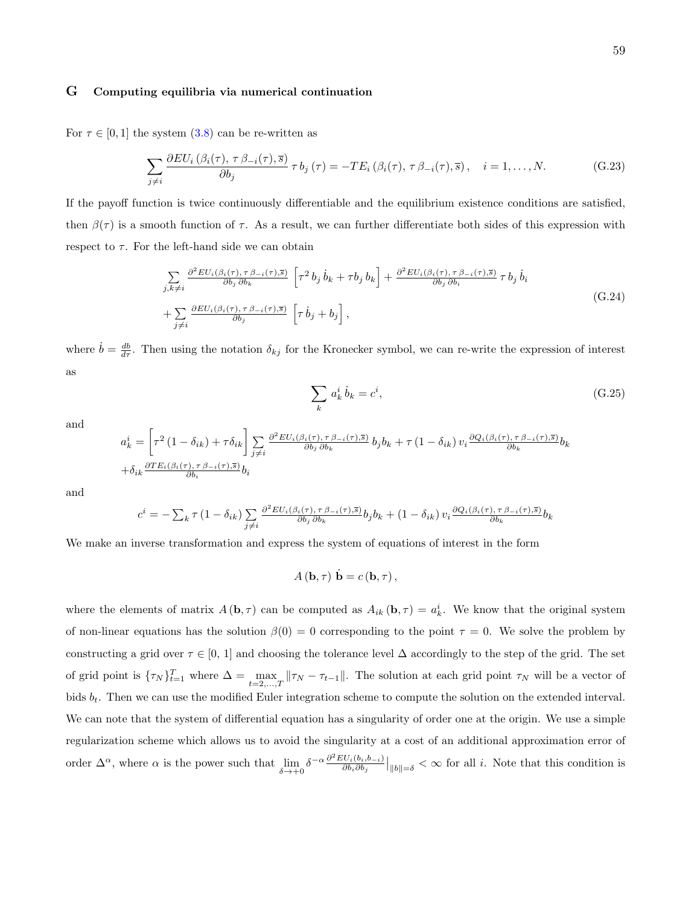### G Computing equilibria via numerical continuation

For  $\tau \in [0, 1]$  the system  $(3.8)$  can be re-written as

$$
\sum_{j \neq i} \frac{\partial EU_i(\beta_i(\tau), \tau \beta_{-i}(\tau), \overline{s})}{\partial b_j} \tau b_j(\tau) = -TE_i(\beta_i(\tau), \tau \beta_{-i}(\tau), \overline{s}), \quad i = 1, ..., N. \tag{G.23}
$$

If the payoff function is twice continuously differentiable and the equilibrium existence conditions are satisfied, then  $\beta(\tau)$  is a smooth function of  $\tau$ . As a result, we can further differentiate both sides of this expression with respect to  $\tau$ . For the left-hand side we can obtain

$$
\sum_{j,k\neq i} \frac{\partial^2 EU_i(\beta_i(\tau), \tau \beta_{-i}(\tau), \overline{s})}{\partial b_j \partial b_k} \left[ \tau^2 b_j \dot{b}_k + \tau b_j b_k \right] + \frac{\partial^2 EU_i(\beta_i(\tau), \tau \beta_{-i}(\tau), \overline{s})}{\partial b_j \partial b_i} \tau b_j \dot{b}_i + \sum_{j\neq i} \frac{\partial EU_i(\beta_i(\tau), \tau \beta_{-i}(\tau), \overline{s})}{\partial b_j} \left[ \tau \dot{b}_j + b_j \right],
$$
\n(G.24)

where  $\dot{b} = \frac{db}{d\tau}$ . Then using the notation  $\delta_{kj}$  for the Kronecker symbol, we can re-write the expression of interest as

$$
\sum_{k} a_k^i \dot{b}_k = c^i,\tag{G.25}
$$

and

$$
a_k^i = \left[ \tau^2 \left( 1 - \delta_{ik} \right) + \tau \delta_{ik} \right] \sum_{j \neq i} \frac{\partial^2 EU_i(\beta_i(\tau), \tau \beta_{-i}(\tau), \overline{s})}{\partial b_j \partial b_k} b_j b_k + \tau \left( 1 - \delta_{ik} \right) v_i \frac{\partial Q_i(\beta_i(\tau), \tau \beta_{-i}(\tau), \overline{s})}{\partial b_k} b_k
$$
  
+ 
$$
\delta_{ik} \frac{\partial TE_i(\beta_i(\tau), \tau \beta_{-i}(\tau), \overline{s})}{\partial b_i} b_i
$$

and

$$
c^{i} = -\sum_{k} \tau (1 - \delta_{ik}) \sum_{j \neq i} \frac{\partial^{2} EU_{i}(\beta_{i}(\tau), \tau \beta_{-i}(\tau), \overline{s})}{\partial b_{j} \partial b_{k}} b_{j} b_{k} + (1 - \delta_{ik}) v_{i} \frac{\partial Q_{i}(\beta_{i}(\tau), \tau \beta_{-i}(\tau), \overline{s})}{\partial b_{k}} b_{k}
$$

We make an inverse transformation and express the system of equations of interest in the form

$$
A(\mathbf{b},\tau)\dot{\mathbf{b}}=c(\mathbf{b},\tau)\,,
$$

where the elements of matrix  $A(\mathbf{b}, \tau)$  can be computed as  $A_{ik}(\mathbf{b}, \tau) = a_k^i$ . We know that the original system of non-linear equations has the solution  $\beta(0) = 0$  corresponding to the point  $\tau = 0$ . We solve the problem by constructing a grid over  $\tau \in [0, 1]$  and choosing the tolerance level  $\Delta$  accordingly to the step of the grid. The set of grid point is  $\{\tau_N\}_{t=1}^T$  where  $\Delta = \max_{t=2,\dots,T} ||\tau_N - \tau_{t-1}||$ . The solution at each grid point  $\tau_N$  will be a vector of bids  $b_t$ . Then we can use the modified Euler integration scheme to compute the solution on the extended interval. We can note that the system of differential equation has a singularity of order one at the origin. We use a simple regularization scheme which allows us to avoid the singularity at a cost of an additional approximation error of order  $\Delta^{\alpha}$ , where  $\alpha$  is the power such that  $\lim_{\delta \to +0} \delta^{-\alpha} \frac{\partial^2 EU_i(b_i, b_{-i})}{\partial b_i \partial b_j}$  $\frac{\partial U_i(b_i,b_{-i})}{\partial b_i \partial b_j}\Big|_{\|b\|=\delta} < \infty$  for all i. Note that this condition is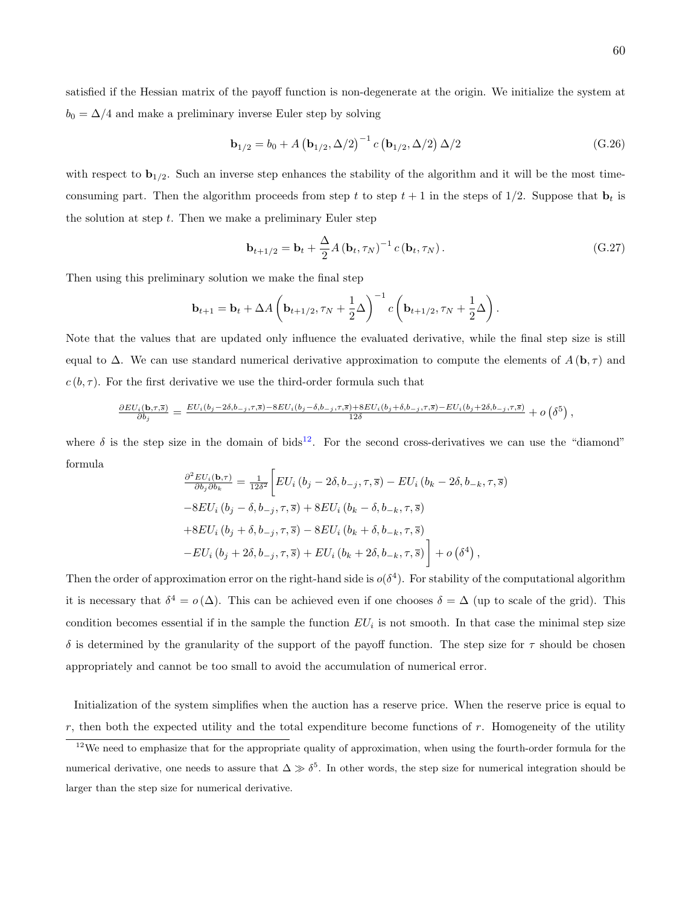satisfied if the Hessian matrix of the payoff function is non-degenerate at the origin. We initialize the system at  $b_0 = \Delta/4$  and make a preliminary inverse Euler step by solving

$$
\mathbf{b}_{1/2} = b_0 + A \left( \mathbf{b}_{1/2}, \Delta/2 \right)^{-1} c \left( \mathbf{b}_{1/2}, \Delta/2 \right) \Delta/2 \tag{G.26}
$$

with respect to  $\mathbf{b}_{1/2}$ . Such an inverse step enhances the stability of the algorithm and it will be the most timeconsuming part. Then the algorithm proceeds from step t to step  $t + 1$  in the steps of 1/2. Suppose that  $\mathbf{b}_t$  is the solution at step  $t$ . Then we make a preliminary Euler step

$$
\mathbf{b}_{t+1/2} = \mathbf{b}_t + \frac{\Delta}{2} A \left( \mathbf{b}_t, \tau_N \right)^{-1} c \left( \mathbf{b}_t, \tau_N \right). \tag{G.27}
$$

Then using this preliminary solution we make the final step

$$
\mathbf{b}_{t+1} = \mathbf{b}_t + \Delta A \left( \mathbf{b}_{t+1/2}, \tau_N + \frac{1}{2} \Delta \right)^{-1} c \left( \mathbf{b}_{t+1/2}, \tau_N + \frac{1}{2} \Delta \right).
$$

Note that the values that are updated only influence the evaluated derivative, while the final step size is still equal to  $\Delta$ . We can use standard numerical derivative approximation to compute the elements of  $A(\mathbf{b}, \tau)$  and  $c(b, \tau)$ . For the first derivative we use the third-order formula such that

$$
\frac{\partial EU_i(\mathbf{b},\tau,\overline{s})}{\partial b_j} = \frac{EU_i(b_j-2\delta,b_{-j},\tau,\overline{s}) - 8EU_i(b_j-\delta,b_{-j},\tau,\overline{s}) + 8EU_i(b_j+\delta,b_{-j},\tau,\overline{s}) - EU_i(b_j+2\delta,b_{-j},\tau,\overline{s})}{12\delta} + o\left(\delta^5\right),
$$

where  $\delta$  is the step size in the domain of bids<sup>[12](#page-59-0)</sup>. For the second cross-derivatives we can use the "diamond" formula

$$
\frac{\partial^2 EU_i(\mathbf{b},\tau)}{\partial b_j \partial b_k} = \frac{1}{12\delta^2} \left[ EU_i (b_j - 2\delta, b_{-j}, \tau, \overline{s}) - EU_i (b_k - 2\delta, b_{-k}, \tau, \overline{s}) \right]
$$
  
\n
$$
-8EU_i (b_j - \delta, b_{-j}, \tau, \overline{s}) + 8EU_i (b_k - \delta, b_{-k}, \tau, \overline{s})
$$
  
\n
$$
+8EU_i (b_j + \delta, b_{-j}, \tau, \overline{s}) - 8EU_i (b_k + \delta, b_{-k}, \tau, \overline{s})
$$
  
\n
$$
-EU_i (b_j + 2\delta, b_{-j}, \tau, \overline{s}) + EU_i (b_k + 2\delta, b_{-k}, \tau, \overline{s}) + o(\delta^4),
$$

Then the order of approximation error on the right-hand side is  $o(\delta^4)$ . For stability of the computational algorithm it is necessary that  $\delta^4 = o(\Delta)$ . This can be achieved even if one chooses  $\delta = \Delta$  (up to scale of the grid). This condition becomes essential if in the sample the function  $EU_i$  is not smooth. In that case the minimal step size  $\delta$  is determined by the granularity of the support of the payoff function. The step size for  $\tau$  should be chosen appropriately and cannot be too small to avoid the accumulation of numerical error.

Initialization of the system simplifies when the auction has a reserve price. When the reserve price is equal to  $r$ , then both the expected utility and the total expenditure become functions of  $r$ . Homogeneity of the utility

<span id="page-59-0"></span> $12$ We need to emphasize that for the appropriate quality of approximation, when using the fourth-order formula for the numerical derivative, one needs to assure that  $\Delta \gg \delta^5$ . In other words, the step size for numerical integration should be larger than the step size for numerical derivative.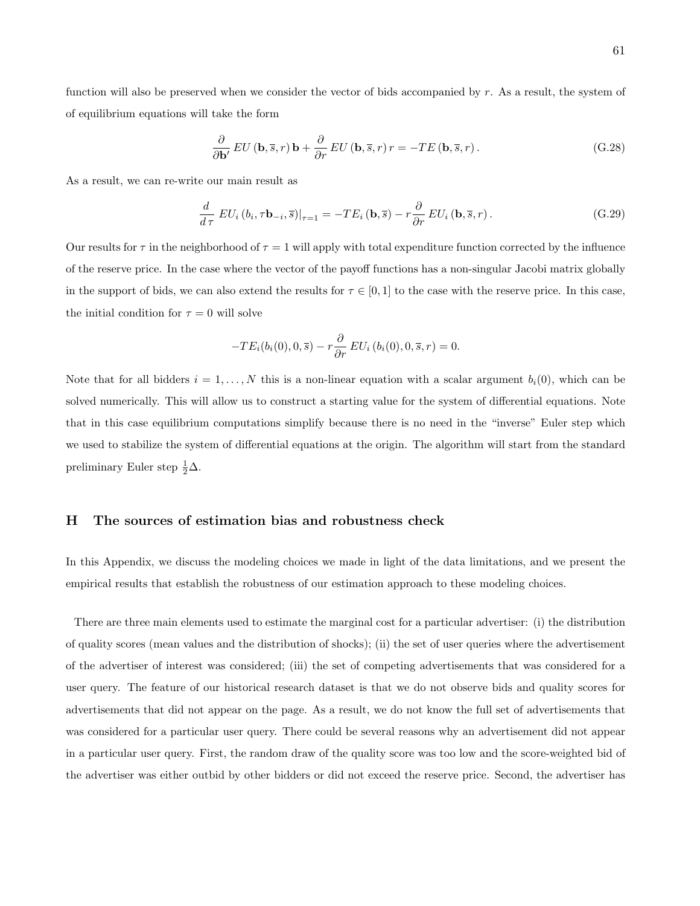function will also be preserved when we consider the vector of bids accompanied by  $r$ . As a result, the system of of equilibrium equations will take the form

$$
\frac{\partial}{\partial \mathbf{b'}} EU(\mathbf{b}, \overline{s}, r) \mathbf{b} + \frac{\partial}{\partial r} EU(\mathbf{b}, \overline{s}, r) r = -TE(\mathbf{b}, \overline{s}, r).
$$
 (G.28)

As a result, we can re-write our main result as

$$
\frac{d}{d\tau} \left.EU_i\left(b_i, \tau \mathbf{b}_{-i}, \overline{s}\right)\right|_{\tau=1} = -TE_i\left(\mathbf{b}, \overline{s}\right) - r\frac{\partial}{\partial r} \left.EU_i\left(\mathbf{b}, \overline{s}, r\right). \tag{G.29}
$$

Our results for  $\tau$  in the neighborhood of  $\tau = 1$  will apply with total expenditure function corrected by the influence of the reserve price. In the case where the vector of the payoff functions has a non-singular Jacobi matrix globally in the support of bids, we can also extend the results for  $\tau \in [0, 1]$  to the case with the reserve price. In this case, the initial condition for  $\tau = 0$  will solve

$$
-TE_i(b_i(0),0,\overline{s}) - r\frac{\partial}{\partial r} EU_i(b_i(0),0,\overline{s},r) = 0.
$$

Note that for all bidders  $i = 1, ..., N$  this is a non-linear equation with a scalar argument  $b_i(0)$ , which can be solved numerically. This will allow us to construct a starting value for the system of differential equations. Note that in this case equilibrium computations simplify because there is no need in the "inverse" Euler step which we used to stabilize the system of differential equations at the origin. The algorithm will start from the standard preliminary Euler step  $\frac{1}{2}\Delta$ .

## H The sources of estimation bias and robustness check

In this Appendix, we discuss the modeling choices we made in light of the data limitations, and we present the empirical results that establish the robustness of our estimation approach to these modeling choices.

There are three main elements used to estimate the marginal cost for a particular advertiser: (i) the distribution of quality scores (mean values and the distribution of shocks); (ii) the set of user queries where the advertisement of the advertiser of interest was considered; (iii) the set of competing advertisements that was considered for a user query. The feature of our historical research dataset is that we do not observe bids and quality scores for advertisements that did not appear on the page. As a result, we do not know the full set of advertisements that was considered for a particular user query. There could be several reasons why an advertisement did not appear in a particular user query. First, the random draw of the quality score was too low and the score-weighted bid of the advertiser was either outbid by other bidders or did not exceed the reserve price. Second, the advertiser has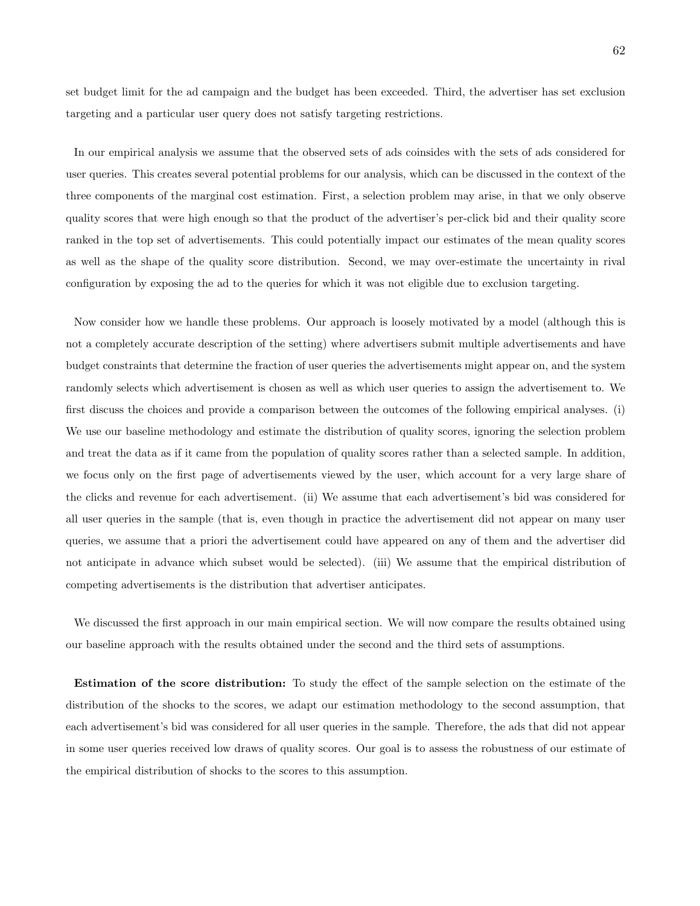set budget limit for the ad campaign and the budget has been exceeded. Third, the advertiser has set exclusion targeting and a particular user query does not satisfy targeting restrictions.

In our empirical analysis we assume that the observed sets of ads coinsides with the sets of ads considered for user queries. This creates several potential problems for our analysis, which can be discussed in the context of the three components of the marginal cost estimation. First, a selection problem may arise, in that we only observe quality scores that were high enough so that the product of the advertiser's per-click bid and their quality score ranked in the top set of advertisements. This could potentially impact our estimates of the mean quality scores as well as the shape of the quality score distribution. Second, we may over-estimate the uncertainty in rival configuration by exposing the ad to the queries for which it was not eligible due to exclusion targeting.

Now consider how we handle these problems. Our approach is loosely motivated by a model (although this is not a completely accurate description of the setting) where advertisers submit multiple advertisements and have budget constraints that determine the fraction of user queries the advertisements might appear on, and the system randomly selects which advertisement is chosen as well as which user queries to assign the advertisement to. We first discuss the choices and provide a comparison between the outcomes of the following empirical analyses. (i) We use our baseline methodology and estimate the distribution of quality scores, ignoring the selection problem and treat the data as if it came from the population of quality scores rather than a selected sample. In addition, we focus only on the first page of advertisements viewed by the user, which account for a very large share of the clicks and revenue for each advertisement. (ii) We assume that each advertisement's bid was considered for all user queries in the sample (that is, even though in practice the advertisement did not appear on many user queries, we assume that a priori the advertisement could have appeared on any of them and the advertiser did not anticipate in advance which subset would be selected). (iii) We assume that the empirical distribution of competing advertisements is the distribution that advertiser anticipates.

We discussed the first approach in our main empirical section. We will now compare the results obtained using our baseline approach with the results obtained under the second and the third sets of assumptions.

Estimation of the score distribution: To study the effect of the sample selection on the estimate of the distribution of the shocks to the scores, we adapt our estimation methodology to the second assumption, that each advertisement's bid was considered for all user queries in the sample. Therefore, the ads that did not appear in some user queries received low draws of quality scores. Our goal is to assess the robustness of our estimate of the empirical distribution of shocks to the scores to this assumption.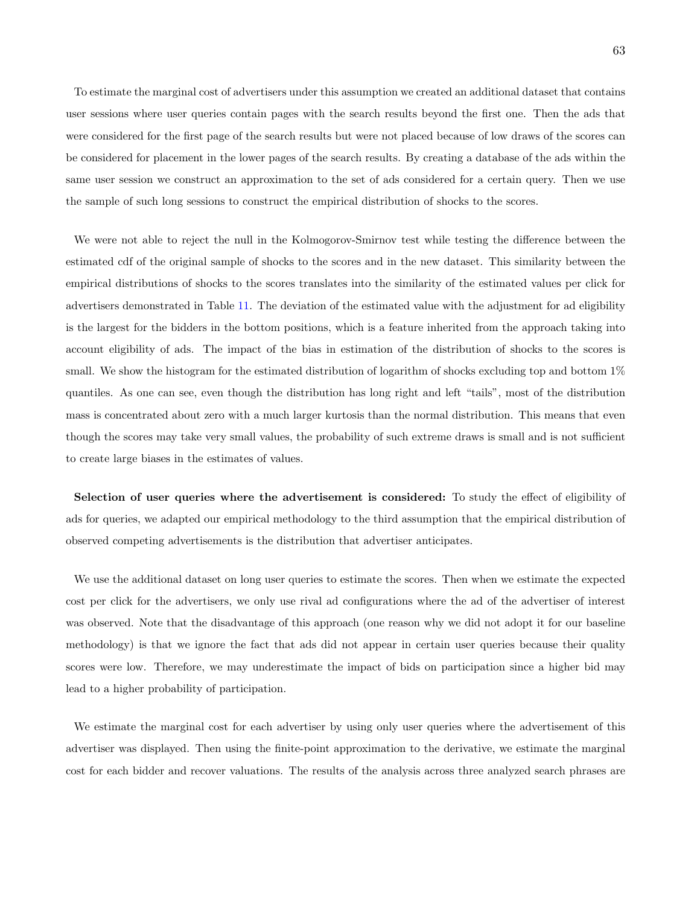To estimate the marginal cost of advertisers under this assumption we created an additional dataset that contains user sessions where user queries contain pages with the search results beyond the first one. Then the ads that were considered for the first page of the search results but were not placed because of low draws of the scores can be considered for placement in the lower pages of the search results. By creating a database of the ads within the same user session we construct an approximation to the set of ads considered for a certain query. Then we use the sample of such long sessions to construct the empirical distribution of shocks to the scores.

We were not able to reject the null in the Kolmogorov-Smirnov test while testing the difference between the estimated cdf of the original sample of shocks to the scores and in the new dataset. This similarity between the empirical distributions of shocks to the scores translates into the similarity of the estimated values per click for advertisers demonstrated in Table [11.](#page-63-0) The deviation of the estimated value with the adjustment for ad eligibility is the largest for the bidders in the bottom positions, which is a feature inherited from the approach taking into account eligibility of ads. The impact of the bias in estimation of the distribution of shocks to the scores is small. We show the histogram for the estimated distribution of logarithm of shocks excluding top and bottom  $1\%$ quantiles. As one can see, even though the distribution has long right and left "tails", most of the distribution mass is concentrated about zero with a much larger kurtosis than the normal distribution. This means that even though the scores may take very small values, the probability of such extreme draws is small and is not sufficient to create large biases in the estimates of values.

Selection of user queries where the advertisement is considered: To study the effect of eligibility of ads for queries, we adapted our empirical methodology to the third assumption that the empirical distribution of observed competing advertisements is the distribution that advertiser anticipates.

We use the additional dataset on long user queries to estimate the scores. Then when we estimate the expected cost per click for the advertisers, we only use rival ad configurations where the ad of the advertiser of interest was observed. Note that the disadvantage of this approach (one reason why we did not adopt it for our baseline methodology) is that we ignore the fact that ads did not appear in certain user queries because their quality scores were low. Therefore, we may underestimate the impact of bids on participation since a higher bid may lead to a higher probability of participation.

We estimate the marginal cost for each advertiser by using only user queries where the advertisement of this advertiser was displayed. Then using the finite-point approximation to the derivative, we estimate the marginal cost for each bidder and recover valuations. The results of the analysis across three analyzed search phrases are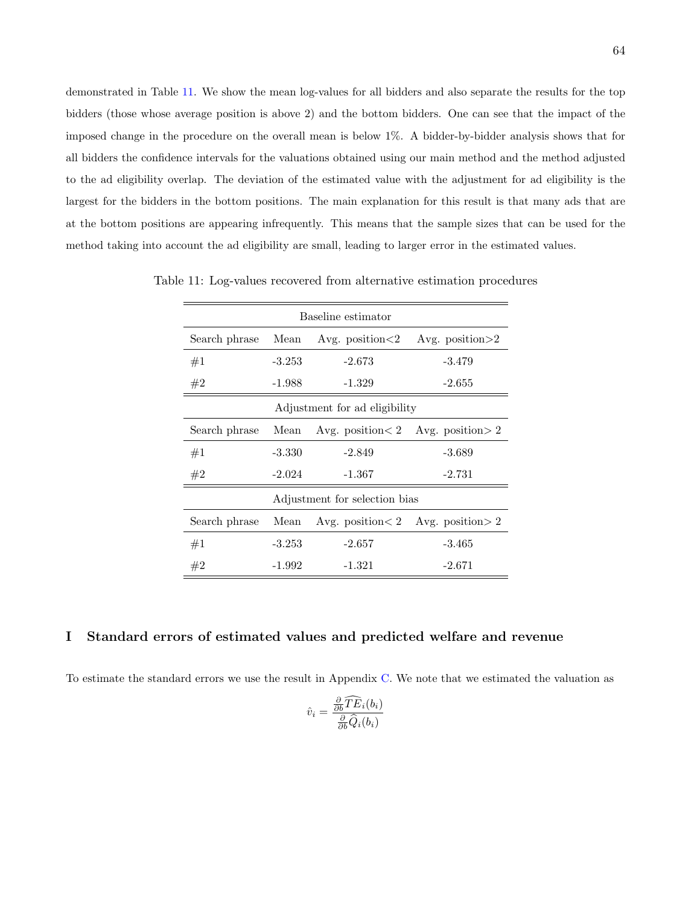demonstrated in Table [11.](#page-63-0) We show the mean log-values for all bidders and also separate the results for the top bidders (those whose average position is above 2) and the bottom bidders. One can see that the impact of the imposed change in the procedure on the overall mean is below 1%. A bidder-by-bidder analysis shows that for all bidders the confidence intervals for the valuations obtained using our main method and the method adjusted to the ad eligibility overlap. The deviation of the estimated value with the adjustment for ad eligibility is the largest for the bidders in the bottom positions. The main explanation for this result is that many ads that are at the bottom positions are appearing infrequently. This means that the sample sizes that can be used for the method taking into account the ad eligibility are small, leading to larger error in the estimated values.

<span id="page-63-0"></span>

| Baseline estimator            |          |                               |                                           |  |  |  |  |
|-------------------------------|----------|-------------------------------|-------------------------------------------|--|--|--|--|
| Search phrase                 | Mean     | Avg. position $<$ 2           | Avg. position $>2$                        |  |  |  |  |
| #1                            | $-3.253$ | $-2.673$                      | $-3.479$                                  |  |  |  |  |
| #2                            | -1.988   | $-1.329$                      | $-2.655$                                  |  |  |  |  |
| Adjustment for ad eligibility |          |                               |                                           |  |  |  |  |
| Search phrase                 | Mean     |                               | Avg. position $< 2$ Avg. position $> 2$   |  |  |  |  |
| #1                            | $-3.330$ | $-2.849$                      | $-3.689$                                  |  |  |  |  |
| #2                            | $-2.024$ | $-1.367$                      | $-2.731$                                  |  |  |  |  |
|                               |          | Adjustment for selection bias |                                           |  |  |  |  |
| Search phrase                 | Mean     |                               | Avg. position $\lt 2$ Avg. position $> 2$ |  |  |  |  |
| #1                            | $-3.253$ | $-2.657$                      | $-3.465$                                  |  |  |  |  |
| #2                            | $-1.992$ | $-1.321$                      | $-2.671$                                  |  |  |  |  |

Table 11: Log-values recovered from alternative estimation procedures

#### I Standard errors of estimated values and predicted welfare and revenue

To estimate the standard errors we use the result in Appendix [C.](#page-49-1) We note that we estimated the valuation as

$$
\hat{v}_i = \frac{\frac{\partial}{\partial b} \widehat{TE}_i(b_i)}{\frac{\partial}{\partial b} \widehat{Q}_i(b_i)}
$$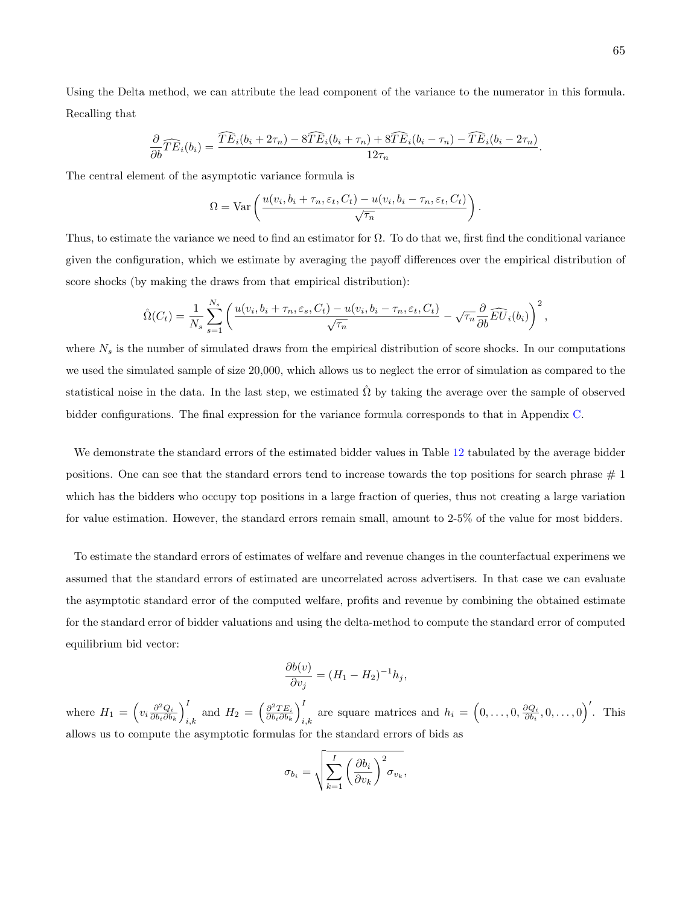Using the Delta method, we can attribute the lead component of the variance to the numerator in this formula. Recalling that

$$
\frac{\partial}{\partial b}\widehat{TE}_i(b_i) = \frac{\widehat{TE}_i(b_i + 2\tau_n) - 8\widehat{TE}_i(b_i + \tau_n) + 8\widehat{TE}_i(b_i - \tau_n) - \widehat{TE}_i(b_i - 2\tau_n)}{12\tau_n}.
$$

The central element of the asymptotic variance formula is

$$
\Omega = \text{Var}\left(\frac{u(v_i, b_i + \tau_n, \varepsilon_t, C_t) - u(v_i, b_i - \tau_n, \varepsilon_t, C_t)}{\sqrt{\tau_n}}\right)
$$

.

Thus, to estimate the variance we need to find an estimator for  $\Omega$ . To do that we, first find the conditional variance given the configuration, which we estimate by averaging the payoff differences over the empirical distribution of score shocks (by making the draws from that empirical distribution):

$$
\hat{\Omega}(C_t) = \frac{1}{N_s} \sum_{s=1}^{N_s} \left( \frac{u(v_i, b_i + \tau_n, \varepsilon_s, C_t) - u(v_i, b_i - \tau_n, \varepsilon_t, C_t)}{\sqrt{\tau_n}} - \sqrt{\tau_n} \frac{\partial}{\partial b} \widehat{EU}_i(b_i) \right)^2,
$$

where  $N_s$  is the number of simulated draws from the empirical distribution of score shocks. In our computations we used the simulated sample of size 20,000, which allows us to neglect the error of simulation as compared to the statistical noise in the data. In the last step, we estimated  $\hat{\Omega}$  by taking the average over the sample of observed bidder configurations. The final expression for the variance formula corresponds to that in Appendix [C.](#page-49-1)

We demonstrate the standard errors of the estimated bidder values in Table [12](#page-65-0) tabulated by the average bidder positions. One can see that the standard errors tend to increase towards the top positions for search phrase  $\#$  1 which has the bidders who occupy top positions in a large fraction of queries, thus not creating a large variation for value estimation. However, the standard errors remain small, amount to 2-5% of the value for most bidders.

To estimate the standard errors of estimates of welfare and revenue changes in the counterfactual experimens we assumed that the standard errors of estimated are uncorrelated across advertisers. In that case we can evaluate the asymptotic standard error of the computed welfare, profits and revenue by combining the obtained estimate for the standard error of bidder valuations and using the delta-method to compute the standard error of computed equilibrium bid vector:

$$
\frac{\partial b(v)}{\partial v_j} = (H_1 - H_2)^{-1} h_j,
$$

where  $H_1 = \left(v_i \frac{\partial^2 Q_i}{\partial b_i \partial b_k}\right)_i^I$  $\frac{I}{i,k}$  and  $H_2 = \left(\frac{\partial^2 TE_i}{\partial b_i \partial b_k}\right)_i^I$ If are square matrices and  $h_i = (0, \ldots, 0, \frac{\partial Q_i}{\partial b_i}, 0, \ldots, 0)$ . This allows us to compute the asymptotic formulas for the standard errors of bids as

$$
\sigma_{b_i} = \sqrt{\sum_{k=1}^I \left(\frac{\partial b_i}{\partial v_k}\right)^2 \sigma_{v_k}},
$$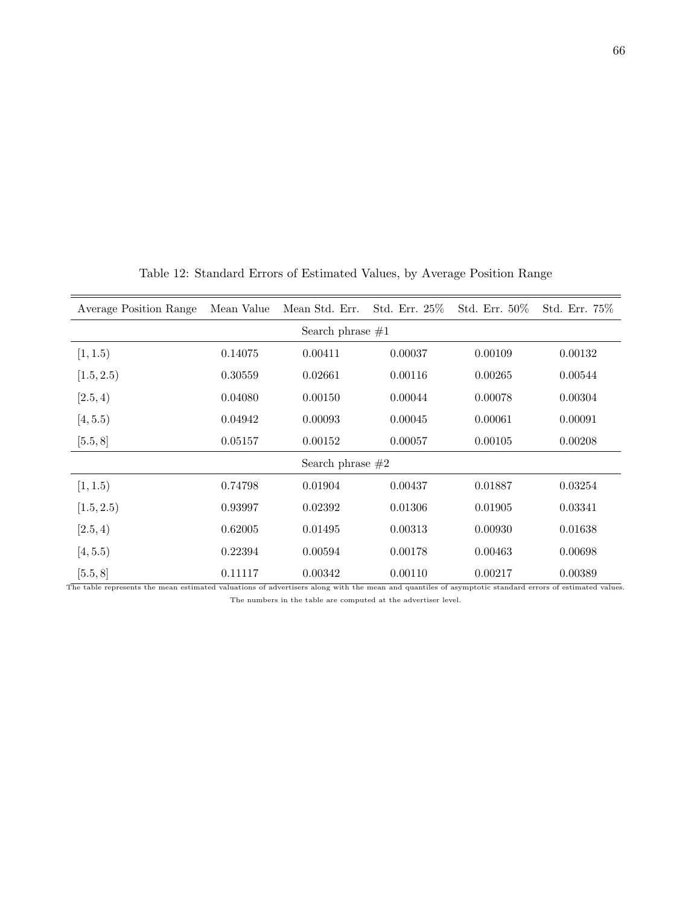| Average Position Range | Mean Value | Mean Std. Err.     | Std. Err. 25% | Std. Err. $50\%$ | Std. Err. 75% |  |  |  |  |
|------------------------|------------|--------------------|---------------|------------------|---------------|--|--|--|--|
| Search phrase $\#1$    |            |                    |               |                  |               |  |  |  |  |
| [1, 1.5)               | 0.14075    | 0.00411            | 0.00037       | 0.00109          | 0.00132       |  |  |  |  |
| [1.5, 2.5)             | 0.30559    | 0.02661            | 0.00116       | 0.00265          | 0.00544       |  |  |  |  |
| [2.5, 4)               | 0.04080    | 0.00150            | 0.00044       | 0.00078          | 0.00304       |  |  |  |  |
| [4, 5.5)               | 0.04942    | 0.00093            | 0.00045       | 0.00061          | 0.00091       |  |  |  |  |
| [5.5, 8]               | 0.05157    | 0.00152            | 0.00057       | 0.00105          | 0.00208       |  |  |  |  |
|                        |            | Search phrase $#2$ |               |                  |               |  |  |  |  |
| [1, 1.5)               | 0.74798    | 0.01904            | 0.00437       | 0.01887          | 0.03254       |  |  |  |  |
| [1.5, 2.5)             | 0.93997    | 0.02392            | 0.01306       | 0.01905          | 0.03341       |  |  |  |  |
| [2.5, 4)               | 0.62005    | 0.01495            | 0.00313       | 0.00930          | 0.01638       |  |  |  |  |
| [4, 5.5)               | 0.22394    | 0.00594            | 0.00178       | 0.00463          | 0.00698       |  |  |  |  |
| [5.5, 8]               | 0.11117    | 0.00342            | 0.00110       | 0.00217          | 0.00389       |  |  |  |  |

<span id="page-65-0"></span>Table 12: Standard Errors of Estimated Values, by Average Position Range

The table represents the mean estimated valuations of advertisers along with the mean and quantiles of asymptotic standard errors of estimated values. The numbers in the table are computed at the advertiser level.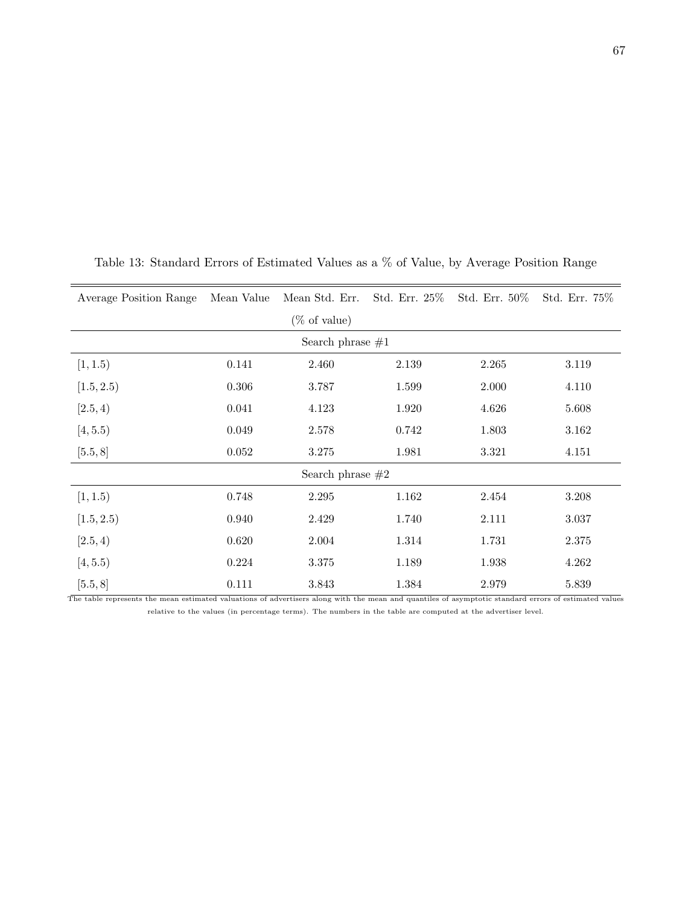| Average Position Range                                                                                                                                | Mean Value | Mean Std. Err. Std. Err. 25% |       | Std. Err. 50% | Std. Err. 75% |
|-------------------------------------------------------------------------------------------------------------------------------------------------------|------------|------------------------------|-------|---------------|---------------|
|                                                                                                                                                       |            | $(\% \text{ of value})$      |       |               |               |
|                                                                                                                                                       |            | Search phrase $#1$           |       |               |               |
| [1, 1.5)                                                                                                                                              | 0.141      | 2.460                        | 2.139 | 2.265         | 3.119         |
| [1.5, 2.5)                                                                                                                                            | 0.306      | 3.787                        | 1.599 | 2.000         | 4.110         |
| [2.5, 4)                                                                                                                                              | 0.041      | 4.123                        | 1.920 | 4.626         | 5.608         |
| [4, 5.5)                                                                                                                                              | 0.049      | 2.578                        | 0.742 | 1.803         | 3.162         |
| [5.5, 8]                                                                                                                                              | 0.052      | 3.275                        | 1.981 | 3.321         | 4.151         |
|                                                                                                                                                       |            | Search phrase $#2$           |       |               |               |
| [1, 1.5)                                                                                                                                              | 0.748      | 2.295                        | 1.162 | 2.454         | 3.208         |
| [1.5, 2.5)                                                                                                                                            | 0.940      | 2.429                        | 1.740 | 2.111         | 3.037         |
| [2.5, 4)                                                                                                                                              | 0.620      | 2.004                        | 1.314 | 1.731         | 2.375         |
| [4, 5.5)                                                                                                                                              | 0.224      | 3.375                        | 1.189 | 1.938         | 4.262         |
| [5.5, 8]                                                                                                                                              | 0.111      | 3.843                        | 1.384 | 2.979         | 5.839         |
| The table represents the mean estimated valuations of advertisers along with the mean and quantiles of asymptotic standard errors of estimated values |            |                              |       |               |               |

Table 13: Standard Errors of Estimated Values as a % of Value, by Average Position Range

relative to the values (in percentage terms). The numbers in the table are computed at the advertiser level.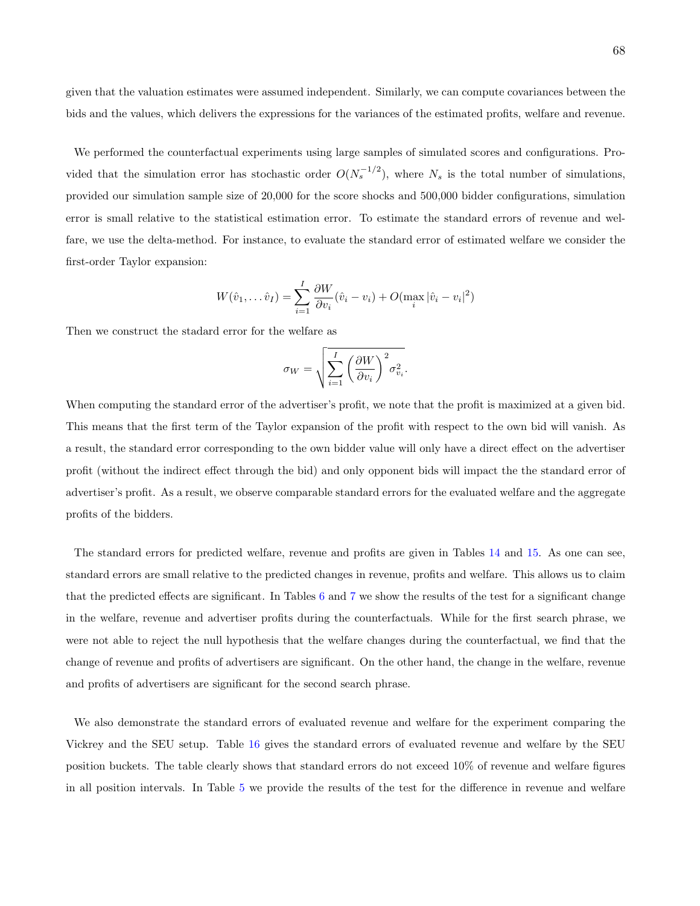given that the valuation estimates were assumed independent. Similarly, we can compute covariances between the bids and the values, which delivers the expressions for the variances of the estimated profits, welfare and revenue.

We performed the counterfactual experiments using large samples of simulated scores and configurations. Provided that the simulation error has stochastic order  $O(N_s^{-1/2})$ , where  $N_s$  is the total number of simulations, provided our simulation sample size of 20,000 for the score shocks and 500,000 bidder configurations, simulation error is small relative to the statistical estimation error. To estimate the standard errors of revenue and welfare, we use the delta-method. For instance, to evaluate the standard error of estimated welfare we consider the first-order Taylor expansion:

$$
W(\hat{v}_1, \dots \hat{v}_I) = \sum_{i=1}^{I} \frac{\partial W}{\partial v_i} (\hat{v}_i - v_i) + O(\max_i |\hat{v}_i - v_i|^2)
$$

Then we construct the stadard error for the welfare as

$$
\sigma_W = \sqrt{\sum_{i=1}^{I} \left(\frac{\partial W}{\partial v_i}\right)^2 \sigma_{v_i}^2}
$$

.

When computing the standard error of the advertiser's profit, we note that the profit is maximized at a given bid. This means that the first term of the Taylor expansion of the profit with respect to the own bid will vanish. As a result, the standard error corresponding to the own bidder value will only have a direct effect on the advertiser profit (without the indirect effect through the bid) and only opponent bids will impact the the standard error of advertiser's profit. As a result, we observe comparable standard errors for the evaluated welfare and the aggregate profits of the bidders.

The standard errors for predicted welfare, revenue and profits are given in Tables [14](#page-69-0) and [15.](#page-70-0) As one can see, standard errors are small relative to the predicted changes in revenue, profits and welfare. This allows us to claim that the predicted effects are significant. In Tables [6](#page-39-0) and [7](#page-41-0) we show the results of the test for a significant change in the welfare, revenue and advertiser profits during the counterfactuals. While for the first search phrase, we were not able to reject the null hypothesis that the welfare changes during the counterfactual, we find that the change of revenue and profits of advertisers are significant. On the other hand, the change in the welfare, revenue and profits of advertisers are significant for the second search phrase.

We also demonstrate the standard errors of evaluated revenue and welfare for the experiment comparing the Vickrey and the SEU setup. Table [16](#page-71-0) gives the standard errors of evaluated revenue and welfare by the SEU position buckets. The table clearly shows that standard errors do not exceed 10% of revenue and welfare figures in all position intervals. In Table [5](#page-36-0) we provide the results of the test for the difference in revenue and welfare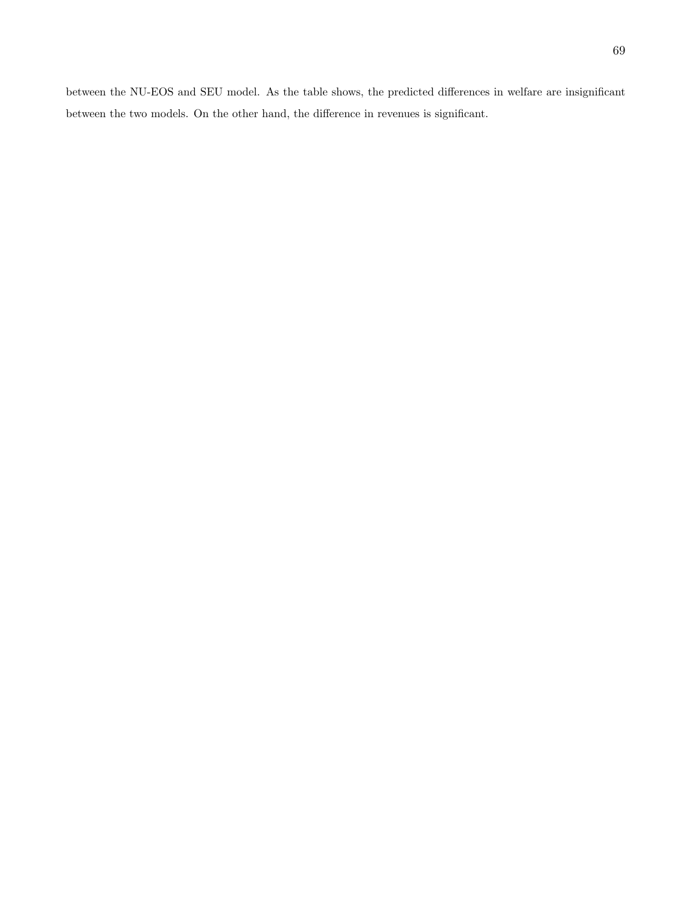between the NU-EOS and SEU model. As the table shows, the predicted differences in welfare are insignificant between the two models. On the other hand, the difference in revenues is significant.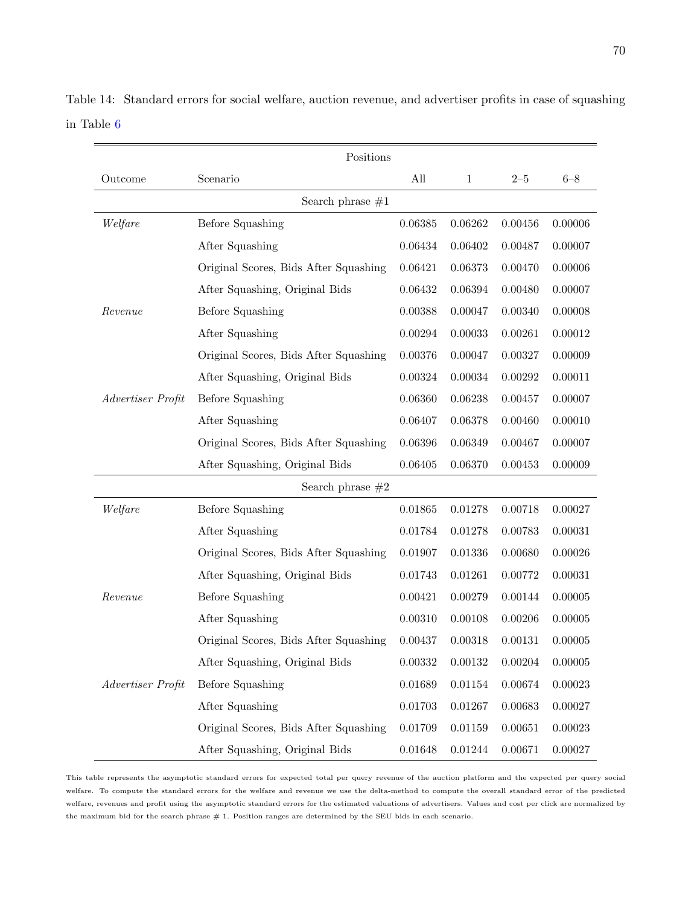|                   | Positions                             |               |              |         |         |  |  |  |  |
|-------------------|---------------------------------------|---------------|--------------|---------|---------|--|--|--|--|
| Outcome           | Scenario                              | All           | $\mathbf{1}$ | $2 - 5$ | $6 - 8$ |  |  |  |  |
|                   | Search phrase $#1$                    |               |              |         |         |  |  |  |  |
| Welfare           | <b>Before Squashing</b>               | 0.06385       | 0.06262      | 0.00456 | 0.00006 |  |  |  |  |
|                   | After Squashing                       | 0.06434       | 0.06402      | 0.00487 | 0.00007 |  |  |  |  |
|                   | Original Scores, Bids After Squashing | 0.06421       | 0.06373      | 0.00470 | 0.00006 |  |  |  |  |
|                   | After Squashing, Original Bids        | 0.06432       | 0.06394      | 0.00480 | 0.00007 |  |  |  |  |
| Revenue           | <b>Before Squashing</b>               | 0.00388       | 0.00047      | 0.00340 | 0.00008 |  |  |  |  |
|                   | After Squashing                       | 0.00294       | 0.00033      | 0.00261 | 0.00012 |  |  |  |  |
|                   | Original Scores, Bids After Squashing | 0.00376       | 0.00047      | 0.00327 | 0.00009 |  |  |  |  |
|                   | After Squashing, Original Bids        | 0.00324       | 0.00034      | 0.00292 | 0.00011 |  |  |  |  |
| Advertiser Profit | Before Squashing                      | 0.06360       | 0.06238      | 0.00457 | 0.00007 |  |  |  |  |
|                   | After Squashing                       | 0.06407       | 0.06378      | 0.00460 | 0.00010 |  |  |  |  |
|                   | Original Scores, Bids After Squashing | 0.06396       | 0.06349      | 0.00467 | 0.00007 |  |  |  |  |
|                   | After Squashing, Original Bids        | 0.06405       | 0.06370      | 0.00453 | 0.00009 |  |  |  |  |
|                   | Search phrase $#2$                    |               |              |         |         |  |  |  |  |
| Welfare           | Before Squashing                      | 0.01865       | 0.01278      | 0.00718 | 0.00027 |  |  |  |  |
|                   | After Squashing                       | 0.01784       | 0.01278      | 0.00783 | 0.00031 |  |  |  |  |
|                   | Original Scores, Bids After Squashing | 0.01907       | 0.01336      | 0.00680 | 0.00026 |  |  |  |  |
|                   | After Squashing, Original Bids        | 0.01743       | 0.01261      | 0.00772 | 0.00031 |  |  |  |  |
| Revenue           | <b>Before Squashing</b>               | 0.00421       | 0.00279      | 0.00144 | 0.00005 |  |  |  |  |
|                   | After Squashing                       | 0.00310       | 0.00108      | 0.00206 | 0.00005 |  |  |  |  |
|                   | Original Scores, Bids After Squashing | 0.00437       | 0.00318      | 0.00131 | 0.00005 |  |  |  |  |
|                   | After Squashing, Original Bids        | $\,0.00332\,$ | 0.00132      | 0.00204 | 0.00005 |  |  |  |  |
| Advertiser Profit | Before Squashing                      | 0.01689       | 0.01154      | 0.00674 | 0.00023 |  |  |  |  |
|                   | After Squashing                       | 0.01703       | 0.01267      | 0.00683 | 0.00027 |  |  |  |  |
|                   | Original Scores, Bids After Squashing | $0.01709\,$   | 0.01159      | 0.00651 | 0.00023 |  |  |  |  |
|                   | After Squashing, Original Bids        | 0.01648       | 0.01244      | 0.00671 | 0.00027 |  |  |  |  |

<span id="page-69-0"></span>Table 14: Standard errors for social welfare, auction revenue, and advertiser profits in case of squashing in Table [6](#page-39-0)

This table represents the asymptotic standard errors for expected total per query revenue of the auction platform and the expected per query social welfare. To compute the standard errors for the welfare and revenue we use the delta-method to compute the overall standard error of the predicted welfare, revenues and profit using the asymptotic standard errors for the estimated valuations of advertisers. Values and cost per click are normalized by the maximum bid for the search phrase # 1. Position ranges are determined by the SEU bids in each scenario.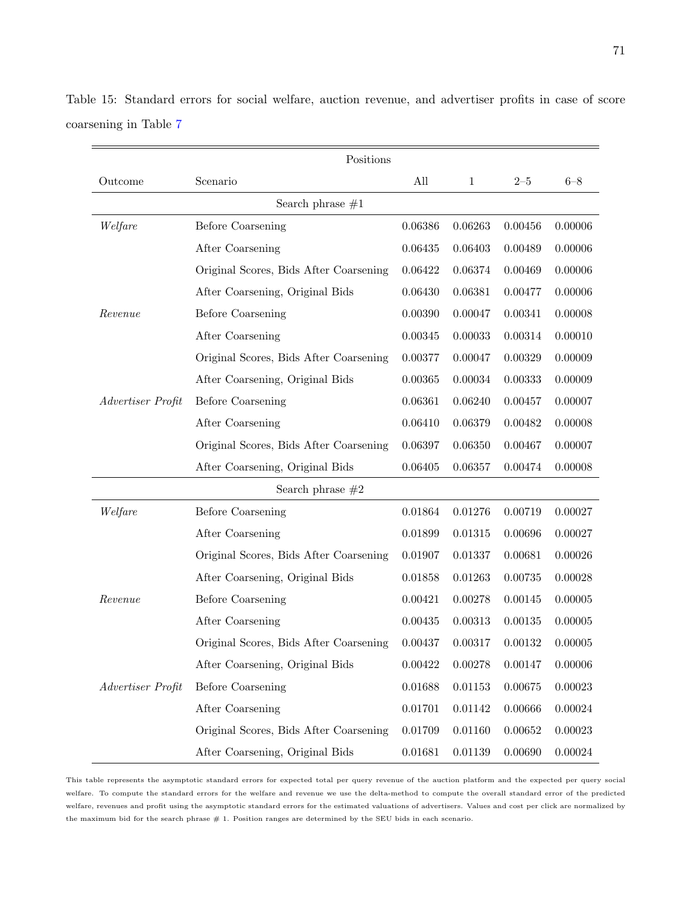|                    | Positions                              |         |              |         |         |  |  |
|--------------------|----------------------------------------|---------|--------------|---------|---------|--|--|
| Outcome            | Scenario                               | All     | $\mathbf{1}$ | $2 - 5$ | $6 - 8$ |  |  |
| Search phrase $#1$ |                                        |         |              |         |         |  |  |
| Welfare            | <b>Before Coarsening</b>               | 0.06386 | 0.06263      | 0.00456 | 0.00006 |  |  |
|                    | After Coarsening                       | 0.06435 | 0.06403      | 0.00489 | 0.00006 |  |  |
|                    | Original Scores, Bids After Coarsening | 0.06422 | 0.06374      | 0.00469 | 0.00006 |  |  |
|                    | After Coarsening, Original Bids        | 0.06430 | 0.06381      | 0.00477 | 0.00006 |  |  |
| Revenue            | <b>Before Coarsening</b>               | 0.00390 | 0.00047      | 0.00341 | 0.00008 |  |  |
|                    | After Coarsening                       | 0.00345 | 0.00033      | 0.00314 | 0.00010 |  |  |
|                    | Original Scores, Bids After Coarsening | 0.00377 | 0.00047      | 0.00329 | 0.00009 |  |  |
|                    | After Coarsening, Original Bids        | 0.00365 | 0.00034      | 0.00333 | 0.00009 |  |  |
| Advertiser Profit  | <b>Before Coarsening</b>               | 0.06361 | 0.06240      | 0.00457 | 0.00007 |  |  |
|                    | After Coarsening                       | 0.06410 | 0.06379      | 0.00482 | 0.00008 |  |  |
|                    | Original Scores, Bids After Coarsening | 0.06397 | 0.06350      | 0.00467 | 0.00007 |  |  |
|                    | After Coarsening, Original Bids        | 0.06405 | 0.06357      | 0.00474 | 0.00008 |  |  |
|                    | Search phrase $#2$                     |         |              |         |         |  |  |
| Welfare            | <b>Before Coarsening</b>               | 0.01864 | 0.01276      | 0.00719 | 0.00027 |  |  |
|                    | After Coarsening                       | 0.01899 | 0.01315      | 0.00696 | 0.00027 |  |  |
|                    | Original Scores, Bids After Coarsening | 0.01907 | 0.01337      | 0.00681 | 0.00026 |  |  |
|                    | After Coarsening, Original Bids        | 0.01858 | 0.01263      | 0.00735 | 0.00028 |  |  |
| Revenue            | <b>Before Coarsening</b>               | 0.00421 | 0.00278      | 0.00145 | 0.00005 |  |  |
|                    | After Coarsening                       | 0.00435 | 0.00313      | 0.00135 | 0.00005 |  |  |
|                    | Original Scores, Bids After Coarsening | 0.00437 | 0.00317      | 0.00132 | 0.00005 |  |  |
|                    | After Coarsening, Original Bids        | 0.00422 | 0.00278      | 0.00147 | 0.00006 |  |  |
| Advertiser Profit  | <b>Before Coarsening</b>               | 0.01688 | 0.01153      | 0.00675 | 0.00023 |  |  |
|                    | After Coarsening                       | 0.01701 | 0.01142      | 0.00666 | 0.00024 |  |  |
|                    | Original Scores, Bids After Coarsening | 0.01709 | 0.01160      | 0.00652 | 0.00023 |  |  |
|                    | After Coarsening, Original Bids        | 0.01681 | 0.01139      | 0.00690 | 0.00024 |  |  |

<span id="page-70-0"></span>Table 15: Standard errors for social welfare, auction revenue, and advertiser profits in case of score coarsening in Table [7](#page-41-0)

This table represents the asymptotic standard errors for expected total per query revenue of the auction platform and the expected per query social welfare. To compute the standard errors for the welfare and revenue we use the delta-method to compute the overall standard error of the predicted welfare, revenues and profit using the asymptotic standard errors for the estimated valuations of advertisers. Values and cost per click are normalized by the maximum bid for the search phrase # 1. Position ranges are determined by the SEU bids in each scenario.